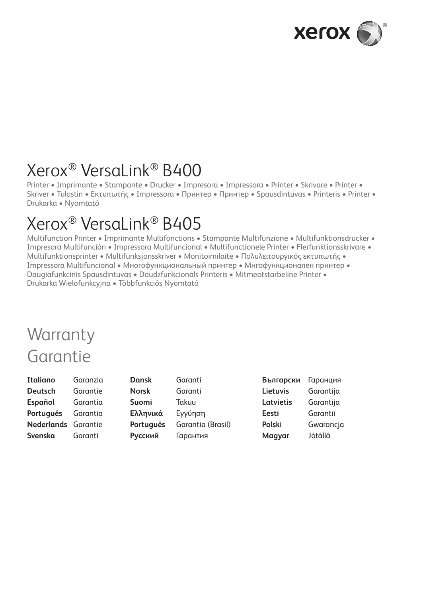

# Xerox® VersaLink® B400

Printer • Imprimante • Stampante • Drucker • Impresora • Impressora • Printer • Skrivare • Printer • Skriver • Tulostin • Εκτυπωτής • Impressora • Принтер • Принтер • Spausdintuvas • Printeris • Printer • Drukarka • Nyomtató

# Xerox® VersaLink® B405

Multifunction Printer • Imprimante Multifonctions • Stampante Multifunzione • Multifunktionsdrucker • Impresora Multifunción • Impressora Multifuncional • Multifunctionele Printer • Flerfunktionsskrivare • Multifunktionsprinter • Multifunksjonsskriver • Monitoimilaite • Πολυλειτουργικός εκτυπωτής • Impressora Multifuncional • Многофункциональный принтер • Мнгофункционален принтер • Daugiafunkcinis Spausdintuvas • Daudzfunkcionāls Printeris • Mitmeotstarbeline Printer • Drukarka Wielofunkcyjna • Többfunkciós Nyomtató

# **Warranty** Garantie

| Italiano                   | Garanzia | Dansk        | Garanti           | Български | Гаранция  |
|----------------------------|----------|--------------|-------------------|-----------|-----------|
| <b>Deutsch</b>             | Garantie | <b>Norsk</b> | Garanti           | Lietuvis  | Garantija |
| Español                    | Garantía | Suomi        | Takuu             | Latvietis | Garantija |
| Português                  | Garantia | Ελληνικά     | Evvúnon           | Eesti     | Garantii  |
| <b>Nederlands</b> Garantie |          | Português    | Garantia (Brasil) | Polski    | Gwarancja |
| Svenska                    | Garanti  | Русский      | Гарантия          | Magyar    | Jótállá   |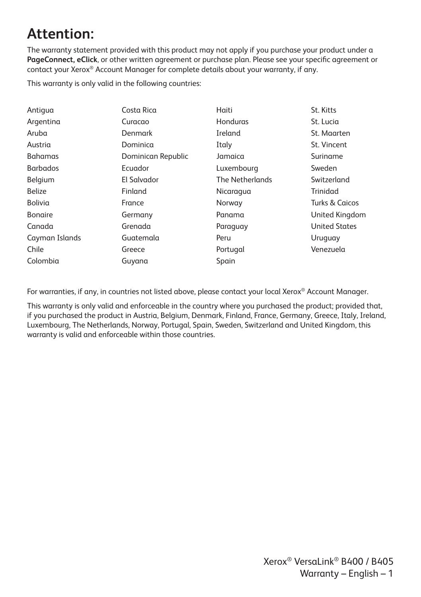### **Attention:**

The warranty statement provided with this product may not apply if you purchase your product under a **PageConnect, eClick**, or other written agreement or purchase plan. Please see your specific agreement or contact your Xerox® Account Manager for complete details about your warranty, if any.

This warranty is only valid in the following countries:

| Costa Rica         | Haiti           | St. Kitts                 |
|--------------------|-----------------|---------------------------|
| Curacao            | Honduras        | St. Lucia                 |
| Denmark            | Ireland         | St. Maarten               |
| Dominica           | Italy           | St. Vincent               |
| Dominican Republic | Jamaica         | Suriname                  |
| Ecuador            | Luxembourg      | Sweden                    |
| El Salvador        | The Netherlands | Switzerland               |
| Finland            | Nicaragua       | Trinidad                  |
| France             | Norway          | <b>Turks &amp; Caicos</b> |
| Germany            | Panama          | United Kingdom            |
| Grenada            | Paraguay        | <b>United States</b>      |
| Guatemala          | Peru            | Uruguay                   |
| Greece             | Portugal        | Venezuela                 |
| Guyana             | Spain           |                           |
|                    |                 |                           |

For warranties, if any, in countries not listed above, please contact your local Xerox® Account Manager.

This warranty is only valid and enforceable in the country where you purchased the product; provided that, if you purchased the product in Austria, Belgium, Denmark, Finland, France, Germany, Greece, Italy, Ireland, Luxembourg, The Netherlands, Norway, Portugal, Spain, Sweden, Switzerland and United Kingdom, this warranty is valid and enforceable within those countries.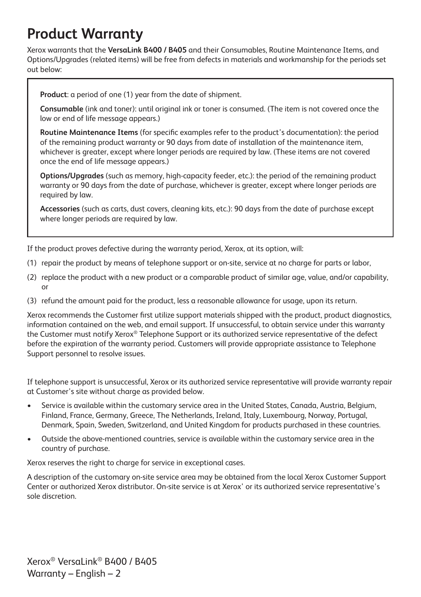### **Product Warranty**

Xerox warrants that the **VersaLink B400 / B405** and their Consumables, Routine Maintenance Items, and Options/Upgrades (related items) will be free from defects in materials and workmanship for the periods set out below:

**Product**: a period of one (1) year from the date of shipment.

**Consumable** (ink and toner): until original ink or toner is consumed. (The item is not covered once the low or end of life message appears.)

**Routine Maintenance Items** (for specific examples refer to the product's documentation): the period of the remaining product warranty or 90 days from date of installation of the maintenance item, whichever is greater, except where longer periods are required by law. (These items are not covered once the end of life message appears.)

**Options/Upgrades** (such as memory, high-capacity feeder, etc.): the period of the remaining product warranty or 90 days from the date of purchase, whichever is greater, except where longer periods are required by law.

**Accessories** (such as carts, dust covers, cleaning kits, etc.): 90 days from the date of purchase except where longer periods are required by law.

If the product proves defective during the warranty period, Xerox, at its option, will:

- (1) repair the product by means of telephone support or on-site, service at no charge for parts or labor,
- (2) replace the product with a new product or a comparable product of similar age, value, and/or capability, or
- (3) refund the amount paid for the product, less a reasonable allowance for usage, upon its return.

Xerox recommends the Customer first utilize support materials shipped with the product, product diagnostics, information contained on the web, and email support. If unsuccessful, to obtain service under this warranty the Customer must notify Xerox® Telephone Support or its authorized service representative of the defect before the expiration of the warranty period. Customers will provide appropriate assistance to Telephone Support personnel to resolve issues.

If telephone support is unsuccessful, Xerox or its authorized service representative will provide warranty repair at Customer's site without charge as provided below.

- Service is available within the customary service area in the United States, Canada, Austria, Belgium, Finland, France, Germany, Greece, The Netherlands, Ireland, Italy, Luxembourg, Norway, Portugal, Denmark, Spain, Sweden, Switzerland, and United Kingdom for products purchased in these countries.
- Outside the above-mentioned countries, service is available within the customary service area in the country of purchase.

Xerox reserves the right to charge for service in exceptional cases.

A description of the customary on-site service area may be obtained from the local Xerox Customer Support Center or authorized Xerox distributor. On-site service is at Xerox' or its authorized service representative's sole discretion.

Xerox® VersaLink® B400 / B405 Warranty – English – 2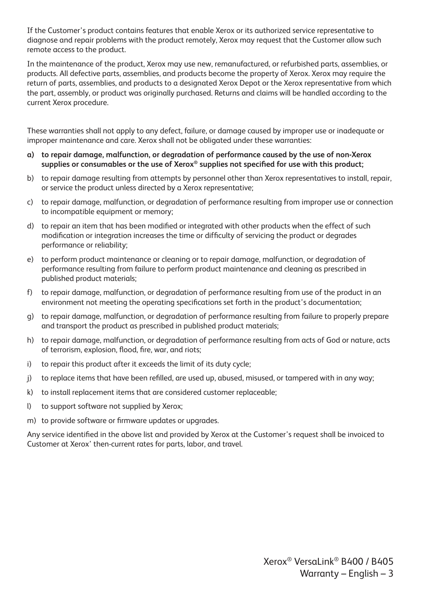If the Customer's product contains features that enable Xerox or its authorized service representative to diagnose and repair problems with the product remotely, Xerox may request that the Customer allow such remote access to the product.

In the maintenance of the product, Xerox may use new, remanufactured, or refurbished parts, assemblies, or products. All defective parts, assemblies, and products become the property of Xerox. Xerox may require the return of parts, assemblies, and products to a designated Xerox Depot or the Xerox representative from which the part, assembly, or product was originally purchased. Returns and claims will be handled according to the current Xerox procedure.

These warranties shall not apply to any defect, failure, or damage caused by improper use or inadequate or improper maintenance and care. Xerox shall not be obligated under these warranties:

- **a) to repair damage, malfunction, or degradation of performance caused by the use of non-Xerox supplies or consumables or the use of Xerox® supplies not specified for use with this product;**
- b) to repair damage resulting from attempts by personnel other than Xerox representatives to install, repair, or service the product unless directed by a Xerox representative;
- c) to repair damage, malfunction, or degradation of performance resulting from improper use or connection to incompatible equipment or memory;
- d) to repair an item that has been modified or integrated with other products when the effect of such modification or integration increases the time or difficulty of servicing the product or degrades performance or reliability;
- e) to perform product maintenance or cleaning or to repair damage, malfunction, or degradation of performance resulting from failure to perform product maintenance and cleaning as prescribed in published product materials;
- f) to repair damage, malfunction, or degradation of performance resulting from use of the product in an environment not meeting the operating specifications set forth in the product's documentation;
- g) to repair damage, malfunction, or degradation of performance resulting from failure to properly prepare and transport the product as prescribed in published product materials;
- h) to repair damage, malfunction, or degradation of performance resulting from acts of God or nature, acts of terrorism, explosion, flood, fire, war, and riots;
- i) to repair this product after it exceeds the limit of its duty cycle;
- j) to replace items that have been refilled, are used up, abused, misused, or tampered with in any way;
- k) to install replacement items that are considered customer replaceable;
- l) to support software not supplied by Xerox;
- m) to provide software or firmware updates or upgrades.

Any service identified in the above list and provided by Xerox at the Customer's request shall be invoiced to Customer at Xerox' then-current rates for parts, labor, and travel.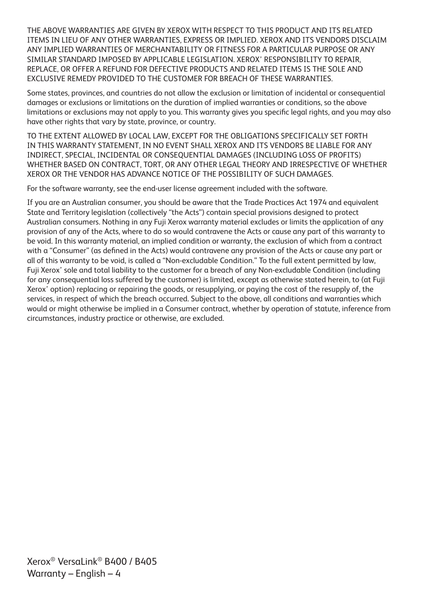THE ABOVE WARRANTIES ARE GIVEN BY XEROX WITH RESPECT TO THIS PRODUCT AND ITS RELATED ITEMS IN LIEU OF ANY OTHER WARRANTIES, EXPRESS OR IMPLIED. XEROX AND ITS VENDORS DISCLAIM ANY IMPLIED WARRANTIES OF MERCHANTABILITY OR FITNESS FOR A PARTICULAR PURPOSE OR ANY SIMILAR STANDARD IMPOSED BY APPLICABLE LEGISLATION. XEROX' RESPONSIBILITY TO REPAIR, REPLACE, OR OFFER A REFUND FOR DEFECTIVE PRODUCTS AND RELATED ITEMS IS THE SOLE AND EXCLUSIVE REMEDY PROVIDED TO THE CUSTOMER FOR BREACH OF THESE WARRANTIES.

Some states, provinces, and countries do not allow the exclusion or limitation of incidental or consequential damages or exclusions or limitations on the duration of implied warranties or conditions, so the above limitations or exclusions may not apply to you. This warranty gives you specific legal rights, and you may also have other rights that vary by state, province, or country.

TO THE EXTENT ALLOWED BY LOCAL LAW, EXCEPT FOR THE OBLIGATIONS SPECIFICALLY SET FORTH IN THIS WARRANTY STATEMENT, IN NO EVENT SHALL XEROX AND ITS VENDORS BE LIABLE FOR ANY INDIRECT, SPECIAL, INCIDENTAL OR CONSEQUENTIAL DAMAGES (INCLUDING LOSS OF PROFITS) WHETHER BASED ON CONTRACT, TORT, OR ANY OTHER LEGAL THEORY AND IRRESPECTIVE OF WHETHER XEROX OR THE VENDOR HAS ADVANCE NOTICE OF THE POSSIBILITY OF SUCH DAMAGES.

For the software warranty, see the end-user license agreement included with the software.

If you are an Australian consumer, you should be aware that the Trade Practices Act 1974 and equivalent State and Territory legislation (collectively "the Acts") contain special provisions designed to protect Australian consumers. Nothing in any Fuji Xerox warranty material excludes or limits the application of any provision of any of the Acts, where to do so would contravene the Acts or cause any part of this warranty to be void. In this warranty material, an implied condition or warranty, the exclusion of which from a contract with a "Consumer" (as defined in the Acts) would contravene any provision of the Acts or cause any part or all of this warranty to be void, is called a "Non-excludable Condition." To the full extent permitted by law, Fuji Xerox' sole and total liability to the customer for a breach of any Non-excludable Condition (including for any consequential loss suffered by the customer) is limited, except as otherwise stated herein, to (at Fuji Xerox' option) replacing or repairing the goods, or resupplying, or paying the cost of the resupply of, the services, in respect of which the breach occurred. Subject to the above, all conditions and warranties which would or might otherwise be implied in a Consumer contract, whether by operation of statute, inference from circumstances, industry practice or otherwise, are excluded.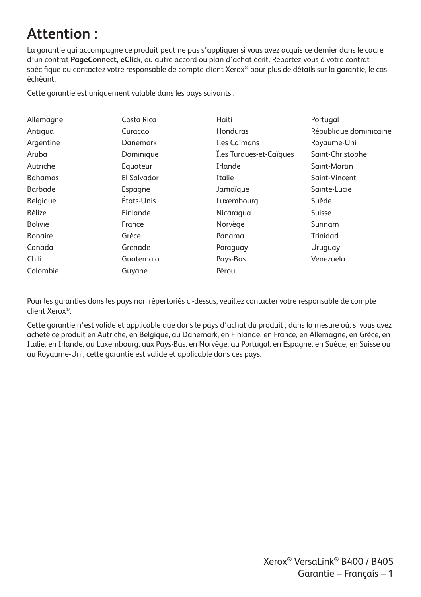### **Attention :**

La garantie qui accompagne ce produit peut ne pas s'appliquer si vous avez acquis ce dernier dans le cadre d'un contrat **PageConnect, eClick**, ou autre accord ou plan d'achat écrit. Reportez-vous à votre contrat spécifique ou contactez votre responsable de compte client Xerox® pour plus de détails sur la garantie, le cas échéant.

Cette garantie est uniquement valable dans les pays suivants :

| Allemagne      | Costa Rica      | Haiti                   | Portugal               |
|----------------|-----------------|-------------------------|------------------------|
| Antigua        | Curacao         | Honduras                | République dominicaine |
| Argentine      | <b>Danemark</b> | Iles Caïmans            | Royaume-Uni            |
| Aruba          | Dominique       | Iles Turques-et-Caïques | Saint-Christophe       |
| Autriche       | Equateur        | Irlande                 | Saint-Martin           |
| <b>Bahamas</b> | El Salvador     | Italie                  | Saint-Vincent          |
| Barbade        | Espagne         | Jamaïgue                | Sainte-Lucie           |
| Belgique       | États-Unis      | Luxembourg              | Suède                  |
| Bélize         | Finlande        | Nicaragua               | Suisse                 |
| <b>Bolivie</b> | France          | Norvège                 | Surinam                |
| <b>Bongire</b> | Grèce           | Panama                  | <b>Trinidad</b>        |
| Canada         | Grenade         | Paraguay                | Uruguay                |
| Chili          | Guatemala       | Pays-Bas                | Venezuela              |
| Colombie       | Guyane          | Pérou                   |                        |

Pour les garanties dans les pays non répertoriés ci-dessus, veuillez contacter votre responsable de compte client Xerox®.

Cette garantie n'est valide et applicable que dans le pays d'achat du produit ; dans la mesure où, si vous avez acheté ce produit en Autriche, en Belgique, au Danemark, en Finlande, en France, en Allemagne, en Grèce, en Italie, en Irlande, au Luxembourg, aux Pays-Bas, en Norvège, au Portugal, en Espagne, en Suède, en Suisse ou au Royaume-Uni, cette garantie est valide et applicable dans ces pays.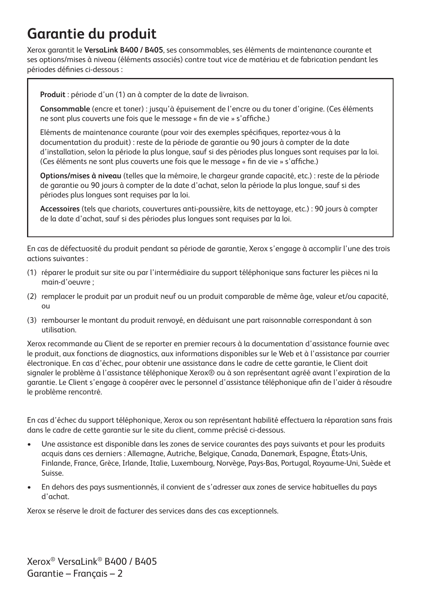### **Garantie du produit**

Xerox garantit le **VersaLink B400 / B405**, ses consommables, ses éléments de maintenance courante et ses options/mises à niveau (éléments associés) contre tout vice de matériau et de fabrication pendant les périodes définies ci-dessous :

**Produit** : période d'un (1) an à compter de la date de livraison.

**Consommable** (encre et toner) : jusqu'à épuisement de l'encre ou du toner d'origine. (Ces éléments ne sont plus couverts une fois que le message « fin de vie » s'affiche.)

Eléments de maintenance courante (pour voir des exemples spécifiques, reportez-vous à la documentation du produit) : reste de la période de garantie ou 90 jours à compter de la date d'installation, selon la période la plus longue, sauf si des périodes plus longues sont requises par la loi. (Ces éléments ne sont plus couverts une fois que le message « fin de vie » s'affiche.)

**Options/mises à niveau** (telles que la mémoire, le chargeur grande capacité, etc.) : reste de la période de garantie ou 90 jours à compter de la date d'achat, selon la période la plus longue, sauf si des périodes plus longues sont requises par la loi.

**Accessoires** (tels que chariots, couvertures anti-poussière, kits de nettoyage, etc.) : 90 jours à compter de la date d'achat, sauf si des périodes plus longues sont requises par la loi.

En cas de défectuosité du produit pendant sa période de garantie, Xerox s'engage à accomplir l'une des trois actions suivantes :

- (1) réparer le produit sur site ou par l'intermédiaire du support téléphonique sans facturer les pièces ni la main-d'oeuvre ;
- (2) remplacer le produit par un produit neuf ou un produit comparable de même âge, valeur et/ou capacité, ou
- (3) rembourser le montant du produit renvoyé, en déduisant une part raisonnable correspondant à son utilisation.

Xerox recommande au Client de se reporter en premier recours à la documentation d'assistance fournie avec le produit, aux fonctions de diagnostics, aux informations disponibles sur le Web et à l'assistance par courrier électronique. En cas d'échec, pour obtenir une assistance dans le cadre de cette garantie, le Client doit signaler le problème à l'assistance téléphonique Xerox® ou à son représentant agréé avant l'expiration de la garantie. Le Client s'engage à coopérer avec le personnel d'assistance téléphonique afin de l'aider à résoudre le problème rencontré.

En cas d'échec du support téléphonique, Xerox ou son représentant habilité effectuera la réparation sans frais dans le cadre de cette garantie sur le site du client, comme précisé ci-dessous.

- Une assistance est disponible dans les zones de service courantes des pays suivants et pour les produits acquis dans ces derniers : Allemagne, Autriche, Belgique, Canada, Danemark, Espagne, États-Unis, Finlande, France, Grèce, Irlande, Italie, Luxembourg, Norvège, Pays-Bas, Portugal, Royaume-Uni, Suède et Suisse.
- En dehors des pays susmentionnés, il convient de s'adresser aux zones de service habituelles du pays d'achat.

Xerox se réserve le droit de facturer des services dans des cas exceptionnels.

Xerox® VersaLink® B400 / B405 Garantie – Français – 2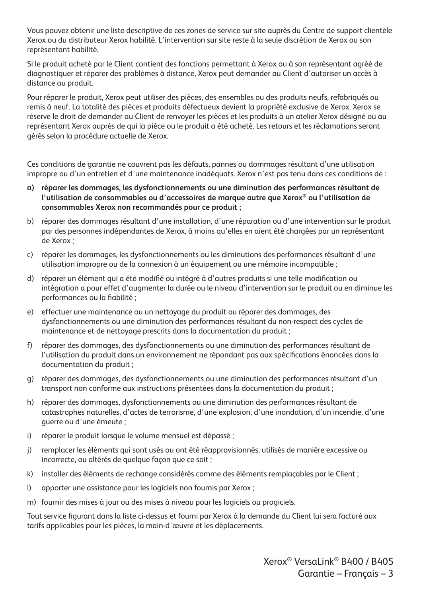Vous pouvez obtenir une liste descriptive de ces zones de service sur site auprès du Centre de support clientèle Xerox ou du distributeur Xerox habilité. L'intervention sur site reste à la seule discrétion de Xerox ou son représentant habilité.

Si le produit acheté par le Client contient des fonctions permettant à Xerox ou à son représentant agréé de diagnostiquer et réparer des problèmes à distance, Xerox peut demander au Client d'autoriser un accès à distance au produit.

Pour réparer le produit, Xerox peut utiliser des pièces, des ensembles ou des produits neufs, refabriqués ou remis à neuf. La totalité des pièces et produits défectueux devient la propriété exclusive de Xerox. Xerox se réserve le droit de demander au Client de renvoyer les pièces et les produits à un atelier Xerox désigné ou au représentant Xerox auprès de qui la pièce ou le produit a été acheté. Les retours et les réclamations seront gérés selon la procédure actuelle de Xerox.

Ces conditions de garantie ne couvrent pas les défauts, pannes ou dommages résultant d'une utilisation impropre ou d'un entretien et d'une maintenance inadéquats. Xerox n'est pas tenu dans ces conditions de :

- **a) réparer les dommages, les dysfonctionnements ou une diminution des performances résultant de l'utilisation de consommables ou d'accessoires de marque autre que Xerox® ou l'utilisation de consommables Xerox non recommandés pour ce produit ;**
- b) réparer des dommages résultant d'une installation, d'une réparation ou d'une intervention sur le produit par des personnes indépendantes de Xerox, à moins qu'elles en aient été chargées par un représentant de Xerox ;
- c) réparer les dommages, les dysfonctionnements ou les diminutions des performances résultant d'une utilisation impropre ou de la connexion à un équipement ou une mémoire incompatible ;
- d) réparer un élément qui a été modifié ou intégré à d'autres produits si une telle modification ou intégration a pour effet d'augmenter la durée ou le niveau d'intervention sur le produit ou en diminue les performances ou la fiabilité ;
- e) effectuer une maintenance ou un nettoyage du produit ou réparer des dommages, des dysfonctionnements ou une diminution des performances résultant du non-respect des cycles de maintenance et de nettoyage prescrits dans la documentation du produit ;
- f) réparer des dommages, des dysfonctionnements ou une diminution des performances résultant de l'utilisation du produit dans un environnement ne répondant pas aux spécifications énoncées dans la documentation du produit ;
- g) réparer des dommages, des dysfonctionnements ou une diminution des performances résultant d'un transport non conforme aux instructions présentées dans la documentation du produit ;
- h) réparer des dommages, dysfonctionnements ou une diminution des performances résultant de catastrophes naturelles, d'actes de terrorisme, d'une explosion, d'une inondation, d'un incendie, d'une guerre ou d'une émeute ;
- i) réparer le produit lorsque le volume mensuel est dépassé ;
- j) remplacer les éléments qui sont usés ou ont été réapprovisionnés, utilisés de manière excessive ou incorrecte, ou altérés de quelque façon que ce soit ;
- k) installer des éléments de rechange considérés comme des éléments remplaçables par le Client ;
- l) apporter une assistance pour les logiciels non fournis par Xerox ;
- m) fournir des mises à jour ou des mises à niveau pour les logiciels ou progiciels.

Tout service figurant dans la liste ci-dessus et fourni par Xerox à la demande du Client lui sera facturé aux tarifs applicables pour les pièces, la main-d'œuvre et les déplacements.

> Xerox® VersaLink® B400 / B405 Garantie – Français – 3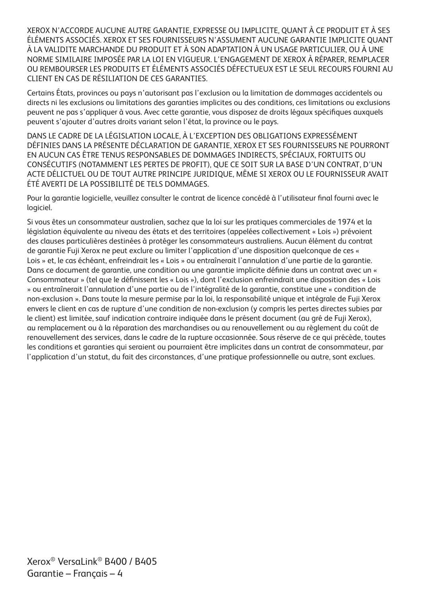XEROX N'ACCORDE AUCUNE AUTRE GARANTIE, EXPRESSE OU IMPLICITE, QUANT À CE PRODUIT ET À SES ÉLÉMENTS ASSOCIÉS. XEROX ET SES FOURNISSEURS N'ASSUMENT AUCUNE GARANTIE IMPLICITE QUANT À LA VALIDITE MARCHANDE DU PRODUIT ET À SON ADAPTATION À UN USAGE PARTICULIER, OU À UNE NORME SIMILAIRE IMPOSÉE PAR LA LOI EN VIGUEUR. L'ENGAGEMENT DE XEROX À RÉPARER, REMPLACER OU REMBOURSER LES PRODUITS ET ÉLÉMENTS ASSOCIÉS DÉFECTUEUX EST LE SEUL RECOURS FOURNI AU CLIENT EN CAS DE RÉSILIATION DE CES GARANTIES.

Certains États, provinces ou pays n'autorisant pas l'exclusion ou la limitation de dommages accidentels ou directs ni les exclusions ou limitations des garanties implicites ou des conditions, ces limitations ou exclusions peuvent ne pas s'appliquer à vous. Avec cette garantie, vous disposez de droits légaux spécifiques auxquels peuvent s'ajouter d'autres droits variant selon l'état, la province ou le pays.

DANS LE CADRE DE LA LÉGISLATION LOCALE, À L'EXCEPTION DES OBLIGATIONS EXPRESSÉMENT DÉFINIES DANS LA PRÉSENTE DÉCLARATION DE GARANTIE, XEROX ET SES FOURNISSEURS NE POURRONT EN AUCUN CAS ÊTRE TENUS RESPONSABLES DE DOMMAGES INDIRECTS, SPÉCIAUX, FORTUITS OU CONSÉCUTIFS (NOTAMMENT LES PERTES DE PROFIT), QUE CE SOIT SUR LA BASE D'UN CONTRAT, D'UN ACTE DÉLICTUEL OU DE TOUT AUTRE PRINCIPE JURIDIQUE, MÊME SI XEROX OU LE FOURNISSEUR AVAIT ÉTÉ AVERTI DE LA POSSIBILITÉ DE TELS DOMMAGES.

Pour la garantie logicielle, veuillez consulter le contrat de licence concédé à l'utilisateur final fourni avec le logiciel.

Si vous êtes un consommateur australien, sachez que la loi sur les pratiques commerciales de 1974 et la législation équivalente au niveau des états et des territoires (appelées collectivement « Lois ») prévoient des clauses particulières destinées à protéger les consommateurs australiens. Aucun élément du contrat de garantie Fuji Xerox ne peut exclure ou limiter l'application d'une disposition quelconque de ces « Lois » et, le cas échéant, enfreindrait les « Lois » ou entraînerait l'annulation d'une partie de la garantie. Dans ce document de garantie, une condition ou une garantie implicite définie dans un contrat avec un « Consommateur » (tel que le définissent les « Lois »), dont l'exclusion enfreindrait une disposition des « Lois » ou entraînerait l'annulation d'une partie ou de l'intégralité de la garantie, constitue une « condition de non-exclusion ». Dans toute la mesure permise par la loi, la responsabilité unique et intégrale de Fuji Xerox envers le client en cas de rupture d'une condition de non-exclusion (y compris les pertes directes subies par le client) est limitée, sauf indication contraire indiquée dans le présent document (au gré de Fuji Xerox), au remplacement ou à la réparation des marchandises ou au renouvellement ou au règlement du coût de renouvellement des services, dans le cadre de la rupture occasionnée. Sous réserve de ce qui précède, toutes les conditions et garanties qui seraient ou pourraient être implicites dans un contrat de consommateur, par l'application d'un statut, du fait des circonstances, d'une pratique professionnelle ou autre, sont exclues.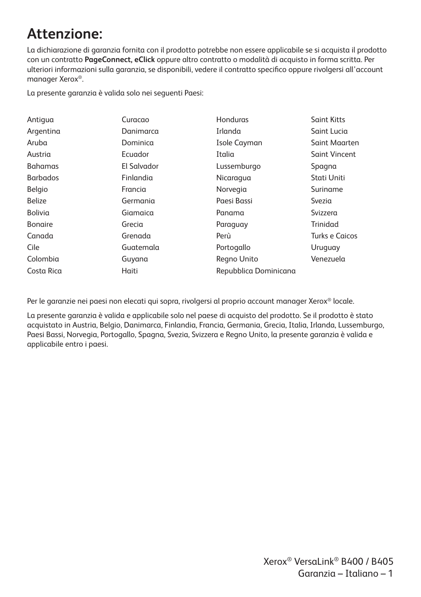### **Attenzione:**

La dichiarazione di garanzia fornita con il prodotto potrebbe non essere applicabile se si acquista il prodotto con un contratto **PageConnect, eClick** oppure altro contratto o modalità di acquisto in forma scritta. Per ulteriori informazioni sulla garanzia, se disponibili, vedere il contratto specifico oppure rivolgersi all'account manager Xerox®.

La presente garanzia è valida solo nei seguenti Paesi:

| Antigua         | Curacao     | Honduras              | <b>Saint Kitts</b>   |
|-----------------|-------------|-----------------------|----------------------|
| Argentina       | Danimarca   | Irlanda               | Saint Lucia          |
| Aruba           | Dominica    | Isole Cayman          | Saint Maarten        |
| Austria         | Ecuador     | Italia                | <b>Saint Vincent</b> |
| <b>Bahamas</b>  | El Salvador | Lussemburgo           | Spagna               |
| <b>Barbados</b> | Finlandia   | Nicaragua             | Stati Uniti          |
| Belgio          | Francia     | Norvegia              | Suriname             |
| <b>Belize</b>   | Germania    | Paesi Bassi           | Svezia               |
| Bolivia         | Giamaica    | Panama                | Svizzera             |
| <b>Bongire</b>  | Grecia      | Paraguay              | Trinidad             |
| Canada          | Grenada     | Perù                  | Turks e Caicos       |
| Cile            | Guatemala   | Portogallo            | Uruguay              |
| Colombia        | Guyana      | Regno Unito           | Venezuela            |
| Costa Rica      | Haiti       | Repubblica Dominicana |                      |

Per le garanzie nei paesi non elecati qui sopra, rivolgersi al proprio account manager Xerox® locale.

La presente garanzia è valida e applicabile solo nel paese di acquisto del prodotto. Se il prodotto è stato acquistato in Austria, Belgio, Danimarca, Finlandia, Francia, Germania, Grecia, Italia, Irlanda, Lussemburgo, Paesi Bassi, Norvegia, Portogallo, Spagna, Svezia, Svizzera e Regno Unito, la presente garanzia è valida e applicabile entro i paesi.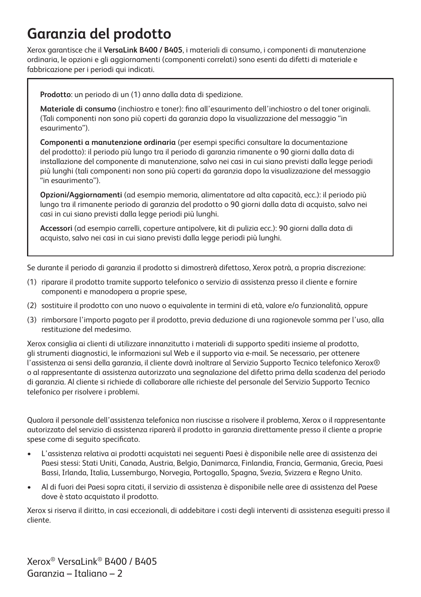### **Garanzia del prodotto**

Xerox garantisce che il **VersaLink B400 / B405**, i materiali di consumo, i componenti di manutenzione ordinaria, le opzioni e gli aggiornamenti (componenti correlati) sono esenti da difetti di materiale e fabbricazione per i periodi qui indicati.

**Prodotto**: un periodo di un (1) anno dalla data di spedizione.

**Materiale di consumo** (inchiostro e toner): fino all'esaurimento dell'inchiostro o del toner originali. (Tali componenti non sono più coperti da garanzia dopo la visualizzazione del messaggio "in esaurimento").

**Componenti a manutenzione ordinaria** (per esempi specifici consultare la documentazione del prodotto): il periodo più lungo tra il periodo di garanzia rimanente o 90 giorni dalla data di installazione del componente di manutenzione, salvo nei casi in cui siano previsti dalla legge periodi più lunghi (tali componenti non sono più coperti da garanzia dopo la visualizzazione del messaggio "in esaurimento").

**Opzioni/Aggiornamenti** (ad esempio memoria, alimentatore ad alta capacità, ecc.): il periodo più lungo tra il rimanente periodo di garanzia del prodotto o 90 giorni dalla data di acquisto, salvo nei casi in cui siano previsti dalla legge periodi più lunghi.

**Accessori** (ad esempio carrelli, coperture antipolvere, kit di pulizia ecc.): 90 giorni dalla data di acquisto, salvo nei casi in cui siano previsti dalla legge periodi più lunghi.

Se durante il periodo di garanzia il prodotto si dimostrerà difettoso, Xerox potrà, a propria discrezione:

- (1) riparare il prodotto tramite supporto telefonico o servizio di assistenza presso il cliente e fornire componenti e manodopera a proprie spese,
- (2) sostituire il prodotto con uno nuovo o equivalente in termini di età, valore e/o funzionalità, oppure
- (3) rimborsare l'importo pagato per il prodotto, previa deduzione di una ragionevole somma per l'uso, alla restituzione del medesimo.

Xerox consiglia ai clienti di utilizzare innanzitutto i materiali di supporto spediti insieme al prodotto, gli strumenti diagnostici, le informazioni sul Web e il supporto via e-mail. Se necessario, per ottenere l'assistenza ai sensi della garanzia, il cliente dovrà inoltrare al Servizio Supporto Tecnico telefonico Xerox® o al rappresentante di assistenza autorizzato una segnalazione del difetto prima della scadenza del periodo di garanzia. Al cliente si richiede di collaborare alle richieste del personale del Servizio Supporto Tecnico telefonico per risolvere i problemi.

Qualora il personale dell'assistenza telefonica non riuscisse a risolvere il problema, Xerox o il rappresentante autorizzato del servizio di assistenza riparerà il prodotto in garanzia direttamente presso il cliente a proprie spese come di seguito specificato.

- L'assistenza relativa ai prodotti acquistati nei seguenti Paesi è disponibile nelle aree di assistenza dei Paesi stessi: Stati Uniti, Canada, Austria, Belgio, Danimarca, Finlandia, Francia, Germania, Grecia, Paesi Bassi, Irlanda, Italia, Lussemburgo, Norvegia, Portogallo, Spagna, Svezia, Svizzera e Regno Unito.
- Al di fuori dei Paesi sopra citati, il servizio di assistenza è disponibile nelle aree di assistenza del Paese dove è stato acquistato il prodotto.

Xerox si riserva il diritto, in casi eccezionali, di addebitare i costi degli interventi di assistenza eseguiti presso il cliente.

Xerox® VersaLink® B400 / B405 Garanzia – Italiano – 2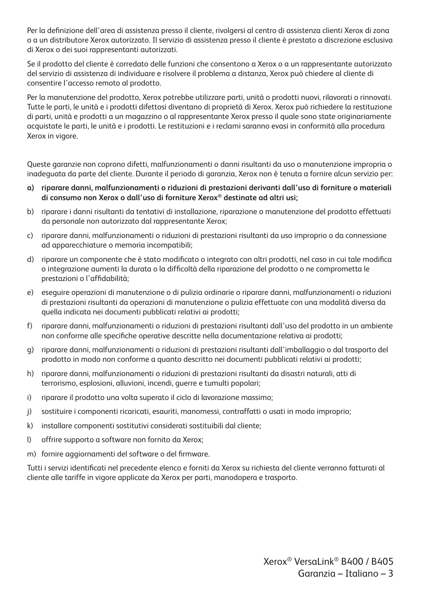Per la definizione dell'area di assistenza presso il cliente, rivolgersi al centro di assistenza clienti Xerox di zona o a un distributore Xerox autorizzato. Il servizio di assistenza presso il cliente è prestato a discrezione esclusiva di Xerox o dei suoi rappresentanti autorizzati.

Se il prodotto del cliente è corredato delle funzioni che consentono a Xerox o a un rappresentante autorizzato del servizio di assistenza di individuare e risolvere il problema a distanza, Xerox può chiedere al cliente di consentire l'accesso remoto al prodotto.

Per la manutenzione del prodotto, Xerox potrebbe utilizzare parti, unità o prodotti nuovi, rilavorati o rinnovati. Tutte le parti, le unità e i prodotti difettosi diventano di proprietà di Xerox. Xerox può richiedere la restituzione di parti, unità e prodotti a un magazzino o al rappresentante Xerox presso il quale sono state originariamente acquistate le parti, le unità e i prodotti. Le restituzioni e i reclami saranno evasi in conformità alla procedura Xerox in vigore.

Queste garanzie non coprono difetti, malfunzionamenti o danni risultanti da uso o manutenzione impropria o inadeguata da parte del cliente. Durante il periodo di garanzia, Xerox non è tenuta a fornire alcun servizio per:

- **a) riparare danni, malfunzionamenti o riduzioni di prestazioni derivanti dall'uso di forniture o materiali di consumo non Xerox o dall'uso di forniture Xerox® destinate ad altri usi;**
- b) riparare i danni risultanti da tentativi di installazione, riparazione o manutenzione del prodotto effettuati da personale non autorizzato dal rappresentante Xerox;
- c) riparare danni, malfunzionamenti o riduzioni di prestazioni risultanti da uso improprio o da connessione ad apparecchiature o memoria incompatibili;
- d) riparare un componente che è stato modificato o integrato con altri prodotti, nel caso in cui tale modifica o integrazione aumenti la durata o la difficoltà della riparazione del prodotto o ne comprometta le prestazioni o l'affidabilità;
- e) eseguire operazioni di manutenzione o di pulizia ordinarie o riparare danni, malfunzionamenti o riduzioni di prestazioni risultanti da operazioni di manutenzione o pulizia effettuate con una modalità diversa da quella indicata nei documenti pubblicati relativi ai prodotti;
- f) riparare danni, malfunzionamenti o riduzioni di prestazioni risultanti dall'uso del prodotto in un ambiente non conforme alle specifiche operative descritte nella documentazione relativa ai prodotti;
- g) riparare danni, malfunzionamenti o riduzioni di prestazioni risultanti dall'imballaggio o dal trasporto del prodotto in modo non conforme a quanto descritto nei documenti pubblicati relativi ai prodotti;
- h) riparare danni, malfunzionamenti o riduzioni di prestazioni risultanti da disastri naturali, atti di terrorismo, esplosioni, alluvioni, incendi, guerre e tumulti popolari;
- i) riparare il prodotto una volta superato il ciclo di lavorazione massimo;
- j) sostituire i componenti ricaricati, esauriti, manomessi, contraffatti o usati in modo improprio;
- k) installare componenti sostitutivi considerati sostituibili dal cliente;
- l) offrire supporto a software non fornito da Xerox;
- m) fornire aggiornamenti del software o del firmware.

Tutti i servizi identificati nel precedente elenco e forniti da Xerox su richiesta del cliente verranno fatturati al cliente alle tariffe in vigore applicate da Xerox per parti, manodopera e trasporto.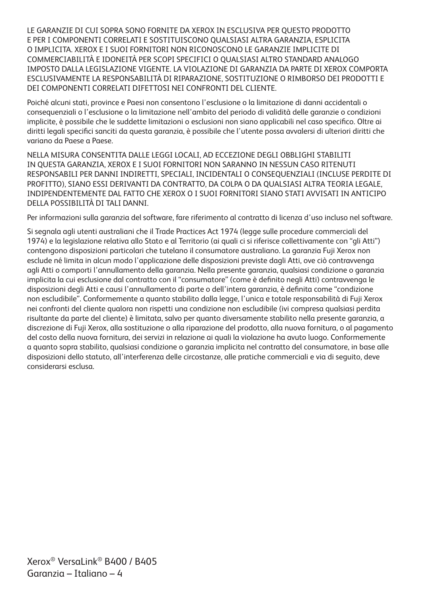LE GARANZIE DI CUI SOPRA SONO FORNITE DA XEROX IN ESCLUSIVA PER QUESTO PRODOTTO E PER I COMPONENTI CORRELATI E SOSTITUISCONO QUALSIASI ALTRA GARANZIA, ESPLICITA O IMPLICITA. XEROX E I SUOI FORNITORI NON RICONOSCONO LE GARANZIE IMPLICITE DI COMMERCIABILITÀ E IDONEITÀ PER SCOPI SPECIFICI O QUALSIASI ALTRO STANDARD ANALOGO IMPOSTO DALLA LEGISLAZIONE VIGENTE. LA VIOLAZIONE DI GARANZIA DA PARTE DI XEROX COMPORTA ESCLUSIVAMENTE LA RESPONSABILITÀ DI RIPARAZIONE, SOSTITUZIONE O RIMBORSO DEI PRODOTTI E DEI COMPONENTI CORRELATI DIFETTOSI NEI CONFRONTI DEL CLIENTE.

Poiché alcuni stati, province e Paesi non consentono l'esclusione o la limitazione di danni accidentali o consequenziali o l'esclusione o la limitazione nell'ambito del periodo di validità delle garanzie o condizioni implicite, è possibile che le suddette limitazioni o esclusioni non siano applicabili nel caso specifico. Oltre ai diritti legali specifici sanciti da questa garanzia, è possibile che l'utente possa avvalersi di ulteriori diritti che variano da Paese a Paese.

NELLA MISURA CONSENTITA DALLE LEGGI LOCALI, AD ECCEZIONE DEGLI OBBLIGHI STABILITI IN QUESTA GARANZIA, XEROX E I SUOI FORNITORI NON SARANNO IN NESSUN CASO RITENUTI RESPONSABILI PER DANNI INDIRETTI, SPECIALI, INCIDENTALI O CONSEQUENZIALI (INCLUSE PERDITE DI PROFITTO), SIANO ESSI DERIVANTI DA CONTRATTO, DA COLPA O DA QUALSIASI ALTRA TEORIA LEGALE, INDIPENDENTEMENTE DAL FATTO CHE XEROX O I SUOI FORNITORI SIANO STATI AVVISATI IN ANTICIPO DELLA POSSIBILITÀ DI TALI DANNI.

Per informazioni sulla garanzia del software, fare riferimento al contratto di licenza d'uso incluso nel software.

Si segnala agli utenti australiani che il Trade Practices Act 1974 (legge sulle procedure commerciali del 1974) e la legislazione relativa allo Stato e al Territorio (ai quali ci si riferisce collettivamente con "gli Atti") contengono disposizioni particolari che tutelano il consumatore australiano. La garanzia Fuji Xerox non esclude né limita in alcun modo l'applicazione delle disposizioni previste dagli Atti, ove ciò contravvenga agli Atti o comporti l'annullamento della garanzia. Nella presente garanzia, qualsiasi condizione o garanzia implicita la cui esclusione dal contratto con il "consumatore" (come è definito negli Atti) contravvenga le disposizioni degli Atti e causi l'annullamento di parte o dell'intera garanzia, è definita come "condizione non escludibile". Conformemente a quanto stabilito dalla legge, l'unica e totale responsabilità di Fuji Xerox nei confronti del cliente qualora non rispetti una condizione non escludibile (ivi compresa qualsiasi perdita risultante da parte del cliente) è limitata, salvo per quanto diversamente stabilito nella presente garanzia, a discrezione di Fuji Xerox, alla sostituzione o alla riparazione del prodotto, alla nuova fornitura, o al pagamento del costo della nuova fornitura, dei servizi in relazione ai quali la violazione ha avuto luogo. Conformemente a quanto sopra stabilito, qualsiasi condizione o garanzia implicita nel contratto del consumatore, in base alle disposizioni dello statuto, all'interferenza delle circostanze, alle pratiche commerciali e via di seguito, deve considerarsi esclusa.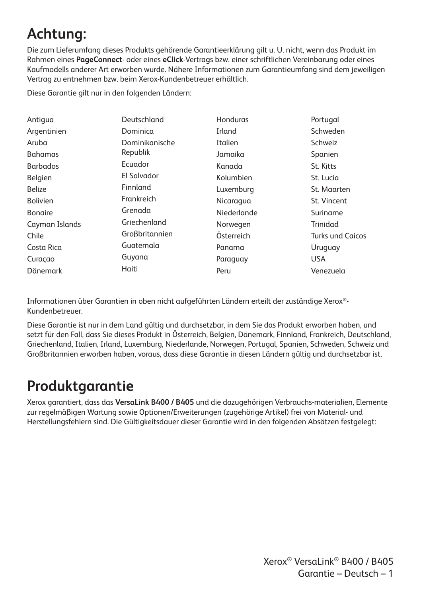# **Achtung:**

Die zum Lieferumfang dieses Produkts gehörende Garantieerklärung gilt u. U. nicht, wenn das Produkt im Rahmen eines **PageConnect**- oder eines **eClick**-Vertrags bzw. einer schriftlichen Vereinbarung oder eines Kaufmodells anderer Art erworben wurde. Nähere Informationen zum Garantieumfang sind dem jeweiligen Vertrag zu entnehmen bzw. beim Xerox-Kundenbetreuer erhältlich.

Diese Garantie gilt nur in den folgenden Ländern:

| Antigua         | Deutschland    | Honduras    | Portugal                |
|-----------------|----------------|-------------|-------------------------|
| Argentinien     | Dominica       | Irland      | Schweden                |
| Aruba           | Dominikanische | Italien     | Schweiz                 |
| <b>Bahamas</b>  | Republik       | Jamaika     | Spanien                 |
| <b>Barbados</b> | Ecuador        | Kanada      | St. Kitts               |
| Belgien         | El Salvador    | Kolumbien   | St. Lucia               |
| <b>Belize</b>   | Finnland       | Luxemburg   | St. Maarten             |
| <b>Bolivien</b> | Frankreich     | Nicaragua   | St. Vincent             |
| <b>Bongire</b>  | Grenada        | Niederlande | Suriname                |
| Cayman Islands  | Griechenland   | Norwegen    | Trinidad                |
| Chile           | Großbritannien | Österreich  | <b>Turks und Caicos</b> |
| Costa Rica      | Guatemala      | Panama      | Uruguay                 |
| Curaçao         | Guyana         | Paraguay    | <b>USA</b>              |
| Dänemark        | Haiti          | Peru        | Venezuela               |

Informationen über Garantien in oben nicht aufgeführten Ländern erteilt der zuständige Xerox®- Kundenbetreuer.

Diese Garantie ist nur in dem Land gültig und durchsetzbar, in dem Sie das Produkt erworben haben, und setzt für den Fall, dass Sie dieses Produkt in Österreich, Belgien, Dänemark, Finnland, Frankreich, Deutschland, Griechenland, Italien, Irland, Luxemburg, Niederlande, Norwegen, Portugal, Spanien, Schweden, Schweiz und Großbritannien erworben haben, voraus, dass diese Garantie in diesen Ländern gültig und durchsetzbar ist.

#### **Produktgarantie**

Xerox garantiert, dass das **VersaLink B400 / B405** und die dazugehörigen Verbrauchs-materialien, Elemente zur regelmäßigen Wartung sowie Optionen/Erweiterungen (zugehörige Artikel) frei von Material- und Herstellungsfehlern sind. Die Gültigkeitsdauer dieser Garantie wird in den folgenden Absätzen festgelegt:

> Xerox® VersaLink® B400 / B405 Garantie – Deutsch – 1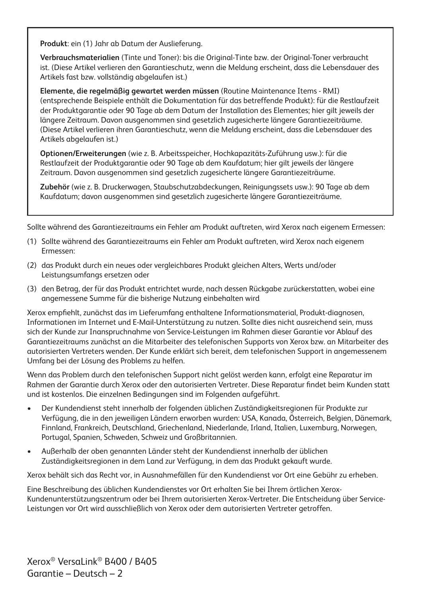**Produkt**: ein (1) Jahr ab Datum der Auslieferung.

**Verbrauchsmaterialien** (Tinte und Toner): bis die Original-Tinte bzw. der Original-Toner verbraucht ist. (Diese Artikel verlieren den Garantieschutz, wenn die Meldung erscheint, dass die Lebensdauer des Artikels fast bzw. vollständig abgelaufen ist.)

**Elemente, die regelmäßig gewartet werden müssen** (Routine Maintenance Items - RMI) (entsprechende Beispiele enthält die Dokumentation für das betreffende Produkt): für die Restlaufzeit der Produktgarantie oder 90 Tage ab dem Datum der Installation des Elementes; hier gilt jeweils der längere Zeitraum. Davon ausgenommen sind gesetzlich zugesicherte längere Garantiezeiträume. (Diese Artikel verlieren ihren Garantieschutz, wenn die Meldung erscheint, dass die Lebensdauer des Artikels abgelaufen ist.)

**Optionen/Erweiterungen** (wie z. B. Arbeitsspeicher, Hochkapazitäts-Zuführung usw.): für die Restlaufzeit der Produktgarantie oder 90 Tage ab dem Kaufdatum; hier gilt jeweils der längere Zeitraum. Davon ausgenommen sind gesetzlich zugesicherte längere Garantiezeiträume.

**Zubehör** (wie z. B. Druckerwagen, Staubschutzabdeckungen, Reinigungssets usw.): 90 Tage ab dem Kaufdatum; davon ausgenommen sind gesetzlich zugesicherte längere Garantiezeiträume.

Sollte während des Garantiezeitraums ein Fehler am Produkt auftreten, wird Xerox nach eigenem Ermessen:

- (1) Sollte während des Garantiezeitraums ein Fehler am Produkt auftreten, wird Xerox nach eigenem Ermessen:
- (2) das Produkt durch ein neues oder vergleichbares Produkt gleichen Alters, Werts und/oder Leistungsumfangs ersetzen oder
- (3) den Betrag, der für das Produkt entrichtet wurde, nach dessen Rückgabe zurückerstatten, wobei eine angemessene Summe für die bisherige Nutzung einbehalten wird

Xerox empfiehlt, zunächst das im Lieferumfang enthaltene Informationsmaterial, Produkt-diagnosen, Informationen im Internet und E-Mail-Unterstützung zu nutzen. Sollte dies nicht ausreichend sein, muss sich der Kunde zur Inanspruchnahme von Service-Leistungen im Rahmen dieser Garantie vor Ablauf des Garantiezeitraums zunächst an die Mitarbeiter des telefonischen Supports von Xerox bzw. an Mitarbeiter des autorisierten Vertreters wenden. Der Kunde erklärt sich bereit, dem telefonischen Support in angemessenem Umfang bei der Lösung des Problems zu helfen.

Wenn das Problem durch den telefonischen Support nicht gelöst werden kann, erfolgt eine Reparatur im Rahmen der Garantie durch Xerox oder den autorisierten Vertreter. Diese Reparatur findet beim Kunden statt und ist kostenlos. Die einzelnen Bedingungen sind im Folgenden aufgeführt.

- Der Kundendienst steht innerhalb der folgenden üblichen Zuständigkeitsregionen für Produkte zur Verfügung, die in den jeweiligen Ländern erworben wurden: USA, Kanada, Österreich, Belgien, Dänemark, Finnland, Frankreich, Deutschland, Griechenland, Niederlande, Irland, Italien, Luxemburg, Norwegen, Portugal, Spanien, Schweden, Schweiz und Großbritannien.
- Außerhalb der oben genannten Länder steht der Kundendienst innerhalb der üblichen Zuständigkeitsregionen in dem Land zur Verfügung, in dem das Produkt gekauft wurde.

Xerox behält sich das Recht vor, in Ausnahmefällen für den Kundendienst vor Ort eine Gebühr zu erheben.

Eine Beschreibung des üblichen Kundendienstes vor Ort erhalten Sie bei Ihrem örtlichen Xerox-Kundenunterstützungszentrum oder bei Ihrem autorisierten Xerox-Vertreter. Die Entscheidung über Service-Leistungen vor Ort wird ausschließlich von Xerox oder dem autorisierten Vertreter getroffen.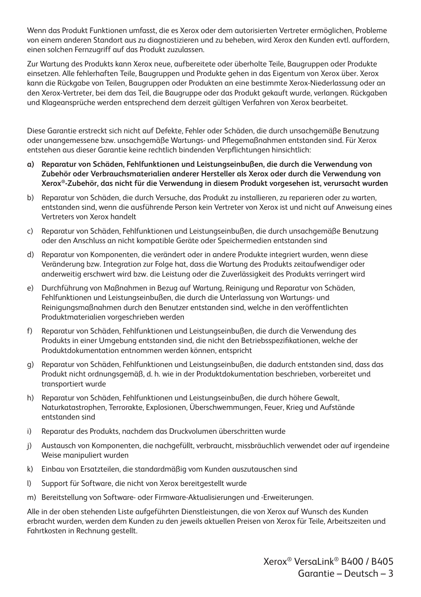Wenn das Produkt Funktionen umfasst, die es Xerox oder dem autorisierten Vertreter ermöglichen, Probleme von einem anderen Standort aus zu diagnostizieren und zu beheben, wird Xerox den Kunden evtl. auffordern, einen solchen Fernzugriff auf das Produkt zuzulassen.

Zur Wartung des Produkts kann Xerox neue, aufbereitete oder überholte Teile, Baugruppen oder Produkte einsetzen. Alle fehlerhaften Teile, Baugruppen und Produkte gehen in das Eigentum von Xerox über. Xerox kann die Rückgabe von Teilen, Baugruppen oder Produkten an eine bestimmte Xerox-Niederlassung oder an den Xerox-Vertreter, bei dem das Teil, die Baugruppe oder das Produkt gekauft wurde, verlangen. Rückgaben und Klageansprüche werden entsprechend dem derzeit gültigen Verfahren von Xerox bearbeitet.

Diese Garantie erstreckt sich nicht auf Defekte, Fehler oder Schäden, die durch unsachgemäße Benutzung oder unangemessene bzw. unsachgemäße Wartungs- und Pflegemaßnahmen entstanden sind. Für Xerox entstehen aus dieser Garantie keine rechtlich bindenden Verpflichtungen hinsichtlich:

- **a) Reparatur von Schäden, Fehlfunktionen und Leistungseinbußen, die durch die Verwendung von Zubehör oder Verbrauchsmaterialien anderer Hersteller als Xerox oder durch die Verwendung von Xerox®-Zubehör, das nicht für die Verwendung in diesem Produkt vorgesehen ist, verursacht wurden**
- b) Reparatur von Schäden, die durch Versuche, das Produkt zu installieren, zu reparieren oder zu warten, entstanden sind, wenn die ausführende Person kein Vertreter von Xerox ist und nicht auf Anweisung eines Vertreters von Xerox handelt
- c) Reparatur von Schäden, Fehlfunktionen und Leistungseinbußen, die durch unsachgemäße Benutzung oder den Anschluss an nicht kompatible Geräte oder Speichermedien entstanden sind
- d) Reparatur von Komponenten, die verändert oder in andere Produkte integriert wurden, wenn diese Veränderung bzw. Integration zur Folge hat, dass die Wartung des Produkts zeitaufwendiger oder anderweitig erschwert wird bzw. die Leistung oder die Zuverlässigkeit des Produkts verringert wird
- e) Durchführung von Maßnahmen in Bezug auf Wartung, Reinigung und Reparatur von Schäden, Fehlfunktionen und Leistungseinbußen, die durch die Unterlassung von Wartungs- und Reinigungsmaßnahmen durch den Benutzer entstanden sind, welche in den veröffentlichten Produktmaterialien vorgeschrieben werden
- f) Reparatur von Schäden, Fehlfunktionen und Leistungseinbußen, die durch die Verwendung des Produkts in einer Umgebung entstanden sind, die nicht den Betriebsspezifikationen, welche der Produktdokumentation entnommen werden können, entspricht
- g) Reparatur von Schäden, Fehlfunktionen und Leistungseinbußen, die dadurch entstanden sind, dass das Produkt nicht ordnungsgemäß, d. h. wie in der Produktdokumentation beschrieben, vorbereitet und transportiert wurde
- h) Reparatur von Schäden, Fehlfunktionen und Leistungseinbußen, die durch höhere Gewalt, Naturkatastrophen, Terrorakte, Explosionen, Überschwemmungen, Feuer, Krieg und Aufstände entstanden sind
- i) Reparatur des Produkts, nachdem das Druckvolumen überschritten wurde
- j) Austausch von Komponenten, die nachgefüllt, verbraucht, missbräuchlich verwendet oder auf irgendeine Weise manipuliert wurden
- k) Einbau von Ersatzteilen, die standardmäßig vom Kunden auszutauschen sind
- l) Support für Software, die nicht von Xerox bereitgestellt wurde
- m) Bereitstellung von Software- oder Firmware-Aktualisierungen und -Erweiterungen.

Alle in der oben stehenden Liste aufgeführten Dienstleistungen, die von Xerox auf Wunsch des Kunden erbracht wurden, werden dem Kunden zu den jeweils aktuellen Preisen von Xerox für Teile, Arbeitszeiten und Fahrtkosten in Rechnung gestellt.

> Xerox® VersaLink® B400 / B405 Garantie – Deutsch – 3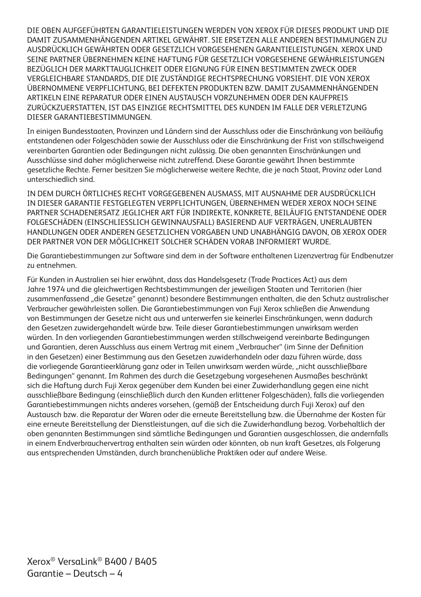DIE OBEN AUFGEFÜHRTEN GARANTIELEISTUNGEN WERDEN VON XEROX FÜR DIESES PRODUKT UND DIE DAMIT ZUSAMMENHÄNGENDEN ARTIKEL GEWÄHRT. SIE ERSETZEN ALLE ANDEREN BESTIMMUNGEN ZU AUSDRÜCKLICH GEWÄHRTEN ODER GESETZLICH VORGESEHENEN GARANTIELEISTUNGEN. XEROX UND SEINE PARTNER ÜBERNEHMEN KEINE HAFTUNG FÜR GESETZLICH VORGESEHENE GEWÄHRLEISTUNGEN BEZÜGLICH DER MARKTTAUGLICHKEIT ODER EIGNUNG FÜR EINEN BESTIMMTEN ZWECK ODER VERGLEICHBARE STANDARDS, DIE DIE ZUSTÄNDIGE RECHTSPRECHUNG VORSIEHT. DIE VON XEROX ÜBERNOMMENE VERPFLICHTUNG, BEI DEFEKTEN PRODUKTEN BZW. DAMIT ZUSAMMENHÄNGENDEN ARTIKELN EINE REPARATUR ODER EINEN AUSTAUSCH VORZUNEHMEN ODER DEN KAUFPREIS ZURÜCKZUERSTATTEN, IST DAS EINZIGE RECHTSMITTEL DES KUNDEN IM FALLE DER VERLETZUNG DIESER GARANTIEBESTIMMUNGEN.

In einigen Bundesstaaten, Provinzen und Ländern sind der Ausschluss oder die Einschränkung von beiläufig entstandenen oder Folgeschäden sowie der Ausschluss oder die Einschränkung der Frist von stillschweigend vereinbarten Garantien oder Bedingungen nicht zulässig. Die oben genannten Einschränkungen und Ausschlüsse sind daher möglicherweise nicht zutreffend. Diese Garantie gewährt Ihnen bestimmte gesetzliche Rechte. Ferner besitzen Sie möglicherweise weitere Rechte, die je nach Staat, Provinz oder Land unterschiedlich sind.

IN DEM DURCH ÖRTLICHES RECHT VORGEGEBENEN AUSMASS, MIT AUSNAHME DER AUSDRÜCKLICH IN DIESER GARANTIE FESTGELEGTEN VERPFLICHTUNGEN, ÜBERNEHMEN WEDER XEROX NOCH SEINE PARTNER SCHADENERSATZ JEGLICHER ART FÜR INDIREKTE, KONKRETE, BEILÄUFIG ENTSTANDENE ODER FOLGESCHÄDEN (EINSCHLIESSLICH GEWINNAUSFALL) BASIEREND AUF VERTRÄGEN, UNERLAUBTEN HANDLUNGEN ODER ANDEREN GESETZLICHEN VORGABEN UND UNABHÄNGIG DAVON, OB XEROX ODER DER PARTNER VON DER MÖGLICHKEIT SOLCHER SCHÄDEN VORAB INFORMIERT WURDE.

Die Garantiebestimmungen zur Software sind dem in der Software enthaltenen Lizenzvertrag für Endbenutzer zu entnehmen.

Für Kunden in Australien sei hier erwähnt, dass das Handelsgesetz (Trade Practices Act) aus dem Jahre 1974 und die gleichwertigen Rechtsbestimmungen der jeweiligen Staaten und Territorien (hier zusammenfassend "die Gesetze" genannt) besondere Bestimmungen enthalten, die den Schutz australischer Verbraucher gewährleisten sollen. Die Garantiebestimmungen von Fuji Xerox schließen die Anwendung von Bestimmungen der Gesetze nicht aus und unterwerfen sie keinerlei Einschränkungen, wenn dadurch den Gesetzen zuwidergehandelt würde bzw. Teile dieser Garantiebestimmungen unwirksam werden würden. In den vorliegenden Garantiebestimmungen werden stillschweigend vereinbarte Bedingungen und Garantien, deren Ausschluss aus einem Vertrag mit einem "Verbraucher" (im Sinne der Definition in den Gesetzen) einer Bestimmung aus den Gesetzen zuwiderhandeln oder dazu führen würde, dass die vorliegende Garantieerklärung ganz oder in Teilen unwirksam werden würde, "nicht ausschließbare Bedingungen" genannt. Im Rahmen des durch die Gesetzgebung vorgesehenen Ausmaßes beschränkt sich die Haftung durch Fuji Xerox gegenüber dem Kunden bei einer Zuwiderhandlung gegen eine nicht ausschließbare Bedingung (einschließlich durch den Kunden erlittener Folgeschäden), falls die vorliegenden Garantiebestimmungen nichts anderes vorsehen, (gemäß der Entscheidung durch Fuji Xerox) auf den Austausch bzw. die Reparatur der Waren oder die erneute Bereitstellung bzw. die Übernahme der Kosten für eine erneute Bereitstellung der Dienstleistungen, auf die sich die Zuwiderhandlung bezog. Vorbehaltlich der oben genannten Bestimmungen sind sämtliche Bedingungen und Garantien ausgeschlossen, die andernfalls in einem Endverbrauchervertrag enthalten sein würden oder könnten, ob nun kraft Gesetzes, als Folgerung aus entsprechenden Umständen, durch branchenübliche Praktiken oder auf andere Weise.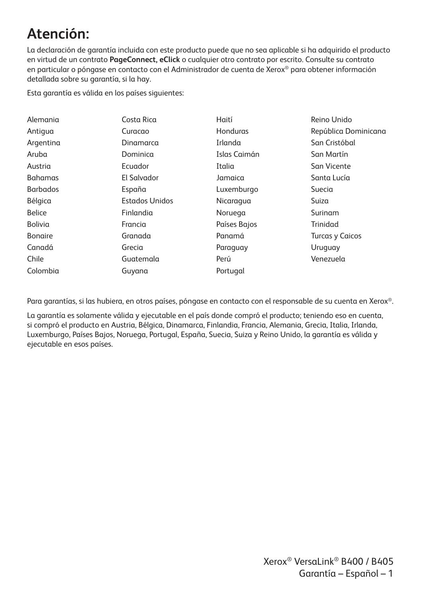### **Atención:**

La declaración de garantía incluida con este producto puede que no sea aplicable si ha adquirido el producto en virtud de un contrato **PageConnect, eClick** o cualquier otro contrato por escrito. Consulte su contrato en particular o póngase en contacto con el Administrador de cuenta de Xerox® para obtener información detallada sobre su garantía, si la hay.

Esta garantía es válida en los países siguientes:

| Alemania        | Costa Rica            | Haití        | Reino Unido            |
|-----------------|-----------------------|--------------|------------------------|
| Antigua         | Curacao               | Honduras     | República Dominicana   |
| Argentina       | Dinamarca             | Irlanda      | San Cristóbal          |
| Aruba           | Dominica              | Islas Caimán | San Martín             |
| Austria         | Ecuador               | Italia       | San Vicente            |
| <b>Bahamas</b>  | El Salvador           | Jamaica      | Santa Lucía            |
| <b>Barbados</b> | España                | Luxemburgo   | Suecia                 |
| Bélgica         | <b>Estados Unidos</b> | Nicaragua    | Suiza                  |
| <b>Belice</b>   | Finlandia             | Noruega      | Surinam                |
| Bolivia         | Francia               | Países Bajos | Trinidad               |
| <b>Bonaire</b>  | Granada               | Panamá       | <b>Turcas y Caicos</b> |
| Canadá          | Grecia                | Paraguay     | Uruguay                |
| Chile           | Guatemala             | Perú         | Venezuela              |
| Colombia        | Guyana                | Portugal     |                        |

Para garantías, si las hubiera, en otros países, póngase en contacto con el responsable de su cuenta en Xerox®.

La garantía es solamente válida y ejecutable en el país donde compró el producto; teniendo eso en cuenta, si compró el producto en Austria, Bélgica, Dinamarca, Finlandia, Francia, Alemania, Grecia, Italia, Irlanda, Luxemburgo, Países Bajos, Noruega, Portugal, España, Suecia, Suiza y Reino Unido, la garantía es válida y ejecutable en esos países.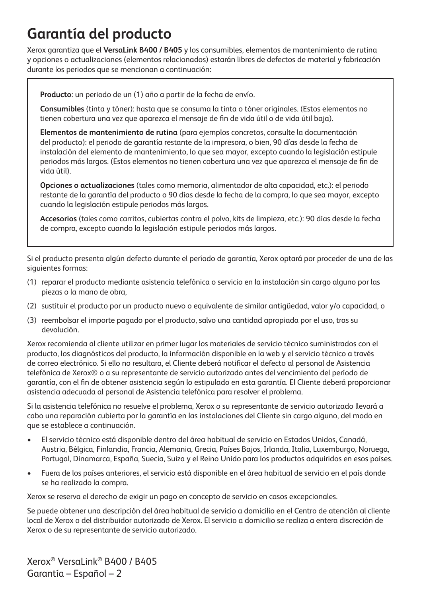### **Garantía del producto**

Xerox garantiza que el **VersaLink B400 / B405** y los consumibles, elementos de mantenimiento de rutina y opciones o actualizaciones (elementos relacionados) estarán libres de defectos de material y fabricación durante los periodos que se mencionan a continuación:

**Producto**: un periodo de un (1) año a partir de la fecha de envío.

**Consumibles** (tinta y tóner): hasta que se consuma la tinta o tóner originales. (Estos elementos no tienen cobertura una vez que aparezca el mensaje de fin de vida útil o de vida útil baja).

**Elementos de mantenimiento de rutina** (para ejemplos concretos, consulte la documentación del producto): el periodo de garantía restante de la impresora, o bien, 90 días desde la fecha de instalación del elemento de mantenimiento, lo que sea mayor, excepto cuando la legislación estipule periodos más largos. (Estos elementos no tienen cobertura una vez que aparezca el mensaje de fin de vida útil).

**Opciones o actualizaciones** (tales como memoria, alimentador de alta capacidad, etc.): el periodo restante de la garantía del producto o 90 días desde la fecha de la compra, lo que sea mayor, excepto cuando la legislación estipule periodos más largos.

**Accesorios** (tales como carritos, cubiertas contra el polvo, kits de limpieza, etc.): 90 días desde la fecha de compra, excepto cuando la legislación estipule periodos más largos.

Si el producto presenta algún defecto durante el período de garantía, Xerox optará por proceder de una de las siguientes formas:

- (1) reparar el producto mediante asistencia telefónica o servicio en la instalación sin cargo alguno por las piezas o la mano de obra,
- (2) sustituir el producto por un producto nuevo o equivalente de similar antigüedad, valor y/o capacidad, o
- (3) reembolsar el importe pagado por el producto, salvo una cantidad apropiada por el uso, tras su devolución.

Xerox recomienda al cliente utilizar en primer lugar los materiales de servicio técnico suministrados con el producto, los diagnósticos del producto, la información disponible en la web y el servicio técnico a través de correo electrónico. Si ello no resultara, el Cliente deberá notificar el defecto al personal de Asistencia telefónica de Xerox® o a su representante de servicio autorizado antes del vencimiento del período de garantía, con el fin de obtener asistencia según lo estipulado en esta garantía. El Cliente deberá proporcionar asistencia adecuada al personal de Asistencia telefónica para resolver el problema.

Si la asistencia telefónica no resuelve el problema, Xerox o su representante de servicio autorizado llevará a cabo una reparación cubierta por la garantía en las instalaciones del Cliente sin cargo alguno, del modo en que se establece a continuación.

- El servicio técnico está disponible dentro del área habitual de servicio en Estados Unidos, Canadá, Austria, Bélgica, Finlandia, Francia, Alemania, Grecia, Países Bajos, Irlanda, Italia, Luxemburgo, Noruega, Portugal, Dinamarca, España, Suecia, Suiza y el Reino Unido para los productos adquiridos en esos países.
- Fuera de los países anteriores, el servicio está disponible en el área habitual de servicio en el país donde se ha realizado la compra.

Xerox se reserva el derecho de exigir un pago en concepto de servicio en casos excepcionales.

Se puede obtener una descripción del área habitual de servicio a domicilio en el Centro de atención al cliente local de Xerox o del distribuidor autorizado de Xerox. El servicio a domicilio se realiza a entera discreción de Xerox o de su representante de servicio autorizado.

Xerox® VersaLink® B400 / B405 Garantía – Español – 2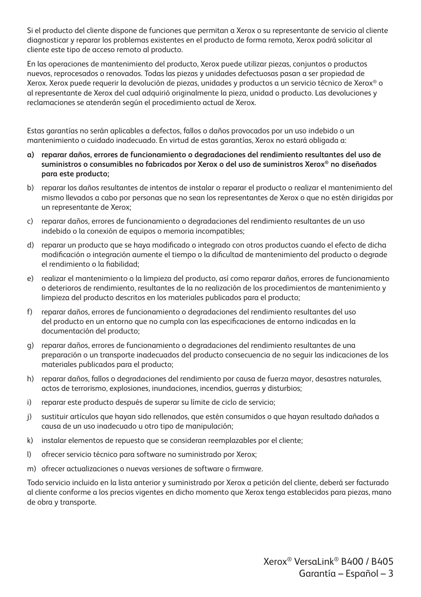Si el producto del cliente dispone de funciones que permitan a Xerox o su representante de servicio al cliente diagnosticar y reparar los problemas existentes en el producto de forma remota, Xerox podrá solicitar al cliente este tipo de acceso remoto al producto.

En las operaciones de mantenimiento del producto, Xerox puede utilizar piezas, conjuntos o productos nuevos, reprocesados o renovados. Todas las piezas y unidades defectuosas pasan a ser propiedad de Xerox. Xerox puede requerir la devolución de piezas, unidades y productos a un servicio técnico de Xerox® o al representante de Xerox del cual adquirió originalmente la pieza, unidad o producto. Las devoluciones y reclamaciones se atenderán según el procedimiento actual de Xerox.

Estas garantías no serán aplicables a defectos, fallos o daños provocados por un uso indebido o un mantenimiento o cuidado inadecuado. En virtud de estas garantías, Xerox no estará obligada a:

- **a) reparar daños, errores de funcionamiento o degradaciones del rendimiento resultantes del uso de suministros o consumibles no fabricados por Xerox o del uso de suministros Xerox® no diseñados para este producto;**
- b) reparar los daños resultantes de intentos de instalar o reparar el producto o realizar el mantenimiento del mismo llevados a cabo por personas que no sean los representantes de Xerox o que no estén dirigidas por un representante de Xerox;
- c) reparar daños, errores de funcionamiento o degradaciones del rendimiento resultantes de un uso indebido o la conexión de equipos o memoria incompatibles;
- d) reparar un producto que se haya modificado o integrado con otros productos cuando el efecto de dicha modificación o integración aumente el tiempo o la dificultad de mantenimiento del producto o degrade el rendimiento o la fiabilidad;
- e) realizar el mantenimiento o la limpieza del producto, así como reparar daños, errores de funcionamiento o deterioros de rendimiento, resultantes de la no realización de los procedimientos de mantenimiento y limpieza del producto descritos en los materiales publicados para el producto;
- f) reparar daños, errores de funcionamiento o degradaciones del rendimiento resultantes del uso del producto en un entorno que no cumpla con las especificaciones de entorno indicadas en la documentación del producto;
- g) reparar daños, errores de funcionamiento o degradaciones del rendimiento resultantes de una preparación o un transporte inadecuados del producto consecuencia de no seguir las indicaciones de los materiales publicados para el producto;
- h) reparar daños, fallos o degradaciones del rendimiento por causa de fuerza mayor, desastres naturales, actos de terrorismo, explosiones, inundaciones, incendios, guerras y disturbios;
- i) reparar este producto después de superar su límite de ciclo de servicio;
- j) sustituir artículos que hayan sido rellenados, que estén consumidos o que hayan resultado dañados a causa de un uso inadecuado u otro tipo de manipulación;
- k) instalar elementos de repuesto que se consideran reemplazables por el cliente;
- l) ofrecer servicio técnico para software no suministrado por Xerox;
- m) ofrecer actualizaciones o nuevas versiones de software o firmware.

Todo servicio incluido en la lista anterior y suministrado por Xerox a petición del cliente, deberá ser facturado al cliente conforme a los precios vigentes en dicho momento que Xerox tenga establecidos para piezas, mano de obra y transporte.

> Xerox® VersaLink® B400 / B405 Garantía – Español – 3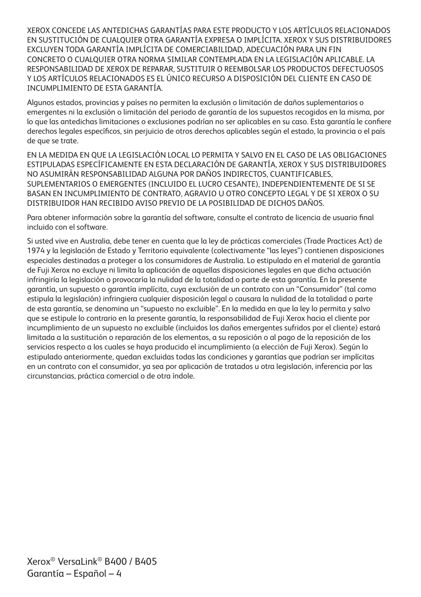XEROX CONCEDE LAS ANTEDICHAS GARANTÍAS PARA ESTE PRODUCTO Y LOS ARTÍCULOS RELACIONADOS EN SUSTITUCIÓN DE CUALQUIER OTRA GARANTÍA EXPRESA O IMPLÍCITA. XEROX Y SUS DISTRIBUIDORES EXCLUYEN TODA GARANTÍA IMPLÍCITA DE COMERCIABILIDAD, ADECUACIÓN PARA UN FIN CONCRETO O CUALQUIER OTRA NORMA SIMILAR CONTEMPLADA EN LA LEGISLACIÓN APLICABLE. LA RESPONSABILIDAD DE XEROX DE REPARAR, SUSTITUIR O REEMBOLSAR LOS PRODUCTOS DEFECTUOSOS Y LOS ARTÍCULOS RELACIONADOS ES EL ÚNICO RECURSO A DISPOSICIÓN DEL CLIENTE EN CASO DE INCUMPLIMIENTO DE ESTA GARANTÍA.

Algunos estados, provincias y países no permiten la exclusión o limitación de daños suplementarios o emergentes ni la exclusión o limitación del periodo de garantía de los supuestos recogidos en la misma, por lo que las antedichas limitaciones o exclusiones podrían no ser aplicables en su caso. Esta garantía le confiere derechos legales específicos, sin perjuicio de otros derechos aplicables según el estado, la provincia o el país de que se trate.

EN LA MEDIDA EN QUE LA LEGISLACIÓN LOCAL LO PERMITA Y SALVO EN EL CASO DE LAS OBLIGACIONES ESTIPULADAS ESPECÍFICAMENTE EN ESTA DECLARACIÓN DE GARANTÍA, XEROX Y SUS DISTRIBUIDORES NO ASUMIRÁN RESPONSABILIDAD ALGUNA POR DAÑOS INDIRECTOS, CUANTIFICABLES, SUPLEMENTARIOS O EMERGENTES (INCLUIDO EL LUCRO CESANTE), INDEPENDIENTEMENTE DE SI SE BASAN EN INCUMPLIMIENTO DE CONTRATO, AGRAVIO U OTRO CONCEPTO LEGAL Y DE SI XEROX O SU DISTRIBUIDOR HAN RECIBIDO AVISO PREVIO DE LA POSIBILIDAD DE DICHOS DAÑOS.

Para obtener información sobre la garantía del software, consulte el contrato de licencia de usuario final incluido con el software.

Si usted vive en Australia, debe tener en cuenta que la ley de prácticas comerciales (Trade Practices Act) de 1974 y la legislación de Estado y Territorio equivalente (colectivamente "las leyes") contienen disposiciones especiales destinadas a proteger a los consumidores de Australia. Lo estipulado en el material de garantía de Fuji Xerox no excluye ni limita la aplicación de aquellas disposiciones legales en que dicha actuación infringiría la legislación o provocaría la nulidad de la totalidad o parte de esta garantía. En la presente garantía, un supuesto o garantía implícita, cuya exclusión de un contrato con un "Consumidor" (tal como estipula la legislación) infringiera cualquier disposición legal o causara la nulidad de la totalidad o parte de esta garantía, se denomina un "supuesto no excluible". En la medida en que la ley lo permita y salvo que se estipule lo contrario en la presente garantía, la responsabilidad de Fuji Xerox hacia el cliente por incumplimiento de un supuesto no excluible (incluidos los daños emergentes sufridos por el cliente) estará limitada a la sustitución o reparación de los elementos, a su reposición o al pago de la reposición de los servicios respecto a los cuales se haya producido el incumplimiento (a elección de Fuji Xerox). Según lo estipulado anteriormente, quedan excluidas todas las condiciones y garantías que podrían ser implícitas en un contrato con el consumidor, ya sea por aplicación de tratados u otra legislación, inferencia por las circunstancias, práctica comercial o de otra índole.

Xerox® VersaLink® B400 / B405 Garantía – Español – 4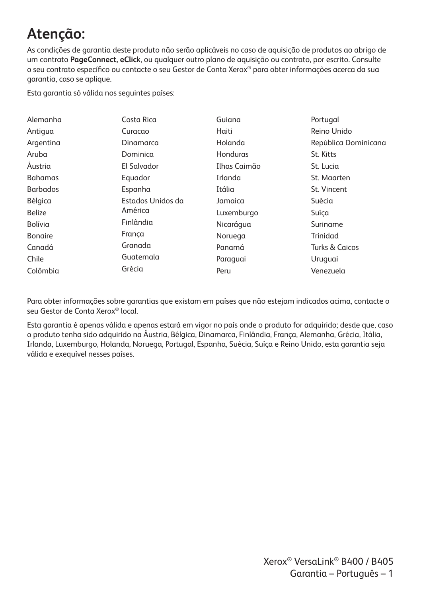# **Atenção:**

As condições de garantia deste produto não serão aplicáveis no caso de aquisição de produtos ao abrigo de um contrato **PageConnect, eClick**, ou qualquer outro plano de aquisição ou contrato, por escrito. Consulte o seu contrato específico ou contacte o seu Gestor de Conta Xerox® para obter informações acerca da sua garantia, caso se aplique.

Esta garantia só válida nos seguintes países:

| Alemanha        | Costa Rica        | Guiana       | Portugal                  |
|-----------------|-------------------|--------------|---------------------------|
| Antigua         | Curacao           | Haiti        | Reino Unido               |
| Argentina       | Dinamarca         | Holanda      | República Dominicana      |
| Aruba           | Dominica          | Honduras     | St. Kitts                 |
| Austria         | El Salvador       | Ilhas Caimão | St. Lucia                 |
| <b>Bahamas</b>  | Equador           | Irlanda      | St. Maarten               |
| <b>Barbados</b> | Espanha           | Itália       | St. Vincent               |
| Bélgica         | Estados Unidos da | Jamaica      | Suécia                    |
| <b>Belize</b>   | América           | Luxemburgo   | Suíca                     |
| Bolívia         | Finlândia         | Nicarágua    | Suriname                  |
| <b>Bongire</b>  | Franca            | Noruega      | Trinidad                  |
| Canadá          | Granada           | Panamá       | <b>Turks &amp; Caicos</b> |
| Chile           | Guatemala         | Paraguai     | Uruguai                   |
| Colômbia        | Grécia            | Peru         | Venezuela                 |

Para obter informações sobre garantias que existam em países que não estejam indicados acima, contacte o seu Gestor de Conta Xerox® local.

Esta garantia é apenas válida e apenas estará em vigor no país onde o produto for adquirido; desde que, caso o produto tenha sido adquirido na Áustria, Bélgica, Dinamarca, Finlândia, França, Alemanha, Grécia, Itália, Irlanda, Luxemburgo, Holanda, Noruega, Portugal, Espanha, Suécia, Suíça e Reino Unido, esta garantia seja válida e exequível nesses países.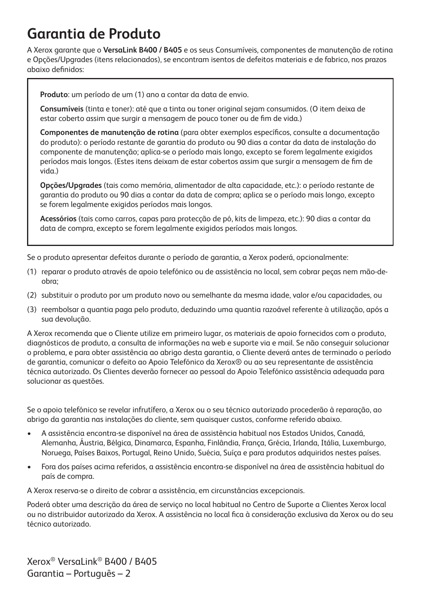### **Garantia de Produto**

A Xerox garante que o **VersaLink B400 / B405** e os seus Consumíveis, componentes de manutenção de rotina e Opções/Upgrades (itens relacionados), se encontram isentos de defeitos materiais e de fabrico, nos prazos abaixo definidos:

**Produto**: um período de um (1) ano a contar da data de envio.

**Consumíveis** (tinta e toner): até que a tinta ou toner original sejam consumidos. (O item deixa de estar coberto assim que surgir a mensagem de pouco toner ou de fim de vida.)

**Componentes de manutenção de rotina** (para obter exemplos específicos, consulte a documentação do produto): o período restante de garantia do produto ou 90 dias a contar da data de instalação do componente de manutenção; aplica-se o período mais longo, excepto se forem legalmente exigidos períodos mais longos. (Estes itens deixam de estar cobertos assim que surgir a mensagem de fim de vida.)

**Opções/Upgrades** (tais como memória, alimentador de alta capacidade, etc.): o período restante de garantia do produto ou 90 dias a contar da data de compra; aplica se o período mais longo, excepto se forem legalmente exigidos períodos mais longos.

**Acessórios** (tais como carros, capas para protecção de pó, kits de limpeza, etc.): 90 dias a contar da data de compra, excepto se forem legalmente exigidos períodos mais longos.

Se o produto apresentar defeitos durante o período de garantia, a Xerox poderá, opcionalmente:

- (1) reparar o produto através de apoio telefónico ou de assistência no local, sem cobrar peças nem mão-deobra;
- (2) substituir o produto por um produto novo ou semelhante da mesma idade, valor e/ou capacidades, ou
- (3) reembolsar a quantia paga pelo produto, deduzindo uma quantia razoável referente à utilização, após a sua devolução.

A Xerox recomenda que o Cliente utilize em primeiro lugar, os materiais de apoio fornecidos com o produto, diagnósticos de produto, a consulta de informações na web e suporte via e mail. Se não conseguir solucionar o problema, e para obter assistência ao abrigo desta garantia, o Cliente deverá antes de terminado o período de garantia, comunicar o defeito ao Apoio Telefónico da Xerox® ou ao seu representante de assistência técnica autorizado. Os Clientes deverão fornecer ao pessoal do Apoio Telefónico assistência adequada para solucionar as questões.

Se o apoio telefónico se revelar infrutífero, a Xerox ou o seu técnico autorizado procederão à reparação, ao abrigo da garantia nas instalações do cliente, sem quaisquer custos, conforme referido abaixo.

- A assistência encontra-se disponível na área de assistência habitual nos Estados Unidos, Canadá, Alemanha, Áustria, Bélgica, Dinamarca, Espanha, Finlândia, França, Grécia, Irlanda, Itália, Luxemburgo, Noruega, Países Baixos, Portugal, Reino Unido, Suécia, Suíça e para produtos adquiridos nestes países.
- Fora dos países acima referidos, a assistência encontra-se disponível na área de assistência habitual do país de compra.

A Xerox reserva-se o direito de cobrar a assistência, em circunstâncias excepcionais.

Poderá obter uma descrição da área de serviço no local habitual no Centro de Suporte a Clientes Xerox local ou no distribuidor autorizado da Xerox. A assistência no local fica à consideração exclusiva da Xerox ou do seu técnico autorizado.

Xerox® VersaLink® B400 / B405 Garantia – Português – 2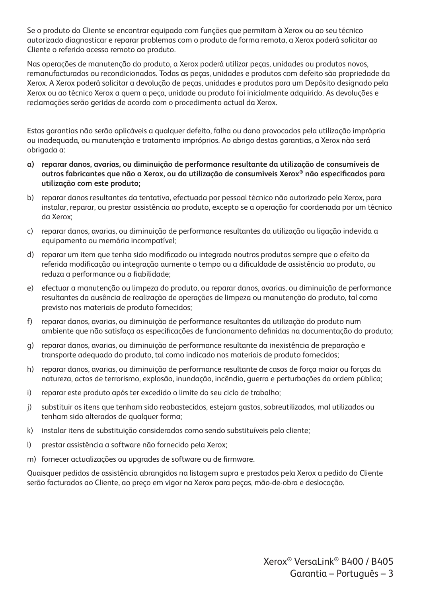Se o produto do Cliente se encontrar equipado com funções que permitam à Xerox ou ao seu técnico autorizado diagnosticar e reparar problemas com o produto de forma remota, a Xerox poderá solicitar ao Cliente o referido acesso remoto ao produto.

Nas operações de manutenção do produto, a Xerox poderá utilizar peças, unidades ou produtos novos, remanufacturados ou recondicionados. Todas as peças, unidades e produtos com defeito são propriedade da Xerox. A Xerox poderá solicitar a devolução de peças, unidades e produtos para um Depósito designado pela Xerox ou ao técnico Xerox a quem a peça, unidade ou produto foi inicialmente adquirido. As devoluções e reclamações serão geridas de acordo com o procedimento actual da Xerox.

Estas garantias não serão aplicáveis a qualquer defeito, falha ou dano provocados pela utilização imprópria ou inadequada, ou manutenção e tratamento impróprios. Ao abrigo destas garantias, a Xerox não será obrigada a:

- **a) reparar danos, avarias, ou diminuição de performance resultante da utilização de consumíveis de outros fabricantes que não a Xerox, ou da utilização de consumíveis Xerox® não especificados para utilização com este produto;**
- b) reparar danos resultantes da tentativa, efectuada por pessoal técnico não autorizado pela Xerox, para instalar, reparar, ou prestar assistência ao produto, excepto se a operação for coordenada por um técnico da Xerox;
- c) reparar danos, avarias, ou diminuição de performance resultantes da utilização ou ligação indevida a equipamento ou memória incompatível;
- d) reparar um item que tenha sido modificado ou integrado noutros produtos sempre que o efeito da referida modificação ou integração aumente o tempo ou a dificuldade de assistência ao produto, ou reduza a performance ou a fiabilidade;
- e) efectuar a manutenção ou limpeza do produto, ou reparar danos, avarias, ou diminuição de performance resultantes da ausência de realização de operações de limpeza ou manutenção do produto, tal como previsto nos materiais de produto fornecidos;
- f) reparar danos, avarias, ou diminuição de performance resultantes da utilização do produto num ambiente que não satisfaça as especificações de funcionamento definidas na documentação do produto;
- g) reparar danos, avarias, ou diminuição de performance resultante da inexistência de preparação e transporte adequado do produto, tal como indicado nos materiais de produto fornecidos;
- h) reparar danos, avarias, ou diminuição de performance resultante de casos de força maior ou forças da natureza, actos de terrorismo, explosão, inundação, incêndio, guerra e perturbações da ordem pública;
- i) reparar este produto após ter excedido o limite do seu ciclo de trabalho;
- j) substituir os itens que tenham sido reabastecidos, estejam gastos, sobreutilizados, mal utilizados ou tenham sido alterados de qualquer forma;
- k) instalar itens de substituição considerados como sendo substituíveis pelo cliente;
- l) prestar assistência a software não fornecido pela Xerox;
- m) fornecer actualizações ou upgrades de software ou de firmware.

Quaisquer pedidos de assistência abrangidos na listagem supra e prestados pela Xerox a pedido do Cliente serão facturados ao Cliente, ao preço em vigor na Xerox para peças, mão-de-obra e deslocação.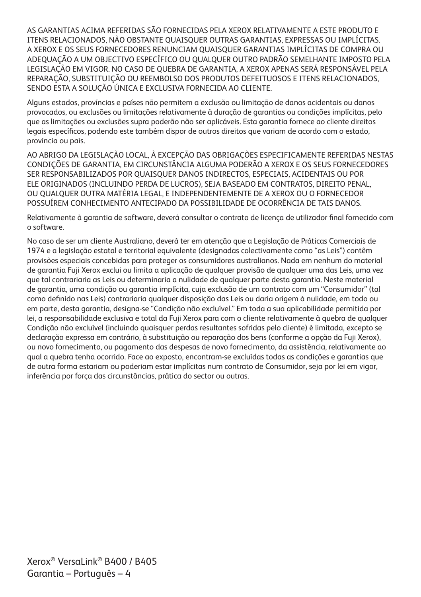AS GARANTIAS ACIMA REFERIDAS SÃO FORNECIDAS PELA XEROX RELATIVAMENTE A ESTE PRODUTO E ITENS RELACIONADOS, NÃO OBSTANTE QUAISQUER OUTRAS GARANTIAS, EXPRESSAS OU IMPLÍCITAS. A XEROX E OS SEUS FORNECEDORES RENUNCIAM QUAISQUER GARANTIAS IMPLÍCITAS DE COMPRA OU ADEQUAÇÃO A UM OBJECTIVO ESPECÍFICO OU QUALQUER OUTRO PADRÃO SEMELHANTE IMPOSTO PELA LEGISLAÇÃO EM VIGOR. NO CASO DE QUEBRA DE GARANTIA, A XEROX APENAS SERÁ RESPONSÁVEL PELA REPARAÇÃO, SUBSTITUIÇÃO OU REEMBOLSO DOS PRODUTOS DEFEITUOSOS E ITENS RELACIONADOS, SENDO ESTA A SOLUÇÃO ÚNICA E EXCLUSIVA FORNECIDA AO CLIENTE.

Alguns estados, províncias e países não permitem a exclusão ou limitação de danos acidentais ou danos provocados, ou exclusões ou limitações relativamente à duração de garantias ou condições implícitas, pelo que as limitações ou exclusões supra poderão não ser aplicáveis. Esta garantia fornece ao cliente direitos legais específicos, podendo este também dispor de outros direitos que variam de acordo com o estado, província ou país.

AO ABRIGO DA LEGISLAÇÃO LOCAL, À EXCEPÇÃO DAS OBRIGAÇÕES ESPECIFICAMENTE REFERIDAS NESTAS CONDIÇÕES DE GARANTIA, EM CIRCUNSTÂNCIA ALGUMA PODERÃO A XEROX E OS SEUS FORNECEDORES SER RESPONSABILIZADOS POR QUAISQUER DANOS INDIRECTOS, ESPECIAIS, ACIDENTAIS OU POR ELE ORIGINADOS (INCLUINDO PERDA DE LUCROS), SEJA BASEADO EM CONTRATOS, DIREITO PENAL, OU QUALQUER OUTRA MATÉRIA LEGAL, E INDEPENDENTEMENTE DE A XEROX OU O FORNECEDOR POSSUÍREM CONHECIMENTO ANTECIPADO DA POSSIBILIDADE DE OCORRÊNCIA DE TAIS DANOS.

Relativamente à garantia de software, deverá consultar o contrato de licença de utilizador final fornecido com o software.

No caso de ser um cliente Australiano, deverá ter em atenção que a Legislação de Práticas Comerciais de 1974 e a legislação estatal e territorial equivalente (designadas colectivamente como "as Leis") contêm provisões especiais concebidas para proteger os consumidores australianos. Nada em nenhum do material de garantia Fuji Xerox exclui ou limita a aplicação de qualquer provisão de qualquer uma das Leis, uma vez que tal contrariaria as Leis ou determinaria a nulidade de qualquer parte desta garantia. Neste material de garantia, uma condição ou garantia implícita, cuja exclusão de um contrato com um "Consumidor" (tal como definido nas Leis) contrariaria qualquer disposição das Leis ou daria origem à nulidade, em todo ou em parte, desta garantia, designa-se "Condição não excluível." Em toda a sua aplicabilidade permitida por lei, a responsabilidade exclusiva e total da Fuji Xerox para com o cliente relativamente à quebra de qualquer Condição não excluível (incluindo quaisquer perdas resultantes sofridas pelo cliente) é limitada, excepto se declaração expressa em contrário, à substituição ou reparação dos bens (conforme a opção da Fuji Xerox), ou novo fornecimento, ou pagamento das despesas de novo fornecimento, da assistência, relativamente ao qual a quebra tenha ocorrido. Face ao exposto, encontram-se excluídas todas as condições e garantias que de outra forma estariam ou poderiam estar implícitas num contrato de Consumidor, seja por lei em vigor, inferência por força das circunstâncias, prática do sector ou outras.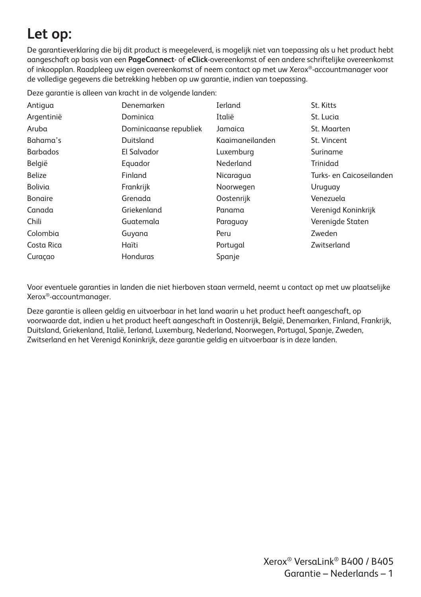### **Let op:**

De garantieverklaring die bij dit product is meegeleverd, is mogelijk niet van toepassing als u het product hebt aangeschaft op basis van een **PageConnect**- of **eClick**-overeenkomst of een andere schriftelijke overeenkomst of inkoopplan. Raadpleeg uw eigen overeenkomst of neem contact op met uw Xerox®-accountmanager voor de volledige gegevens die betrekking hebben op uw garantie, indien van toepassing.

Deze garantie is alleen van kracht in de volgende landen:

| Antigua         | Denemarken             | Ierland         | St. Kitts                |
|-----------------|------------------------|-----------------|--------------------------|
| Argentinië      | Dominica               | Italië          | St. Lucia                |
| Aruba           | Dominicaanse republiek | Jamaica         | St. Maarten              |
| Bahama's        | Duitsland              | Kaaimaneilanden | St. Vincent              |
| <b>Barbados</b> | El Salvador            | Luxemburg       | Suriname                 |
| België          | Equador                | Nederland       | Trinidad                 |
| <b>Belize</b>   | Finland                | Nicaragua       | Turks- en Caicoseilanden |
| Bolivia         | Frankrijk              | Noorwegen       | Uruguay                  |
| <b>Bonaire</b>  | Grenada                | Oostenrijk      | Venezuela                |
| Canada          | Griekenland            | Panama          | Verenigd Koninkrijk      |
| Chili           | Guatemala              | Paraguay        | Verenigde Staten         |
| Colombia        | Guyana                 | Peru            | Zweden                   |
| Costa Rica      | Haïti                  | Portugal        | Zwitserland              |
| Curaçao         | Honduras               | Spanje          |                          |

Voor eventuele garanties in landen die niet hierboven staan vermeld, neemt u contact op met uw plaatselijke Xerox®-accountmanager.

Deze garantie is alleen geldig en uitvoerbaar in het land waarin u het product heeft aangeschaft, op voorwaarde dat, indien u het product heeft aangeschaft in Oostenrijk, België, Denemarken, Finland, Frankrijk, Duitsland, Griekenland, Italië, Ierland, Luxemburg, Nederland, Noorwegen, Portugal, Spanje, Zweden, Zwitserland en het Verenigd Koninkrijk, deze garantie geldig en uitvoerbaar is in deze landen.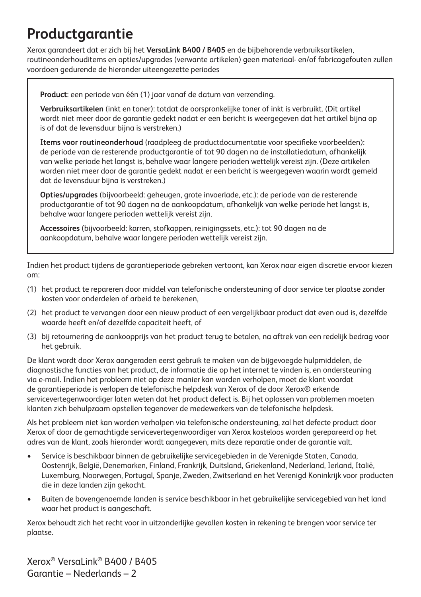### **Productgarantie**

Xerox garandeert dat er zich bij het **VersaLink B400 / B405** en de bijbehorende verbruiksartikelen, routineonderhouditems en opties/upgrades (verwante artikelen) geen materiaal- en/of fabricagefouten zullen voordoen gedurende de hieronder uiteengezette periodes

**Product**: een periode van één (1) jaar vanaf de datum van verzending.

**Verbruiksartikelen** (inkt en toner): totdat de oorspronkelijke toner of inkt is verbruikt. (Dit artikel wordt niet meer door de garantie gedekt nadat er een bericht is weergegeven dat het artikel bijna op is of dat de levensduur bijna is verstreken.)

**Items voor routineonderhoud** (raadpleeg de productdocumentatie voor specifieke voorbeelden): de periode van de resterende productgarantie of tot 90 dagen na de installatiedatum, afhankelijk van welke periode het langst is, behalve waar langere perioden wettelijk vereist zijn. (Deze artikelen worden niet meer door de garantie gedekt nadat er een bericht is weergegeven waarin wordt gemeld dat de levensduur bijna is verstreken.)

**Opties/upgrades** (bijvoorbeeld: geheugen, grote invoerlade, etc.): de periode van de resterende productgarantie of tot 90 dagen na de aankoopdatum, afhankelijk van welke periode het langst is, behalve waar langere perioden wettelijk vereist zijn.

**Accessoires** (bijvoorbeeld: karren, stofkappen, reinigingssets, etc.): tot 90 dagen na de aankoopdatum, behalve waar langere perioden wettelijk vereist zijn.

Indien het product tijdens de garantieperiode gebreken vertoont, kan Xerox naar eigen discretie ervoor kiezen om:

- (1) het product te repareren door middel van telefonische ondersteuning of door service ter plaatse zonder kosten voor onderdelen of arbeid te berekenen,
- (2) het product te vervangen door een nieuw product of een vergelijkbaar product dat even oud is, dezelfde waarde heeft en/of dezelfde capaciteit heeft, of
- (3) bij retournering de aankoopprijs van het product terug te betalen, na aftrek van een redelijk bedrag voor het gebruik.

De klant wordt door Xerox aangeraden eerst gebruik te maken van de bijgevoegde hulpmiddelen, de diagnostische functies van het product, de informatie die op het internet te vinden is, en ondersteuning via e-mail. Indien het probleem niet op deze manier kan worden verholpen, moet de klant voordat de garantieperiode is verlopen de telefonische helpdesk van Xerox of de door Xerox® erkende servicevertegenwoordiger laten weten dat het product defect is. Bij het oplossen van problemen moeten klanten zich behulpzaam opstellen tegenover de medewerkers van de telefonische helpdesk.

Als het probleem niet kan worden verholpen via telefonische ondersteuning, zal het defecte product door Xerox of door de gemachtigde servicevertegenwoordiger van Xerox kosteloos worden gerepareerd op het adres van de klant, zoals hieronder wordt aangegeven, mits deze reparatie onder de garantie valt.

- Service is beschikbaar binnen de gebruikelijke servicegebieden in de Verenigde Staten, Canada, Oostenrijk, België, Denemarken, Finland, Frankrijk, Duitsland, Griekenland, Nederland, Ierland, Italië, Luxemburg, Noorwegen, Portugal, Spanje, Zweden, Zwitserland en het Verenigd Koninkrijk voor producten die in deze landen zijn gekocht.
- Buiten de bovengenoemde landen is service beschikbaar in het gebruikelijke servicegebied van het land waar het product is aangeschaft.

Xerox behoudt zich het recht voor in uitzonderlijke gevallen kosten in rekening te brengen voor service ter plaatse.

Xerox® VersaLink® B400 / B405 Garantie – Nederlands – 2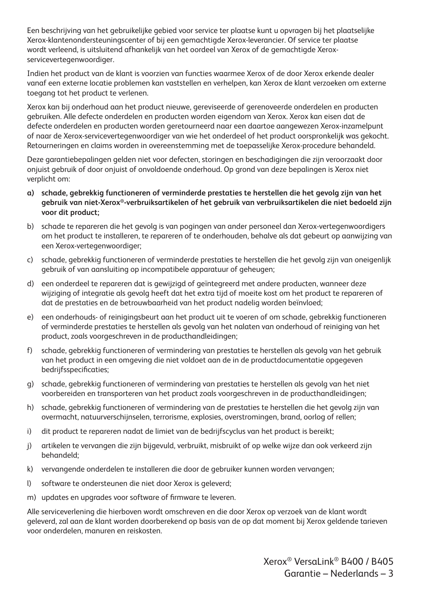Een beschrijving van het gebruikelijke gebied voor service ter plaatse kunt u opvragen bij het plaatselijke Xerox-klantenondersteuningscenter of bij een gemachtigde Xerox-leverancier. Of service ter plaatse wordt verleend, is uitsluitend afhankelijk van het oordeel van Xerox of de gemachtigde Xeroxservicevertegenwoordiger.

Indien het product van de klant is voorzien van functies waarmee Xerox of de door Xerox erkende dealer vanaf een externe locatie problemen kan vaststellen en verhelpen, kan Xerox de klant verzoeken om externe toegang tot het product te verlenen.

Xerox kan bij onderhoud aan het product nieuwe, gereviseerde of gerenoveerde onderdelen en producten gebruiken. Alle defecte onderdelen en producten worden eigendom van Xerox. Xerox kan eisen dat de defecte onderdelen en producten worden geretourneerd naar een daartoe aangewezen Xerox-inzamelpunt of naar de Xerox-servicevertegenwoordiger van wie het onderdeel of het product oorspronkelijk was gekocht. Retourneringen en claims worden in overeenstemming met de toepasselijke Xerox-procedure behandeld.

Deze garantiebepalingen gelden niet voor defecten, storingen en beschadigingen die zijn veroorzaakt door onjuist gebruik of door onjuist of onvoldoende onderhoud. Op grond van deze bepalingen is Xerox niet verplicht om:

- **a) schade, gebrekkig functioneren of verminderde prestaties te herstellen die het gevolg zijn van het gebruik van niet-Xerox®-verbruiksartikelen of het gebruik van verbruiksartikelen die niet bedoeld zijn voor dit product;**
- b) schade te repareren die het gevolg is van pogingen van ander personeel dan Xerox-vertegenwoordigers om het product te installeren, te repareren of te onderhouden, behalve als dat gebeurt op aanwijzing van een Xerox-vertegenwoordiger;
- c) schade, gebrekkig functioneren of verminderde prestaties te herstellen die het gevolg zijn van oneigenlijk gebruik of van aansluiting op incompatibele apparatuur of geheugen;
- d) een onderdeel te repareren dat is gewijzigd of geïntegreerd met andere producten, wanneer deze wijziging of integratie als gevolg heeft dat het extra tijd of moeite kost om het product te repareren of dat de prestaties en de betrouwbaarheid van het product nadelig worden beïnvloed;
- e) een onderhouds- of reinigingsbeurt aan het product uit te voeren of om schade, gebrekkig functioneren of verminderde prestaties te herstellen als gevolg van het nalaten van onderhoud of reiniging van het product, zoals voorgeschreven in de producthandleidingen;
- f) schade, gebrekkig functioneren of vermindering van prestaties te herstellen als gevolg van het gebruik van het product in een omgeving die niet voldoet aan de in de productdocumentatie opgegeven bedrijfsspecificaties;
- g) schade, gebrekkig functioneren of vermindering van prestaties te herstellen als gevolg van het niet voorbereiden en transporteren van het product zoals voorgeschreven in de producthandleidingen;
- h) schade, gebrekkig functioneren of vermindering van de prestaties te herstellen die het gevolg zijn van overmacht, natuurverschijnselen, terrorisme, explosies, overstromingen, brand, oorlog of rellen;
- i) dit product te repareren nadat de limiet van de bedrijfscyclus van het product is bereikt;
- j) artikelen te vervangen die zijn bijgevuld, verbruikt, misbruikt of op welke wijze dan ook verkeerd zijn behandeld;
- k) vervangende onderdelen te installeren die door de gebruiker kunnen worden vervangen;
- l) software te ondersteunen die niet door Xerox is geleverd;
- m) updates en upgrades voor software of firmware te leveren.

Alle serviceverlening die hierboven wordt omschreven en die door Xerox op verzoek van de klant wordt geleverd, zal aan de klant worden doorberekend op basis van de op dat moment bij Xerox geldende tarieven voor onderdelen, manuren en reiskosten.

> Xerox® VersaLink® B400 / B405 Garantie – Nederlands – 3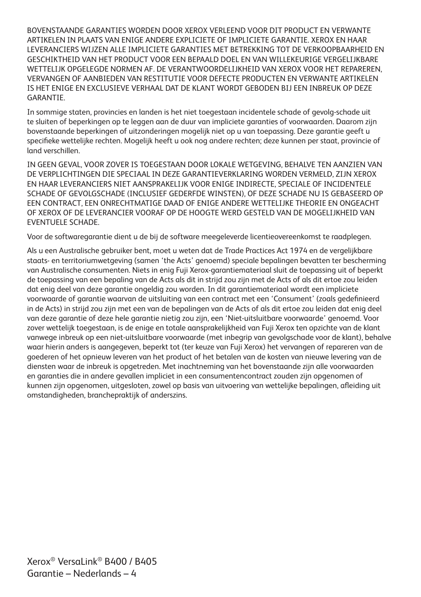BOVENSTAANDE GARANTIES WORDEN DOOR XEROX VERLEEND VOOR DIT PRODUCT EN VERWANTE ARTIKELEN IN PLAATS VAN ENIGE ANDERE EXPLICIETE OF IMPLICIETE GARANTIE. XEROX EN HAAR LEVERANCIERS WIJZEN ALLE IMPLICIETE GARANTIES MET BETREKKING TOT DE VERKOOPBAARHEID EN GESCHIKTHEID VAN HET PRODUCT VOOR EEN BEPAALD DOEL EN VAN WILLEKEURIGE VERGELIJKBARE WETTELIJK OPGELEGDE NORMEN AF. DE VERANTWOORDELIJKHEID VAN XEROX VOOR HET REPAREREN, VERVANGEN OF AANBIEDEN VAN RESTITUTIE VOOR DEFECTE PRODUCTEN EN VERWANTE ARTIKELEN IS HET ENIGE EN EXCLUSIEVE VERHAAL DAT DE KLANT WORDT GEBODEN BIJ EEN INBREUK OP DEZE **GARANTIF** 

In sommige staten, provincies en landen is het niet toegestaan incidentele schade of gevolg-schade uit te sluiten of beperkingen op te leggen aan de duur van impliciete garanties of voorwaarden. Daarom zijn bovenstaande beperkingen of uitzonderingen mogelijk niet op u van toepassing. Deze garantie geeft u specifieke wettelijke rechten. Mogelijk heeft u ook nog andere rechten; deze kunnen per staat, provincie of land verschillen.

IN GEEN GEVAL, VOOR ZOVER IS TOEGESTAAN DOOR LOKALE WETGEVING, BEHALVE TEN AANZIEN VAN DE VERPLICHTINGEN DIE SPECIAAL IN DEZE GARANTIEVERKLARING WORDEN VERMELD, ZIJN XEROX EN HAAR LEVERANCIERS NIET AANSPRAKELIJK VOOR ENIGE INDIRECTE, SPECIALE OF INCIDENTELE SCHADE OF GEVOLGSCHADE (INCLUSIEF GEDERFDE WINSTEN), OF DEZE SCHADE NU IS GEBASEERD OP EEN CONTRACT, EEN ONRECHTMATIGE DAAD OF ENIGE ANDERE WETTELIJKE THEORIE EN ONGEACHT OF XEROX OF DE LEVERANCIER VOORAF OP DE HOOGTE WERD GESTELD VAN DE MOGELIJKHEID VAN EVENTUELE SCHADE.

Voor de softwaregarantie dient u de bij de software meegeleverde licentieovereenkomst te raadplegen.

Als u een Australische gebruiker bent, moet u weten dat de Trade Practices Act 1974 en de vergelijkbare staats- en territoriumwetgeving (samen 'the Acts' genoemd) speciale bepalingen bevatten ter bescherming van Australische consumenten. Niets in enig Fuji Xerox-garantiemateriaal sluit de toepassing uit of beperkt de toepassing van een bepaling van de Acts als dit in strijd zou zijn met de Acts of als dit ertoe zou leiden dat enig deel van deze garantie ongeldig zou worden. In dit garantiemateriaal wordt een impliciete voorwaarde of garantie waarvan de uitsluiting van een contract met een 'Consument' (zoals gedefinieerd in de Acts) in strijd zou zijn met een van de bepalingen van de Acts of als dit ertoe zou leiden dat enig deel van deze garantie of deze hele garantie nietig zou zijn, een 'Niet-uitsluitbare voorwaarde' genoemd. Voor zover wettelijk toegestaan, is de enige en totale aansprakelijkheid van Fuji Xerox ten opzichte van de klant vanwege inbreuk op een niet-uitsluitbare voorwaarde (met inbegrip van gevolgschade voor de klant), behalve waar hierin anders is aangegeven, beperkt tot (ter keuze van Fuji Xerox) het vervangen of repareren van de goederen of het opnieuw leveren van het product of het betalen van de kosten van nieuwe levering van de diensten waar de inbreuk is opgetreden. Met inachtneming van het bovenstaande zijn alle voorwaarden en garanties die in andere gevallen impliciet in een consumentencontract zouden zijn opgenomen of kunnen zijn opgenomen, uitgesloten, zowel op basis van uitvoering van wettelijke bepalingen, afleiding uit omstandigheden, branchepraktijk of anderszins.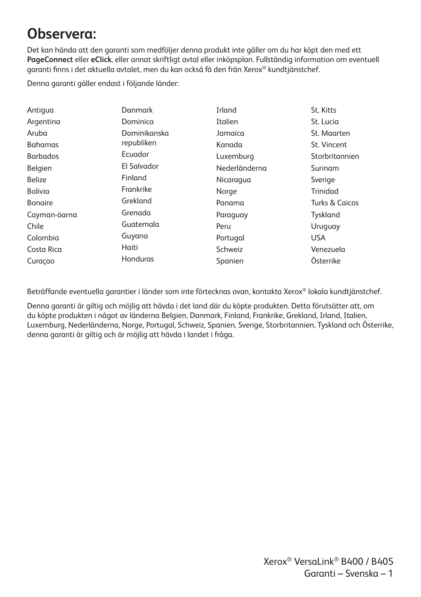#### **Observera:**

Det kan hända att den garanti som medföljer denna produkt inte gäller om du har köpt den med ett **PageConnect** eller **eClick**, eller annat skriftligt avtal eller inköpsplan. Fullständig information om eventuell garanti finns i det aktuella avtalet, men du kan också få den från Xerox® kundtjänstchef.

Denna garanti gäller endast i följande länder:

| Antiqua         | Danmark      | Irland        | St. Kitts                 |
|-----------------|--------------|---------------|---------------------------|
| Argentina       | Dominica     | Italien       | St. Lucia                 |
| Aruba           | Dominikanska | Jamaica       | St. Maarten               |
| <b>Bahamas</b>  | republiken   | Kanada        | St. Vincent               |
| <b>Barbados</b> | Ecuador      | Luxemburg     | Storbritannien            |
| Belgien         | El Salvador  | Nederländerna | Surinam                   |
| <b>Belize</b>   | Finland      | Nicaragua     | Sverige                   |
| Bolivia         | Frankrike    | Norge         | Trinidad                  |
| <b>Bongire</b>  | Grekland     | Panama        | <b>Turks &amp; Caicos</b> |
| Cayman-öarna    | Grenada      | Paraguay      | Tyskland                  |
| Chile           | Guatemala    | Peru          | Uruguay                   |
| Colombia        | Guyana       | Portugal      | <b>USA</b>                |
| Costa Rica      | Haiti        | Schweiz       | Venezuela                 |
| Curaçao         | Honduras     | Spanien       | Österrike                 |

Beträffande eventuella garantier i länder som inte förtecknas ovan, kontakta Xerox® lokala kundtjänstchef.

Denna garanti är giltig och möjlig att hävda i det land där du köpte produkten. Detta förutsätter att, om du köpte produkten i något av länderna Belgien, Danmark, Finland, Frankrike, Grekland, Irland, Italien, Luxemburg, Nederländerna, Norge, Portugal, Schweiz, Spanien, Sverige, Storbritannien, Tyskland och Österrike, denna garanti är giltig och är möjlig att hävda i landet i fråga.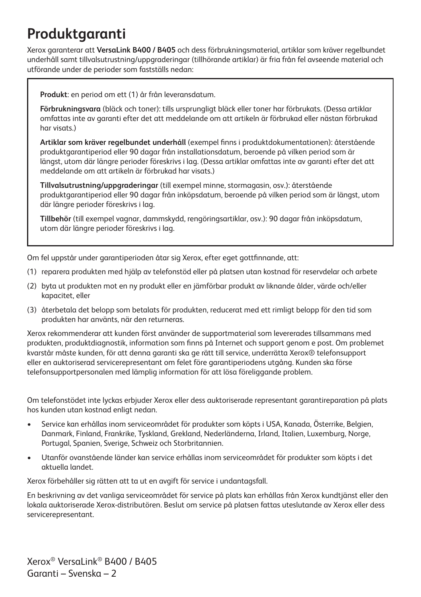### **Produktgaranti**

Xerox garanterar att **VersaLink B400 / B405** och dess förbrukningsmaterial, artiklar som kräver regelbundet underhåll samt tillvalsutrustning/uppgraderingar (tillhörande artiklar) är fria från fel avseende material och utförande under de perioder som fastställs nedan:

**Produkt**: en period om ett (1) år från leveransdatum.

**Förbrukningsvara** (bläck och toner): tills ursprungligt bläck eller toner har förbrukats. (Dessa artiklar omfattas inte av garanti efter det att meddelande om att artikeln är förbrukad eller nästan förbrukad har visats.)

**Artiklar som kräver regelbundet underhåll** (exempel finns i produktdokumentationen): återstående produktgarantiperiod eller 90 dagar från installationsdatum, beroende på vilken period som är längst, utom där längre perioder föreskrivs i lag. (Dessa artiklar omfattas inte av garanti efter det att meddelande om att artikeln är förbrukad har visats.)

**Tillvalsutrustning/uppgraderingar** (till exempel minne, stormagasin, osv.): återstående produktgarantiperiod eller 90 dagar från inköpsdatum, beroende på vilken period som är längst, utom där längre perioder föreskrivs i lag.

**Tillbehör** (till exempel vagnar, dammskydd, rengöringsartiklar, osv.): 90 dagar från inköpsdatum, utom där längre perioder föreskrivs i lag.

Om fel uppstår under garantiperioden åtar sig Xerox, efter eget gottfinnande, att:

- (1) reparera produkten med hjälp av telefonstöd eller på platsen utan kostnad för reservdelar och arbete
- (2) byta ut produkten mot en ny produkt eller en jämförbar produkt av liknande ålder, värde och/eller kapacitet, eller
- (3) återbetala det belopp som betalats för produkten, reducerat med ett rimligt belopp för den tid som produkten har använts, när den returneras.

Xerox rekommenderar att kunden först använder de supportmaterial som levererades tillsammans med produkten, produktdiagnostik, information som finns på Internet och support genom e post. Om problemet kvarstår måste kunden, för att denna garanti ska ge rätt till service, underrätta Xerox® telefonsupport eller en auktoriserad servicerepresentant om felet före garantiperiodens utgång. Kunden ska förse telefonsupportpersonalen med lämplig information för att lösa föreliggande problem.

Om telefonstödet inte lyckas erbjuder Xerox eller dess auktoriserade representant garantireparation på plats hos kunden utan kostnad enligt nedan.

- Service kan erhållas inom serviceområdet för produkter som köpts i USA, Kanada, Österrike, Belgien, Danmark, Finland, Frankrike, Tyskland, Grekland, Nederländerna, Irland, Italien, Luxemburg, Norge, Portugal, Spanien, Sverige, Schweiz och Storbritannien.
- Utanför ovanstående länder kan service erhållas inom serviceområdet för produkter som köpts i det aktuella landet.

Xerox förbehåller sig rätten att ta ut en avgift för service i undantagsfall.

En beskrivning av det vanliga serviceområdet för service på plats kan erhållas från Xerox kundtjänst eller den lokala auktoriserade Xerox-distributören. Beslut om service på platsen fattas uteslutande av Xerox eller dess servicerepresentant.

Xerox® VersaLink® B400 / B405 Garanti – Svenska – 2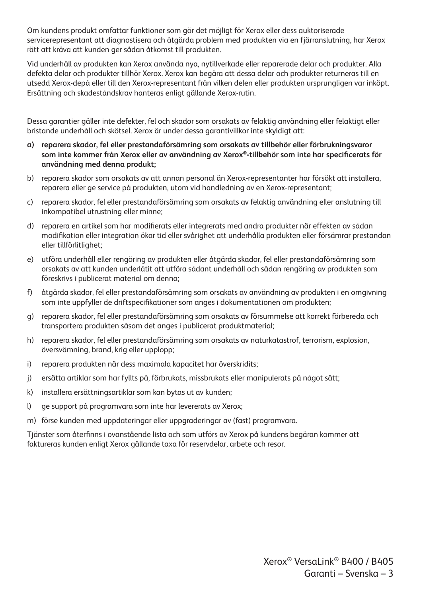Om kundens produkt omfattar funktioner som gör det möjligt för Xerox eller dess auktoriserade servicerepresentant att diagnostisera och åtgärda problem med produkten via en fjärranslutning, har Xerox rätt att kräva att kunden ger sådan åtkomst till produkten.

Vid underhåll av produkten kan Xerox använda nya, nytillverkade eller reparerade delar och produkter. Alla defekta delar och produkter tillhör Xerox. Xerox kan begära att dessa delar och produkter returneras till en utsedd Xerox-depå eller till den Xerox-representant från vilken delen eller produkten ursprungligen var inköpt. Ersättning och skadeståndskrav hanteras enligt gällande Xerox-rutin.

Dessa garantier gäller inte defekter, fel och skador som orsakats av felaktig användning eller felaktigt eller bristande underhåll och skötsel. Xerox är under dessa garantivillkor inte skyldigt att:

- **a) reparera skador, fel eller prestandaförsämring som orsakats av tillbehör eller förbrukningsvaror som inte kommer från Xerox eller av användning av Xerox®-tillbehör som inte har specificerats för användning med denna produkt;**
- b) reparera skador som orsakats av att annan personal än Xerox-representanter har försökt att installera, reparera eller ge service på produkten, utom vid handledning av en Xerox-representant;
- c) reparera skador, fel eller prestandaförsämring som orsakats av felaktig användning eller anslutning till inkompatibel utrustning eller minne;
- d) reparera en artikel som har modifierats eller integrerats med andra produkter när effekten av sådan modifikation eller integration ökar tid eller svårighet att underhålla produkten eller försämrar prestandan eller tillförlitlighet;
- e) utföra underhåll eller rengöring av produkten eller åtgärda skador, fel eller prestandaförsämring som orsakats av att kunden underlåtit att utföra sådant underhåll och sådan rengöring av produkten som föreskrivs i publicerat material om denna;
- f) åtgärda skador, fel eller prestandaförsämring som orsakats av användning av produkten i en omgivning som inte uppfyller de driftspecifikationer som anges i dokumentationen om produkten;
- g) reparera skador, fel eller prestandaförsämring som orsakats av försummelse att korrekt förbereda och transportera produkten såsom det anges i publicerat produktmaterial;
- h) reparera skador, fel eller prestandaförsämring som orsakats av naturkatastrof, terrorism, explosion, översvämning, brand, krig eller upplopp;
- i) reparera produkten när dess maximala kapacitet har överskridits;
- j) ersätta artiklar som har fyllts på, förbrukats, missbrukats eller manipulerats på något sätt;
- k) installera ersättningsartiklar som kan bytas ut av kunden;
- l) ge support på programvara som inte har levererats av Xerox;
- m) förse kunden med uppdateringar eller uppgraderingar av (fast) programvara.

Tjänster som återfinns i ovanstående lista och som utförs av Xerox på kundens begäran kommer att faktureras kunden enligt Xerox gällande taxa för reservdelar, arbete och resor.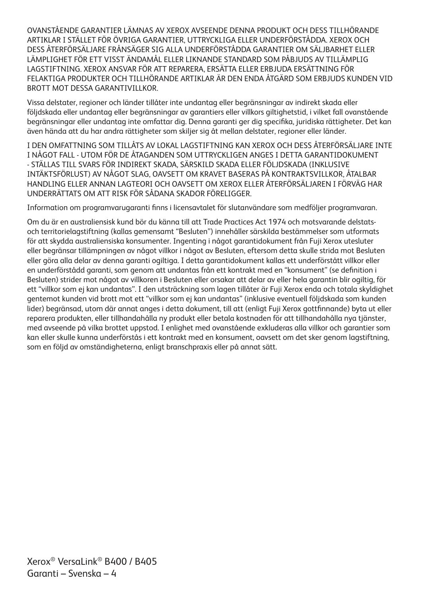OVANSTÅENDE GARANTIER LÄMNAS AV XEROX AVSEENDE DENNA PRODUKT OCH DESS TILLHÖRANDE ARTIKLAR I STÄLLET FÖR ÖVRIGA GARANTIER, UTTRYCKLIGA ELLER UNDERFÖRSTÅDDA. XEROX OCH DESS ÅTERFÖRSÄLJARE FRÅNSÄGER SIG ALLA UNDERFÖRSTÅDDA GARANTIER OM SÄLJBARHET ELLER LÄMPLIGHET FÖR ETT VISST ÄNDAMÅL ELLER LIKNANDE STANDARD SOM PÅBJUDS AV TILLÄMPLIG LAGSTIFTNING. XEROX ANSVAR FÖR ATT REPARERA, ERSÄTTA ELLER ERBJUDA ERSÄTTNING FÖR FELAKTIGA PRODUKTER OCH TILLHÖRANDE ARTIKLAR ÄR DEN ENDA ÅTGÄRD SOM ERBJUDS KUNDEN VID BROTT MOT DESSA GARANTIVILLKOR.

Vissa delstater, regioner och länder tillåter inte undantag eller begränsningar av indirekt skada eller följdskada eller undantag eller begränsningar av garantiers eller villkors giltighetstid, i vilket fall ovanstående begränsningar eller undantag inte omfattar dig. Denna garanti ger dig specifika, juridiska rättigheter. Det kan även hända att du har andra rättigheter som skiljer sig åt mellan delstater, regioner eller länder.

I DEN OMFATTNING SOM TILLÅTS AV LOKAL LAGSTIFTNING KAN XEROX OCH DESS ÅTERFÖRSÄLJARE INTE I NÅGOT FALL - UTOM FÖR DE ÅTAGANDEN SOM UTTRYCKLIGEN ANGES I DETTA GARANTIDOKUMENT - STÄLLAS TILL SVARS FÖR INDIREKT SKADA, SÄRSKILD SKADA ELLER FÖLJDSKADA (INKLUSIVE INTÄKTSFÖRLUST) AV NÅGOT SLAG, OAVSETT OM KRAVET BASERAS PÅ KONTRAKTSVILLKOR, ÅTALBAR HANDLING ELLER ANNAN LAGTEORI OCH OAVSETT OM XEROX ELLER ÅTERFÖRSÄLJAREN I FÖRVÄG HAR UNDERRÄTTATS OM ATT RISK FÖR SÅDANA SKADOR FÖRELIGGER.

Information om programvarugaranti finns i licensavtalet för slutanvändare som medföljer programvaran.

Om du är en australiensisk kund bör du känna till att Trade Practices Act 1974 och motsvarande delstatsoch territorielagstiftning (kallas gemensamt "Besluten") innehåller särskilda bestämmelser som utformats för att skydda australiensiska konsumenter. Ingenting i något garantidokument från Fuji Xerox utesluter eller begränsar tillämpningen av något villkor i något av Besluten, eftersom detta skulle strida mot Besluten eller göra alla delar av denna garanti ogiltiga. I detta garantidokument kallas ett underförstått villkor eller en underförstådd garanti, som genom att undantas från ett kontrakt med en "konsument" (se definition i Besluten) strider mot något av villkoren i Besluten eller orsakar att delar av eller hela garantin blir ogiltig, för ett "villkor som ej kan undantas". I den utsträckning som lagen tillåter är Fuji Xerox enda och totala skyldighet gentemot kunden vid brott mot ett "villkor som ej kan undantas" (inklusive eventuell följdskada som kunden lider) begränsad, utom där annat anges i detta dokument, till att (enligt Fuji Xerox gottfinnande) byta ut eller reparera produkten, eller tillhandahålla ny produkt eller betala kostnaden för att tillhandahålla nya tjänster, med avseende på vilka brottet uppstod. I enlighet med ovanstående exkluderas alla villkor och garantier som kan eller skulle kunna underförstås i ett kontrakt med en konsument, oavsett om det sker genom lagstiftning, som en följd av omständigheterna, enligt branschpraxis eller på annat sätt.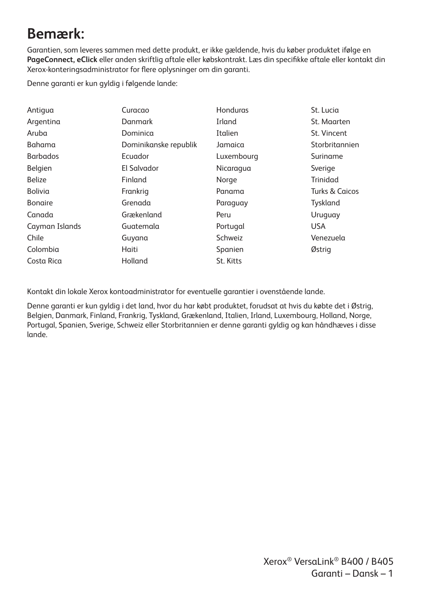### **Bemærk:**

Garantien, som leveres sammen med dette produkt, er ikke gældende, hvis du køber produktet ifølge en **PageConnect, eClick** eller anden skriftlig aftale eller købskontrakt. Læs din specifikke aftale eller kontakt din Xerox-konteringsadministrator for flere oplysninger om din garanti.

Denne garanti er kun gyldig i følgende lande:

| Antiqua         | Curacao               | Honduras   | St. Lucia      |
|-----------------|-----------------------|------------|----------------|
| Argentina       | Danmark               | Irland     | St. Maarten    |
| Aruba           | Dominica              | Italien    | St. Vincent    |
| Bahama          | Dominikanske republik | Jamaica    | Storbritannien |
| <b>Barbados</b> | Ecuador               | Luxembourg | Suriname       |
| Belgien         | El Salvador           | Nicaragua  | Sverige        |
| <b>Belize</b>   | Finland               | Norge      | Trinidad       |
| Bolivia         | Frankrig              | Panama     | Turks & Caicos |
| <b>Bonaire</b>  | Grenada               | Paraguay   | Tyskland       |
| Canada          | Grækenland            | Peru       | Uruguay        |
| Cayman Islands  | Guatemala             | Portugal   | <b>USA</b>     |
| Chile           | Guyana                | Schweiz    | Venezuela      |
| Colombia        | Haiti                 | Spanien    | Østrig         |
| Costa Rica      | Holland               | St. Kitts  |                |
|                 |                       |            |                |

Kontakt din lokale Xerox kontoadministrator for eventuelle garantier i ovenstående lande.

Denne garanti er kun gyldig i det land, hvor du har købt produktet, forudsat at hvis du købte det i Østrig, Belgien, Danmark, Finland, Frankrig, Tyskland, Grækenland, Italien, Irland, Luxembourg, Holland, Norge, Portugal, Spanien, Sverige, Schweiz eller Storbritannien er denne garanti gyldig og kan håndhæves i disse lande.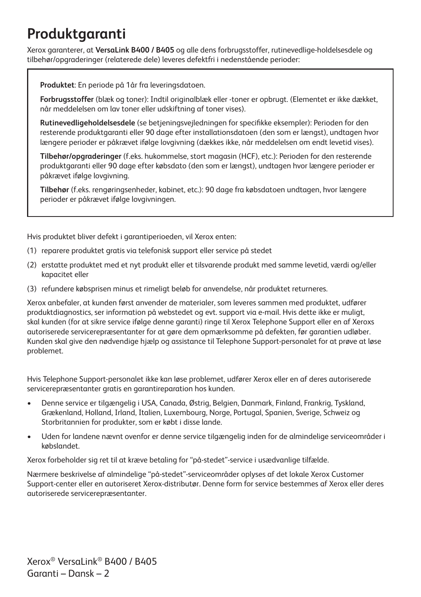### **Produktgaranti**

Xerox garanterer, at **VersaLink B400 / B405** og alle dens forbrugsstoffer, rutinevedlige-holdelsesdele og tilbehør/opgraderinger (relaterede dele) leveres defektfri i nedenstående perioder:

**Produktet**: En periode på 1år fra leveringsdatoen.

**Forbrugsstoffer** (blæk og toner): Indtil originalblæk eller -toner er opbrugt. (Elementet er ikke dækket, når meddelelsen om lav toner eller udskiftning af toner vises).

**Rutinevedligeholdelsesdele** (se betjeningsvejledningen for specifikke eksempler): Perioden for den resterende produktgaranti eller 90 dage efter installationsdatoen (den som er længst), undtagen hvor længere perioder er påkrævet ifølge lovgivning (dækkes ikke, når meddelelsen om endt levetid vises).

**Tilbehør/opgraderinger** (f.eks. hukommelse, stort magasin (HCF), etc.): Perioden for den resterende produktgaranti eller 90 dage efter købsdato (den som er længst), undtagen hvor længere perioder er påkrævet ifølge lovgivning.

**Tilbehør** (f.eks. rengøringsenheder, kabinet, etc.): 90 dage fra købsdatoen undtagen, hvor længere perioder er påkrævet ifølge lovgivningen.

Hvis produktet bliver defekt i garantiperioeden, vil Xerox enten:

- (1) reparere produktet gratis via telefonisk support eller service på stedet
- (2) erstatte produktet med et nyt produkt eller et tilsvarende produkt med samme levetid, værdi og/eller kapacitet eller
- (3) refundere købsprisen minus et rimeligt beløb for anvendelse, når produktet returneres.

Xerox anbefaler, at kunden først anvender de materialer, som leveres sammen med produktet, udfører produktdiagnostics, ser information på webstedet og evt. support via e-mail. Hvis dette ikke er muligt, skal kunden (for at sikre service ifølge denne garanti) ringe til Xerox Telephone Support eller en af Xeroxs autoriserede servicerepræsentanter for at gøre dem opmærksomme på defekten, før garantien udløber. Kunden skal give den nødvendige hjælp og assistance til Telephone Support-personalet for at prøve at løse problemet.

Hvis Telephone Support-personalet ikke kan løse problemet, udfører Xerox eller en af deres autoriserede servicerepræsentanter gratis en garantireparation hos kunden.

- Denne service er tilgængelig i USA, Canada, Østrig, Belgien, Danmark, Finland, Frankrig, Tyskland, Grækenland, Holland, Irland, Italien, Luxembourg, Norge, Portugal, Spanien, Sverige, Schweiz og Storbritannien for produkter, som er købt i disse lande.
- Uden for landene nævnt ovenfor er denne service tilgængelig inden for de almindelige serviceområder i købslandet.

Xerox forbeholder sig ret til at kræve betaling for "på-stedet"-service i usædvanlige tilfælde.

Nærmere beskrivelse af almindelige "på-stedet"-serviceområder oplyses af det lokale Xerox Customer Support-center eller en autoriseret Xerox-distributør. Denne form for service bestemmes af Xerox eller deres autoriserede servicerepræsentanter.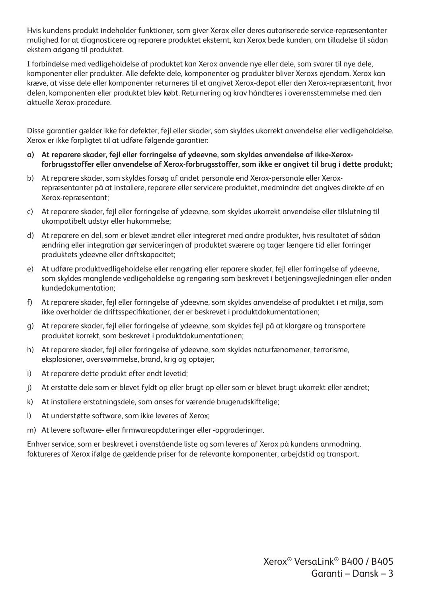Hvis kundens produkt indeholder funktioner, som giver Xerox eller deres autoriserede service-repræsentanter mulighed for at diagnosticere og reparere produktet eksternt, kan Xerox bede kunden, om tilladelse til sådan ekstern adgang til produktet.

I forbindelse med vedligeholdelse af produktet kan Xerox anvende nye eller dele, som svarer til nye dele, komponenter eller produkter. Alle defekte dele, komponenter og produkter bliver Xeroxs ejendom. Xerox kan kræve, at visse dele eller komponenter returneres til et angivet Xerox-depot eller den Xerox-repræsentant, hvor delen, komponenten eller produktet blev købt. Returnering og krav håndteres i overensstemmelse med den aktuelle Xerox-procedure.

Disse garantier gælder ikke for defekter, fejl eller skader, som skyldes ukorrekt anvendelse eller vedligeholdelse. Xerox er ikke forpligtet til at udføre følgende garantier:

- **a) At reparere skader, fejl eller forringelse af ydeevne, som skyldes anvendelse af ikke-Xeroxforbrugsstoffer eller anvendelse af Xerox-forbrugsstoffer, som ikke er angivet til brug i dette produkt;**
- b) At reparere skader, som skyldes forsøg af andet personale end Xerox-personale eller Xeroxrepræsentanter på at installere, reparere eller servicere produktet, medmindre det angives direkte af en Xerox-repræsentant;
- c) At reparere skader, fejl eller forringelse af ydeevne, som skyldes ukorrekt anvendelse eller tilslutning til ukompatibelt udstyr eller hukommelse;
- d) At reparere en del, som er blevet ændret eller integreret med andre produkter, hvis resultatet af sådan ændring eller integration gør serviceringen af produktet sværere og tager længere tid eller forringer produktets ydeevne eller driftskapacitet;
- e) At udføre produktvedligeholdelse eller rengøring eller reparere skader, fejl eller forringelse af ydeevne, som skyldes manglende vedligeholdelse og rengøring som beskrevet i betjeningsvejledningen eller anden kundedokumentation;
- f) At reparere skader, fejl eller forringelse af ydeevne, som skyldes anvendelse af produktet i et miljø, som ikke overholder de driftsspecifikationer, der er beskrevet i produktdokumentationen;
- g) At reparere skader, fejl eller forringelse af ydeevne, som skyldes fejl på at klargøre og transportere produktet korrekt, som beskrevet i produktdokumentationen;
- h) At reparere skader, fejl eller forringelse af ydeevne, som skyldes naturfænomener, terrorisme, eksplosioner, oversvømmelse, brand, krig og optøjer;
- i) At reparere dette produkt efter endt levetid;
- j) At erstatte dele som er blevet fyldt op eller brugt op eller som er blevet brugt ukorrekt eller ændret;
- k) At installere erstatningsdele, som anses for værende brugerudskiftelige;
- l) At understøtte software, som ikke leveres af Xerox;
- m) At levere software- eller firmwareopdateringer eller -opgraderinger.

Enhver service, som er beskrevet i ovenstående liste og som leveres af Xerox på kundens anmodning, faktureres af Xerox ifølge de gældende priser for de relevante komponenter, arbejdstid og transport.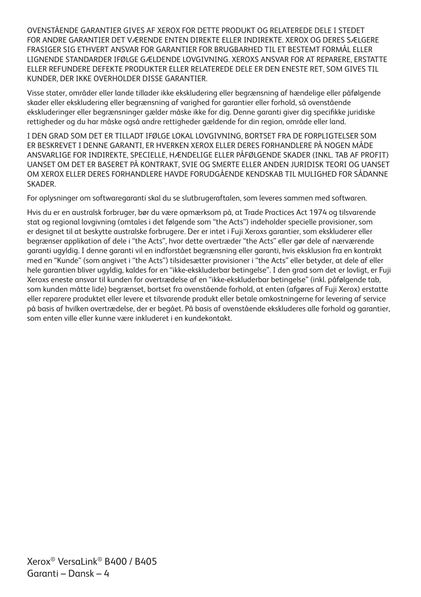OVENSTÅENDE GARANTIER GIVES AF XEROX FOR DETTE PRODUKT OG RELATEREDE DELE I STEDET FOR ANDRE GARANTIER DET VÆRENDE ENTEN DIREKTE ELLER INDIREKTE. XEROX OG DERES SÆLGERE FRASIGER SIG ETHVERT ANSVAR FOR GARANTIER FOR BRUGBARHED TIL ET BESTEMT FORMÅL ELLER LIGNENDE STANDARDER IFØLGE GÆLDENDE LOVGIVNING. XEROXS ANSVAR FOR AT REPARERE, ERSTATTE ELLER REFUNDERE DEFEKTE PRODUKTER ELLER RELATEREDE DELE ER DEN ENESTE RET, SOM GIVES TIL KUNDER, DER IKKE OVERHOLDER DISSE GARANTIER.

Visse stater, områder eller lande tillader ikke ekskludering eller begrænsning af hændelige eller påfølgende skader eller ekskludering eller begrænsning af varighed for garantier eller forhold, så ovenstående ekskluderinger eller begrænsninger gælder måske ikke for dig. Denne garanti giver dig specifikke juridiske rettigheder og du har måske også andre rettigheder gældende for din region, område eller land.

I DEN GRAD SOM DET ER TILLADT IFØLGE LOKAL LOVGIVNING, BORTSET FRA DE FORPLIGTELSER SOM ER BESKREVET I DENNE GARANTI, ER HVERKEN XEROX ELLER DERES FORHANDLERE PÅ NOGEN MÅDE ANSVARLIGE FOR INDIREKTE, SPECIELLE, HÆNDELIGE ELLER PÅFØLGENDE SKADER (INKL. TAB AF PROFIT) UANSET OM DET ER BASERET PÅ KONTRAKT, SVIE OG SMERTE ELLER ANDEN JURIDISK TEORI OG UANSET OM XEROX ELLER DERES FORHANDLERE HAVDE FORUDGÅENDE KENDSKAB TIL MULIGHED FOR SÅDANNE **SKADER** 

For oplysninger om softwaregaranti skal du se slutbrugeraftalen, som leveres sammen med softwaren.

Hvis du er en australsk forbruger, bør du være opmærksom på, at Trade Practices Act 1974 og tilsvarende stat og regional lovgivning (omtales i det følgende som "the Acts") indeholder specielle provisioner, som er designet til at beskytte australske forbrugere. Der er intet i Fuji Xeroxs garantier, som ekskluderer eller begrænser applikation af dele i "the Acts", hvor dette overtræder "the Acts" eller gør dele af nærværende garanti ugyldig. I denne garanti vil en indforstået begrænsning eller garanti, hvis eksklusion fra en kontrakt med en "Kunde" (som angivet i "the Acts") tilsidesætter provisioner i "the Acts" eller betyder, at dele af eller hele garantien bliver ugyldig, kaldes for en "ikke-ekskluderbar betingelse". I den grad som det er lovligt, er Fuji Xeroxs eneste ansvar til kunden for overtrædelse af en "ikke-ekskluderbar betingelse" (inkl. påfølgende tab, som kunden måtte lide) begrænset, bortset fra ovenstående forhold, at enten (afgøres af Fuji Xerox) erstatte eller reparere produktet eller levere et tilsvarende produkt eller betale omkostningerne for levering af service på basis af hvilken overtrædelse, der er begået. På basis af ovenstående ekskluderes alle forhold og garantier, som enten ville eller kunne være inkluderet i en kundekontakt.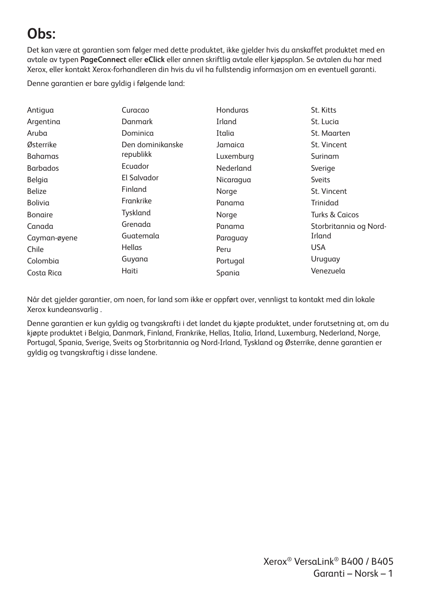# **Obs:**

Det kan være at garantien som følger med dette produktet, ikke gjelder hvis du anskaffet produktet med en avtale av typen **PageConnect** eller **eClick** eller annen skriftlig avtale eller kjøpsplan. Se avtalen du har med Xerox, eller kontakt Xerox-forhandleren din hvis du vil ha fullstendig informasjon om en eventuell garanti.

Denne garantien er bare gyldig i følgende land:

| Antigua         | Curacao          | <b>Honduras</b> | St. Kitts                 |
|-----------------|------------------|-----------------|---------------------------|
| Argentina       | Danmark          | Irland          | St. Lucia                 |
| Aruba           | Dominica         | Italia          | St. Maarten               |
| Østerrike       | Den dominikanske | Jamaica         | St. Vincent               |
| <b>Bahamas</b>  | republikk        | Luxemburg       | Surinam                   |
| <b>Barbados</b> | Ecuador          | Nederland       | Sverige                   |
| Belgia          | El Salvador      | Nicaragua       | <b>Sveits</b>             |
| <b>Belize</b>   | Finland          | Norge           | St. Vincent               |
| Bolivia         | Frankrike        | Panama          | Trinidad                  |
| <b>Bonaire</b>  | Tyskland         | Norge           | <b>Turks &amp; Caicos</b> |
| Canada          | Grenada          | Panama          | Storbritannia og Nord-    |
| Cayman-øyene    | Guatemala        | Paraguay        | Irland                    |
| Chile           | Hellas           | Peru            | USA.                      |
| Colombia        | Guyana           | Portugal        | Uruguay                   |
| Costa Rica      | Haiti            | Spania          | Venezuela                 |

Når det gjelder garantier, om noen, for land som ikke er oppført over, vennligst ta kontakt med din lokale Xerox kundeansvarlig .

Denne garantien er kun gyldig og tvangskrafti i det landet du kjøpte produktet, under forutsetning at, om du kjøpte produktet i Belgia, Danmark, Finland, Frankrike, Hellas, Italia, Irland, Luxemburg, Nederland, Norge, Portugal, Spania, Sverige, Sveits og Storbritannia og Nord-Irland, Tyskland og Østerrike, denne garantien er gyldig og tvangskraftig i disse landene.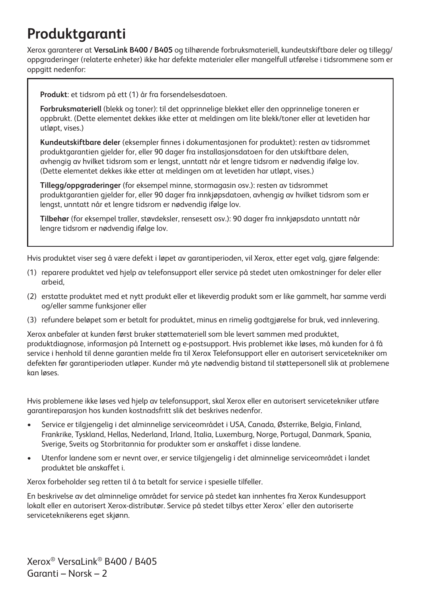# **Produktgaranti**

Xerox garanterer at **VersaLink B400 / B405** og tilhørende forbruksmateriell, kundeutskiftbare deler og tillegg/ oppgraderinger (relaterte enheter) ikke har defekte materialer eller mangelfull utførelse i tidsrommene som er oppgitt nedenfor:

**Produkt**: et tidsrom på ett (1) år fra forsendelsesdatoen.

**Forbruksmateriell** (blekk og toner): til det opprinnelige blekket eller den opprinnelige toneren er oppbrukt. (Dette elementet dekkes ikke etter at meldingen om lite blekk/toner eller at levetiden har utløpt, vises.)

**Kundeutskiftbare deler** (eksempler finnes i dokumentasjonen for produktet): resten av tidsrommet produktgarantien gjelder for, eller 90 dager fra installasjonsdatoen for den utskiftbare delen, avhengig av hvilket tidsrom som er lengst, unntatt når et lengre tidsrom er nødvendig ifølge lov. (Dette elementet dekkes ikke etter at meldingen om at levetiden har utløpt, vises.)

**Tillegg/oppgraderinger** (for eksempel minne, stormagasin osv.): resten av tidsrommet produktgarantien gjelder for, eller 90 dager fra innkjøpsdatoen, avhengig av hvilket tidsrom som er lengst, unntatt når et lengre tidsrom er nødvendig ifølge lov.

**Tilbehør** (for eksempel traller, støvdeksler, rensesett osv.): 90 dager fra innkjøpsdato unntatt når lengre tidsrom er nødvendig ifølge lov.

Hvis produktet viser seg å være defekt i løpet av garantiperioden, vil Xerox, etter eget valg, gjøre følgende:

- (1) reparere produktet ved hjelp av telefonsupport eller service på stedet uten omkostninger for deler eller arbeid,
- (2) erstatte produktet med et nytt produkt eller et likeverdig produkt som er like gammelt, har samme verdi og/eller samme funksjoner eller
- (3) refundere beløpet som er betalt for produktet, minus en rimelig godtgjørelse for bruk, ved innlevering.

Xerox anbefaler at kunden først bruker støttemateriell som ble levert sammen med produktet, produktdiagnose, informasjon på Internett og e-postsupport. Hvis problemet ikke løses, må kunden for å få service i henhold til denne garantien melde fra til Xerox Telefonsupport eller en autorisert servicetekniker om defekten før garantiperioden utløper. Kunder må yte nødvendig bistand til støttepersonell slik at problemene kan løses.

Hvis problemene ikke løses ved hjelp av telefonsupport, skal Xerox eller en autorisert servicetekniker utføre garantireparasjon hos kunden kostnadsfritt slik det beskrives nedenfor.

- Service er tilgjengelig i det alminnelige serviceområdet i USA, Canada, Østerrike, Belgia, Finland, Frankrike, Tyskland, Hellas, Nederland, Irland, Italia, Luxemburg, Norge, Portugal, Danmark, Spania, Sverige, Sveits og Storbritannia for produkter som er anskaffet i disse landene.
- Utenfor landene som er nevnt over, er service tilgjengelig i det alminnelige serviceområdet i landet produktet ble anskaffet i.

Xerox forbeholder seg retten til å ta betalt for service i spesielle tilfeller.

En beskrivelse av det alminnelige området for service på stedet kan innhentes fra Xerox Kundesupport lokalt eller en autorisert Xerox-distributør. Service på stedet tilbys etter Xerox' eller den autoriserte serviceteknikerens eget skjønn.

Xerox® VersaLink® B400 / B405 Garanti – Norsk – 2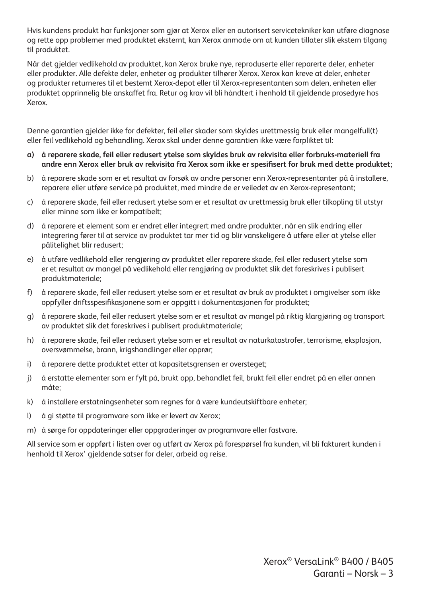Hvis kundens produkt har funksjoner som gjør at Xerox eller en autorisert servicetekniker kan utføre diagnose og rette opp problemer med produktet eksternt, kan Xerox anmode om at kunden tillater slik ekstern tilgang til produktet.

Når det gjelder vedlikehold av produktet, kan Xerox bruke nye, reproduserte eller reparerte deler, enheter eller produkter. Alle defekte deler, enheter og produkter tilhører Xerox. Xerox kan kreve at deler, enheter og produkter returneres til et bestemt Xerox-depot eller til Xerox-representanten som delen, enheten eller produktet opprinnelig ble anskaffet fra. Retur og krav vil bli håndtert i henhold til gjeldende prosedyre hos Xerox.

Denne garantien gjelder ikke for defekter, feil eller skader som skyldes urettmessig bruk eller mangelfull(t) eller feil vedlikehold og behandling. Xerox skal under denne garantien ikke være forpliktet til:

- **a) å reparere skade, feil eller redusert ytelse som skyldes bruk av rekvisita eller forbruks-materiell fra andre enn Xerox eller bruk av rekvisita fra Xerox som ikke er spesifisert for bruk med dette produktet;**
- b) å reparere skade som er et resultat av forsøk av andre personer enn Xerox-representanter på å installere, reparere eller utføre service på produktet, med mindre de er veiledet av en Xerox-representant;
- c) å reparere skade, feil eller redusert ytelse som er et resultat av urettmessig bruk eller tilkopling til utstyr eller minne som ikke er kompatibelt;
- d) å reparere et element som er endret eller integrert med andre produkter, når en slik endring eller integrering fører til at service av produktet tar mer tid og blir vanskeligere å utføre eller at ytelse eller pålitelighet blir redusert;
- e) å utføre vedlikehold eller rengjøring av produktet eller reparere skade, feil eller redusert ytelse som er et resultat av mangel på vedlikehold eller rengjøring av produktet slik det foreskrives i publisert produktmateriale;
- f) å reparere skade, feil eller redusert ytelse som er et resultat av bruk av produktet i omgivelser som ikke oppfyller driftsspesifikasjonene som er oppgitt i dokumentasjonen for produktet;
- g) å reparere skade, feil eller redusert ytelse som er et resultat av mangel på riktig klargjøring og transport av produktet slik det foreskrives i publisert produktmateriale;
- h) å reparere skade, feil eller redusert ytelse som er et resultat av naturkatastrofer, terrorisme, eksplosjon, oversvømmelse, brann, krigshandlinger eller opprør;
- i) å reparere dette produktet etter at kapasitetsgrensen er oversteget;
- j) å erstatte elementer som er fylt på, brukt opp, behandlet feil, brukt feil eller endret på en eller annen måte;
- k) å installere erstatningsenheter som regnes for å være kundeutskiftbare enheter;
- l) å gi støtte til programvare som ikke er levert av Xerox;
- m) å sørge for oppdateringer eller oppgraderinger av programvare eller fastvare.

All service som er oppført i listen over og utført av Xerox på forespørsel fra kunden, vil bli fakturert kunden i henhold til Xerox' gjeldende satser for deler, arbeid og reise.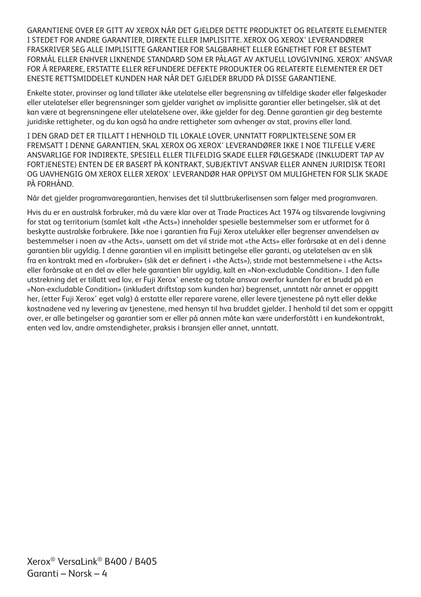GARANTIENE OVER ER GITT AV XEROX NÅR DET GJELDER DETTE PRODUKTET OG RELATERTE ELEMENTER I STEDET FOR ANDRE GARANTIER, DIREKTE ELLER IMPLISITTE. XEROX OG XEROX' LEVERANDØRER FRASKRIVER SEG ALLE IMPLISITTE GARANTIER FOR SALGBARHET ELLER EGNETHET FOR ET BESTEMT FORMÅL ELLER ENHVER LIKNENDE STANDARD SOM ER PÅLAGT AV AKTUELL LOVGIVNING. XEROX' ANSVAR FOR Å REPARERE, ERSTATTE ELLER REFUNDERE DEFEKTE PRODUKTER OG RELATERTE ELEMENTER ER DET ENESTE RETTSMIDDELET KUNDEN HAR NÅR DET GJELDER BRUDD PÅ DISSE GARANTIENE.

Enkelte stater, provinser og land tillater ikke utelatelse eller begrensning av tilfeldige skader eller følgeskader eller utelatelser eller begrensninger som gjelder varighet av implisitte garantier eller betingelser, slik at det kan være at begrensningene eller utelatelsene over, ikke gjelder for deg. Denne garantien gir deg bestemte juridiske rettigheter, og du kan også ha andre rettigheter som avhenger av stat, provins eller land.

I DEN GRAD DET ER TILLATT I HENHOLD TIL LOKALE LOVER, UNNTATT FORPLIKTELSENE SOM ER FREMSATT I DENNE GARANTIEN, SKAL XEROX OG XEROX' LEVERANDØRER IKKE I NOE TILFELLE VÆRE ANSVARLIGE FOR INDIREKTE, SPESIELL ELLER TILFELDIG SKADE ELLER FØLGESKADE (INKLUDERT TAP AV FORTJENESTE) ENTEN DE ER BASERT PÅ KONTRAKT, SUBJEKTIVT ANSVAR ELLER ANNEN JURIDISK TEORI OG UAVHENGIG OM XEROX ELLER XEROX' LEVERANDØR HAR OPPLYST OM MULIGHETEN FOR SLIK SKADE PÅ FORHÅND.

Når det gjelder programvaregarantien, henvises det til sluttbrukerlisensen som følger med programvaren.

Hvis du er en australsk forbruker, må du være klar over at Trade Practices Act 1974 og tilsvarende lovgivning for stat og territorium (samlet kalt «the Acts») inneholder spesielle bestemmelser som er utformet for å beskytte australske forbrukere. Ikke noe i garantien fra Fuji Xerox utelukker eller begrenser anvendelsen av bestemmelser i noen av «the Acts», uansett om det vil stride mot «the Acts» eller forårsake at en del i denne garantien blir ugyldig. I denne garantien vil en implisitt betingelse eller garanti, og utelatelsen av en slik fra en kontrakt med en «forbruker» (slik det er definert i «the Acts»), stride mot bestemmelsene i «the Acts» eller forårsake at en del av eller hele garantien blir ugyldig, kalt en «Non-excludable Condition». I den fulle utstrekning det er tillatt ved lov, er Fuji Xerox' eneste og totale ansvar overfor kunden for et brudd på en «Non-excludable Condition» (inkludert driftstap som kunden har) begrenset, unntatt når annet er oppgitt her, (etter Fuji Xerox' eget valg) å erstatte eller reparere varene, eller levere tjenestene på nytt eller dekke kostnadene ved ny levering av tjenestene, med hensyn til hva bruddet gjelder. I henhold til det som er oppgitt over, er alle betingelser og garantier som er eller på annen måte kan være underforstått i en kundekontrakt, enten ved lov, andre omstendigheter, praksis i bransjen eller annet, unntatt.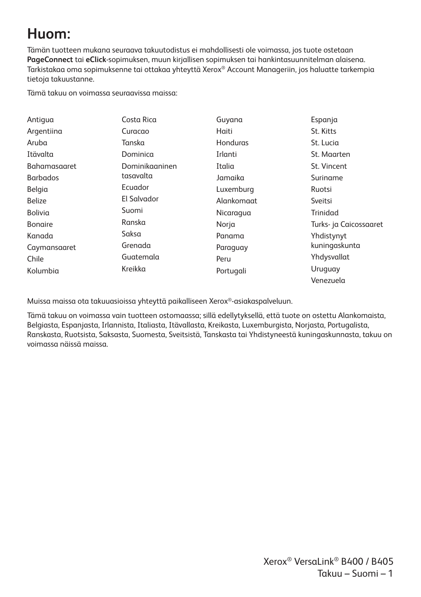# **Huom:**

Tämän tuotteen mukana seuraava takuutodistus ei mahdollisesti ole voimassa, jos tuote ostetaan **PageConnect** tai **eClick**-sopimuksen, muun kirjallisen sopimuksen tai hankintasuunnitelman alaisena. Tarkistakaa oma sopimuksenne tai ottakaa yhteyttä Xerox® Account Manageriin, jos haluatte tarkempia tietoja takuustanne.

Tämä takuu on voimassa seuraavissa maissa:

| Antiqua             | Costa Rica     | Guyana          | Espanja                |
|---------------------|----------------|-----------------|------------------------|
| Argentiina          | Curacao        | Haiti           | St. Kitts              |
| Aruba               | Tanska         | <b>Honduras</b> | St. Lucia              |
| Itävalta            | Dominica       | Irlanti         | St. Maarten            |
| <b>Bahamasaaret</b> | Dominikaaninen | Italia          | St. Vincent            |
| <b>Barbados</b>     | tasavalta      | Jamaika         | Suriname               |
| Belgia              | Ecuador        | Luxemburg       | Ruotsi                 |
| <b>Belize</b>       | El Salvador    | Alankomaat      | Sveitsi                |
| Bolivia             | Suomi          | Nicaragua       | Trinidad               |
| <b>Bongire</b>      | Ranska         | Norja           | Turks- ja Caicossaaret |
| Kanada              | Saksa          | Panama          | Yhdistynyt             |
| Caymansaaret        | Grenada        | Paraguay        | kuningaskunta          |
| Chile               | Guatemala      | Peru            | Yhdysvallat            |
| Kolumbia            | Kreikka        | Portugali       | Uruguay                |
|                     |                |                 | Venezuela              |

Muissa maissa ota takuuasioissa yhteyttä paikalliseen Xerox®-asiakaspalveluun.

Tämä takuu on voimassa vain tuotteen ostomaassa; sillä edellytyksellä, että tuote on ostettu Alankomaista, Belgiasta, Espanjasta, Irlannista, Italiasta, Itävallasta, Kreikasta, Luxemburgista, Norjasta, Portugalista, Ranskasta, Ruotsista, Saksasta, Suomesta, Sveitsistä, Tanskasta tai Yhdistyneestä kuningaskunnasta, takuu on voimassa näissä maissa.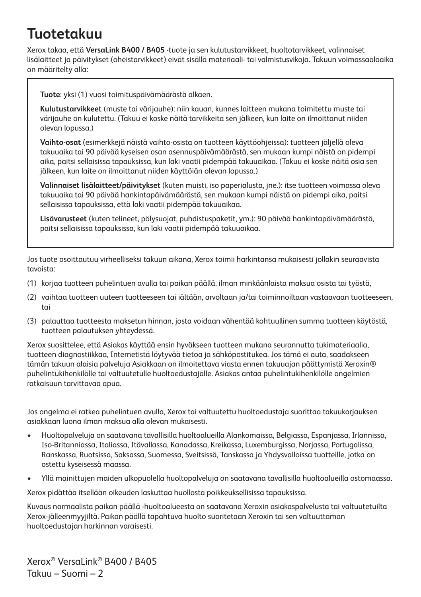# **Tuotetakuu**

Xerox takaa, että **VersaLink B400 / B405** -tuote ja sen kulutustarvikkeet, huoltotarvikkeet, valinnaiset lisälaitteet ja päivitykset (oheistarvikkeet) eivät sisällä materiaali- tai valmistusvikoja. Takuun voimassaoloaika on määritelty alla:

**Tuote**: yksi (1) vuosi toimituspäivämäärästä alkaen.

**Kulutustarvikkeet** (muste tai värijauhe): niin kauan, kunnes laitteen mukana toimitettu muste tai värijauhe on kulutettu. (Takuu ei koske näitä tarvikkeita sen jälkeen, kun laite on ilmoittanut niiden olevan lopussa.)

**Vaihto-osat** (esimerkkejä näistä vaihto-osista on tuotteen käyttöohjeissa): tuotteen jäljellä oleva takuuaika tai 90 päivää kyseisen osan asennuspäivämäärästä, sen mukaan kumpi näistä on pidempi aika, paitsi sellaisissa tapauksissa, kun laki vaatii pidempää takuuaikaa. (Takuu ei koske näitä osia sen jälkeen, kun laite on ilmoittanut niiden käyttöiän olevan lopussa.)

**Valinnaiset lisälaitteet/päivitykset** (kuten muisti, iso paperialusta, jne.): itse tuotteen voimassa oleva takuuaika tai 90 päivää hankintapäivämäärästä, sen mukaan kumpi näistä on pidempi aika, paitsi sellaisissa tapauksissa, että laki vaatii pidempää takuuaikaa.

**Lisävarusteet** (kuten telineet, pölysuojat, puhdistuspaketit, ym.): 90 päivää hankintapäivämäärästä, paitsi sellaisissa tapauksissa, kun laki vaatii pidempää takuuaikaa.

Jos tuote osoittautuu virheelliseksi takuun aikana, Xerox toimii harkintansa mukaisesti jollakin seuraavista tavoista:

- (1) korjaa tuotteen puhelintuen avulla tai paikan päällä, ilman minkäänlaista maksua osista tai työstä,
- (2) vaihtaa tuotteen uuteen tuotteeseen tai iältään, arvoltaan ja/tai toiminnoiltaan vastaavaan tuotteeseen, tai
- (3) palauttaa tuotteesta maksetun hinnan, josta voidaan vähentää kohtuullinen summa tuotteen käytöstä, tuotteen palautuksen yhteydessä.

Xerox suosittelee, että Asiakas käyttää ensin hyväkseen tuotteen mukana seurannutta tukimateriaalia, tuotteen diagnostiikkaa, Internetistä löytyvää tietoa ja sähköpostitukea. Jos tämä ei auta, saadakseen tämän takuun alaisia palveluja Asiakkaan on ilmoitettava viasta ennen takuuajan päättymistä Xeroxin® puhelintukihenkilölle tai valtuutetulle huoltoedustajalle. Asiakas antaa puhelintukihenkilölle ongelmien ratkaisuun tarvittavaa apua.

Jos ongelma ei ratkea puhelintuen avulla, Xerox tai valtuutettu huoltoedustaja suorittaa takuukorjauksen asiakkaan luona ilman maksua alla olevan mukaisesti.

- Huoltopalveluja on saatavana tavallisilla huoltoalueilla Alankomaissa, Belgiassa, Espanjassa, Irlannissa, Iso-Britanniassa, Italiassa, Itävallassa, Kanadassa, Kreikassa, Luxemburgissa, Norjassa, Portugalissa, Ranskassa, Ruotsissa, Saksassa, Suomessa, Sveitsissä, Tanskassa ja Yhdysvalloissa tuotteille, jotka on ostettu kyseisessä maassa.
- Yllä mainittujen maiden ulkopuolella huoltopalveluja on saatavana tavallisilla huoltoalueilla ostomaassa.

Xerox pidättää itsellään oikeuden laskuttaa huollosta poikkeuksellisissa tapauksissa.

Kuvaus normaalista paikan päällä -huoltoalueesta on saatavana Xeroxin asiakaspalvelusta tai valtuutetuilta Xerox-jälleenmyyjiltä. Paikan päällä tapahtuva huolto suoritetaan Xeroxin tai sen valtuuttaman huoltoedustajan harkinnan varaisesti.

Xerox® VersaLink® B400 / B405 Takuu – Suomi – 2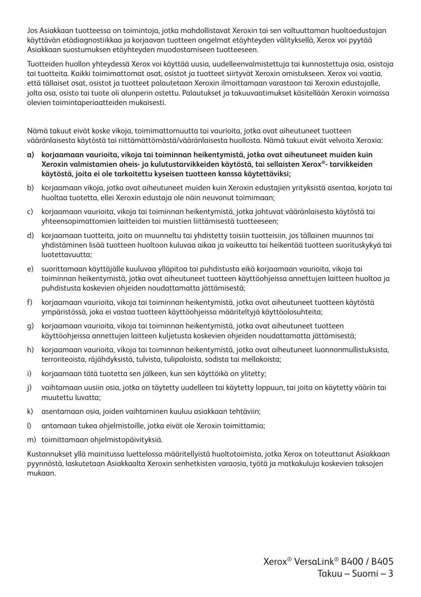Jos Asiakkaan tuotteessa on toimintoja, jotka mahdollistavat Xeroxin tai sen valtuuttaman huoltoedustajan käyttävän etädiagnostiikkaa ja korjaavan tuotteen ongelmat etäyhteyden välityksellä, Xerox voi pyytää Asiakkaan suostumuksen etäyhteyden muodostamiseen tuotteeseen.

Tuotteiden huollon yhteydessä Xerox voi käyttää uusia, uudelleenvalmistettuja tai kunnostettuja osia, osistoja tai tuotteita. Kaikki toimimattomat osat, osistot ja tuotteet siirtyvät Xeroxin omistukseen. Xerox voi vaatia, että tällaiset osat, osistot ja tuotteet palautetaan Xeroxin ilmoittamaan varastoon tai Xeroxin edustajalle, jolta osa, osisto tai tuote oli alunperin ostettu. Palautukset ja takuuvaatimukset käsitellään Xeroxin voimassa olevien toimintaperiaatteiden mukaisesti.

Nämä takuut eivät koske vikoja, toimimattomuutta tai vaurioita, jotka ovat aiheutuneet tuotteen vääränlaisesta käytöstä tai riittämättömästä/vääränlaisesta huollosta. Nämä takuut eivät velvoita Xeroxia:

- **a) korjaamaan vaurioita, vikoja tai toiminnan heikentymistä, jotka ovat aiheutuneet muiden kuin Xeroxin valmistamien oheis- ja kulutustarvikkeiden käytöstä, tai sellaisten Xerox®- tarvikkeiden käytöstä, joita ei ole tarkoitettu kyseisen tuotteen kanssa käytettäviksi;**
- b) korjaamaan vikoja, jotka ovat aiheutuneet muiden kuin Xeroxin edustajien yrityksistä asentaa, korjata tai huoltaa tuotetta, ellei Xeroxin edustaja ole näin neuvonut toimimaan;
- c) korjaamaan vaurioita, vikoja tai toiminnan heikentymistä, jotka johtuvat vääränlaisesta käytöstä tai yhteensopimattomien laitteiden tai muistien liittämisestä tuotteeseen;
- d) korjaamaan tuotteita, joita on muunneltu tai yhdistetty toisiin tuotteisiin, jos tällainen muunnos tai yhdistäminen lisää tuotteen huoltoon kuluvaa aikaa ja vaikeutta tai heikentää tuotteen suorituskykyä tai luotettavuutta;
- e) suorittamaan käyttäjälle kuuluvaa ylläpitoa tai puhdistusta eikä korjaamaan vaurioita, vikoja tai toiminnan heikentymistä, jotka ovat aiheutuneet tuotteen käyttöohjeissa annettujen laitteen huoltoa ja puhdistusta koskevien ohjeiden noudattamatta jättämisestä;
- f) korjaamaan vaurioita, vikoja tai toiminnan heikentymistä, jotka ovat aiheutuneet tuotteen käytöstä ympäristössä, joka ei vastaa tuotteen käyttöohjeissa määriteltyjä käyttöolosuhteita;
- g) korjaamaan vaurioita, vikoja tai toiminnan heikentymistä, jotka ovat aiheutuneet tuotteen käyttöohjeissa annettujen laitteen kuljetusta koskevien ohjeiden noudattamatta jättämisestä;
- h) korjaamaan vaurioita, vikoja tai toiminnan heikentymistä, jotka ovat aiheutuneet luonnonmullistuksista, terroriteoista, räjähdyksistä, tulvista, tulipaloista, sodista tai mellakoista;
- i) korjaamaan tätä tuotetta sen jälkeen, kun sen käyttöikä on ylitetty;
- j) vaihtamaan uusiin osia, jotka on täytetty uudelleen tai käytetty loppuun, tai joita on käytetty väärin tai muutettu luvatta;
- k) asentamaan osia, joiden vaihtaminen kuuluu asiakkaan tehtäviin;
- l) antamaan tukea ohjelmistoille, jotka eivät ole Xeroxin toimittamia;
- m) toimittamaan ohjelmistopäivityksiä.

Kustannukset yllä mainitussa luettelossa määritellyistä huoltotoimista, jotka Xerox on toteuttanut Asiakkaan pyynnöstä, laskutetaan Asiakkaalta Xeroxin senhetkisten varaosia, työtä ja matkakuluja koskevien taksojen mukaan.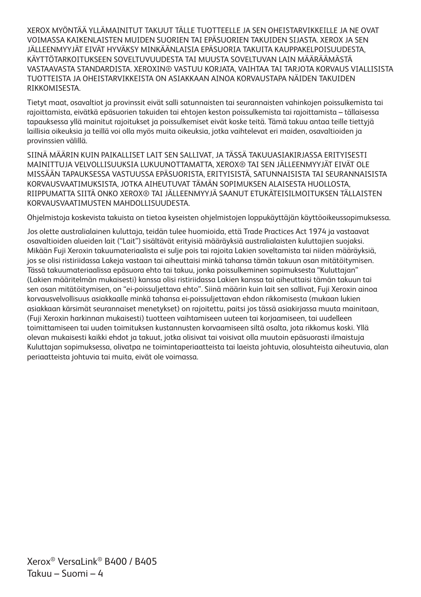XEROX MYÖNTÄÄ YLLÄMAINITUT TAKUUT TÄLLE TUOTTEELLE JA SEN OHEISTARVIKKEILLE JA NE OVAT VOIMASSA KAIKENLAISTEN MUIDEN SUORIEN TAI EPÄSUORIEN TAKUIDEN SIJASTA. XEROX JA SEN JÄLLEENMYYJÄT EIVÄT HYVÄKSY MINKÄÄNLAISIA EPÄSUORIA TAKUITA KAUPPAKELPOISUUDESTA, KÄYTTÖTARKOITUKSEEN SOVELTUVUUDESTA TAI MUUSTA SOVELTUVAN LAIN MÄÄRÄÄMÄSTÄ VASTAAVASTA STANDARDISTA. XEROXIN® VASTUU KORJATA, VAIHTAA TAI TARJOTA KORVAUS VIALLISISTA TUOTTEISTA JA OHEISTARVIKKEISTA ON ASIAKKAAN AINOA KORVAUSTAPA NÄIDEN TAKUIDEN RIKKOMISESTA.

Tietyt maat, osavaltiot ja provinssit eivät salli satunnaisten tai seurannaisten vahinkojen poissulkemista tai rajoittamista, eivätkä epäsuorien takuiden tai ehtojen keston poissulkemista tai rajoittamista – tällaisessa tapauksessa yllä mainitut rajoitukset ja poissulkemiset eivät koske teitä. Tämä takuu antaa teille tiettyjä laillisia oikeuksia ja teillä voi olla myös muita oikeuksia, jotka vaihtelevat eri maiden, osavaltioiden ja provinssien välillä.

SIINÄ MÄÄRIN KUIN PAIKALLISET LAIT SEN SALLIVAT, JA TÄSSÄ TAKUUASIAKIRJASSA ERITYISESTI MAINITTUJA VELVOLLISUUKSIA LUKUUNOTTAMATTA, XEROX® TAI SEN JÄLLEENMYYJÄT EIVÄT OLE MISSÄÄN TAPAUKSESSA VASTUUSSA EPÄSUORISTA, ERITYISISTÄ, SATUNNAISISTA TAI SEURANNAISISTA KORVAUSVAATIMUKSISTA, JOTKA AIHEUTUVAT TÄMÄN SOPIMUKSEN ALAISESTA HUOLLOSTA, RIIPPUMATTA SIITÄ ONKO XEROX® TAI JÄLLEENMYYJÄ SAANUT ETUKÄTEISILMOITUKSEN TÄLLAISTEN KORVAUSVAATIMUSTEN MAHDOLLISUUDESTA.

Ohjelmistoja koskevista takuista on tietoa kyseisten ohjelmistojen loppukäyttäjän käyttöoikeussopimuksessa.

Jos olette australialainen kuluttaja, teidän tulee huomioida, että Trade Practices Act 1974 ja vastaavat osavaltioiden alueiden lait ("Lait") sisältävät erityisiä määräyksiä australialaisten kuluttajien suojaksi. Mikään Fuji Xeroxin takuumateriaalista ei sulje pois tai rajoita Lakien soveltamista tai niiden määräyksiä, jos se olisi ristiriidassa Lakeja vastaan tai aiheuttaisi minkä tahansa tämän takuun osan mitätöitymisen. Tässä takuumateriaalissa epäsuora ehto tai takuu, jonka poissulkeminen sopimuksesta "Kuluttajan" (Lakien määritelmän mukaisesti) kanssa olisi ristiriidassa Lakien kanssa tai aiheuttaisi tämän takuun tai sen osan mitätöitymisen, on "ei-poissuljettava ehto". Siinä määrin kuin lait sen sallivat, Fuji Xeroxin ainoa korvausvelvollisuus asiakkaalle minkä tahansa ei-poissuljettavan ehdon rikkomisesta (mukaan lukien asiakkaan kärsimät seurannaiset menetykset) on rajoitettu, paitsi jos tässä asiakirjassa muuta mainitaan, (Fuji Xeroxin harkinnan mukaisesti) tuotteen vaihtamiseen uuteen tai korjaamiseen, tai uudelleen toimittamiseen tai uuden toimituksen kustannusten korvaamiseen siltä osalta, jota rikkomus koski. Yllä olevan mukaisesti kaikki ehdot ja takuut, jotka olisivat tai voisivat olla muutoin epäsuorasti ilmaistuja Kuluttajan sopimuksessa, olivatpa ne toimintaperiaatteista tai laeista johtuvia, olosuhteista aiheutuvia, alan periaatteista johtuvia tai muita, eivät ole voimassa.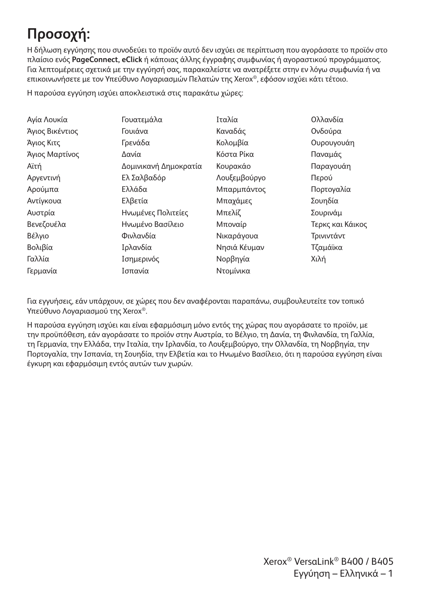# **Προσοχή:**

Η δήλωση εγγύησης που συνοδεύει το προϊόν αυτό δεν ισχύει σε περίπτωση που αγοράσατε το προϊόν στο πλαίσιο ενός **PageConnect, eClick** ή κάποιας άλλης έγγραφης συμφωνίας ή αγοραστικού προγράμματος. Για λεπτομέρειες σχετικά με την εγγύησή σας, παρακαλείστε να ανατρέξετε στην εν λόγω συμφωνία ή να επικοινωνήσετε με τον Υπεύθυνο Λογαριασμών Πελατών της Xerox®, εφόσον ισχύει κάτι τέτοιο.

Η παρούσα εγγύηση ισχύει αποκλειστικά στις παρακάτω χώρες:

| Αγία Λουκία     | Γουατεμάλα            | Ιταλία       | Ολλανδία         |
|-----------------|-----------------------|--------------|------------------|
| Άγιος Βικέντιος | Γουιάνα               | Καναδάς      | Ονδούρα          |
| Άγιος Κιτς      | Γρενάδα               | Κολομβία     | Ουρουγουάη       |
| Άγιος Μαρτίνος  | Δανία                 | Κόστα Ρίκα   | Παναμάς          |
| Αϊτή            | Δομινικανή Δημοκρατία | Κουρακάο     | Παραγουάη        |
| Αργεντινή       | Ελ Σαλβαδόρ           | Λουξεμβούργο | Περού            |
| Αρούμπα         | Ελλάδα                | Μπαρμπάντος  | Πορτογαλία       |
| Αντίγκουα       | Ελβετία               | Μπαχάμες     | Σουηδία          |
| Αυστρία         | Ηνωμένες Πολιτείες    | Μπελίζ       | Σουρινάμ         |
| Βενεζουέλα      | Ηνωμένο Βασίλειο      | Μποναίρ      | Τερκς και Κάικος |
| Βέλγιο          | Φινλανδία             | Νικαράγουα   | Τρινιντάντ       |
| Βολιβία         | Ιρλανδία              | Νησιά Κέυμαν | Τζαμάϊκα         |
| Γαλλία          | Ισημερινός            | Νορβηγία     | Χιλή             |
| Γερμανία        | Ισπανία               | Ντομίνικα    |                  |

Για εγγυήσεις, εάν υπάρχουν, σε χώρες που δεν αναφέρονται παραπάνω, συμβουλευτείτε τον τοπικό Υπεύθυνο Λογαριασμού της Xerox®.

Η παρούσα εγγύηση ισχύει και είναι εφαρμόσιμη μόνο εντός της χώρας που αγοράσατε το προϊόν, με την προϋπόθεση, εάν αγοράσατε το προϊόν στην Αυστρία, το Βέλγιο, τη Δανία, τη Φινλανδία, τη Γαλλία, τη Γερμανία, την Ελλάδα, την Ιταλία, την Ιρλανδία, το Λουξεμβούργο, την Ολλανδία, τη Νορβηγία, την Πορτογαλία, την Ισπανία, τη Σουηδία, την Ελβετία και το Ηνωμένο Βασίλειο, ότι η παρούσα εγγύηση είναι έγκυρη και εφαρμόσιμη εντός αυτών των χωρών.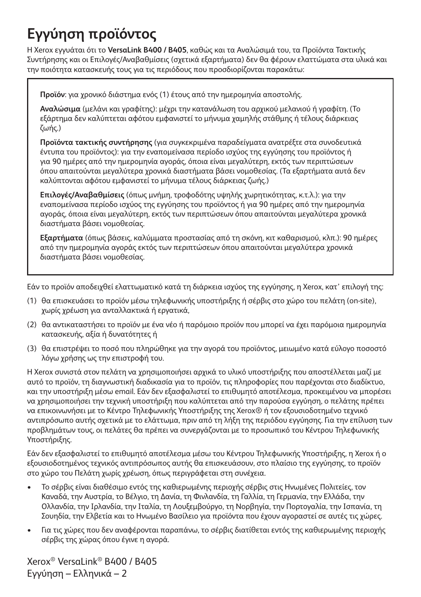# **Εγγύηση προϊόντος**

Η Xerox εγγυάται ότι το **VersaLink B400 / B405**, καθώς και τα Αναλώσιμά του, τα Προϊόντα Τακτικής Συντήρησης και οι Επιλογές/Αναβαθμίσεις (σχετικά εξαρτήματα) δεν θα φέρουν ελαττώματα στα υλικά και την ποιότητα κατασκευής τους για τις περιόδους που προσδιορίζονται παρακάτω:

**Προϊόν**: για χρονικό διάστημα ενός (1) έτους από την ημερομηνία αποστολής.

**Αναλώσιμα** (μελάνι και γραφίτης): μέχρι την κατανάλωση του αρχικού μελανιού ή γραφίτη. (Το εξάρτημα δεν καλύπτεται αφότου εμφανιστεί το μήνυμα χαμηλής στάθμης ή τέλους διάρκειας ζωής.)

**Προϊόντα τακτικής συντήρησης** (για συγκεκριμένα παραδείγματα ανατρέξτε στα συνοδευτικά έντυπα του προϊόντος): για την εναπομείνασα περίοδο ισχύος της εγγύησης του προϊόντος ή για 90 ημέρες από την ημερομηνία αγοράς, όποια είναι μεγαλύτερη, εκτός των περιπτώσεων όπου απαιτούνται μεγαλύτερα χρονικά διαστήματα βάσει νομοθεσίας. (Τα εξαρτήματα αυτά δεν καλύπτονται αφότου εμφανιστεί το μήνυμα τέλους διάρκειας ζωής.)

**Επιλογές/Αναβαθμίσεις** (όπως μνήμη, τροφοδότης υψηλής χωρητικότητας, κ.τ.λ.): για την εναπομείνασα περίοδο ισχύος της εγγύησης του προϊόντος ή για 90 ημέρες από την ημερομηνία αγοράς, όποια είναι μεγαλύτερη, εκτός των περιπτώσεων όπου απαιτούνται μεγαλύτερα χρονικά διαστήματα βάσει νομοθεσίας.

**Εξαρτήματα** (όπως βάσεις, καλύμματα προστασίας από τη σκόνη, κιτ καθαρισμού, κλπ.): 90 ημέρες από την ημερομηνία αγοράς εκτός των περιπτώσεων όπου απαιτούνται μεγαλύτερα χρονικά διαστήματα βάσει νομοθεσίας.

Εάν το προϊόν αποδειχθεί ελαττωματικό κατά τη διάρκεια ισχύος της εγγύησης, η Xerox, κατ' επιλογή της:

- (1) θα επισκευάσει το προϊόν μέσω τηλεφωνικής υποστήριξης ή σέρβις στο χώρο του πελάτη (on-site), χωρίς χρέωση για ανταλλακτικά ή εργατικά,
- (2) θα αντικαταστήσει το προϊόν με ένα νέο ή παρόμοιο προϊόν που μπορεί να έχει παρόμοια ημερομηνία κατασκευής, αξία ή δυνατότητες ή
- (3) θα επιστρέψει το ποσό που πληρώθηκε για την αγορά του προϊόντος, μειωμένο κατά εύλογο ποσοστό λόγω χρήσης ως την επιστροφή του.

Η Xerox συνιστά στον πελάτη να χρησιμοποιήσει αρχικά το υλικό υποστήριξης που αποστέλλεται μαζί με αυτό το προϊόν, τη διαγνωστική διαδικασία για το προϊόν, τις πληροφορίες που παρέχονται στο διαδίκτυο, και την υποστήριξη μέσω email. Εάν δεν εξασφαλιστεί το επιθυμητό αποτέλεσμα, προκειμένου να μπορέσει να χρησιμοποιήσει την τεχνική υποστήριξη που καλύπτεται από την παρούσα εγγύηση, ο πελάτης πρέπει να επικοινωνήσει με το Κέντρο Τηλεφωνικής Υποστήριξης της Xerox® ή τον εξουσιοδοτημένο τεχνικό αντιπρόσωπο αυτής σχετικά με το ελάττωμα, πριν από τη λήξη της περιόδου εγγύησης. Για την επίλυση των προβλημάτων τους, οι πελάτες θα πρέπει να συνεργάζονται με το προσωπικό του Κέντρου Τηλεφωνικής Υποστήριξης.

Εάν δεν εξασφαλιστεί το επιθυμητό αποτέλεσμα μέσω του Κέντρου Τηλεφωνικής Υποστήριξης, η Xerox ή ο εξουσιοδοτημένος τεχνικός αντιπρόσωπος αυτής θα επισκευάσουν, στο πλαίσιο της εγγύησης, το προϊόν στο χώρο του Πελάτη χωρίς χρέωση, όπως περιγράφεται στη συνέχεια.

- Το σέρβις είναι διαθέσιμο εντός της καθιερωμένης περιοχής σέρβις στις Ηνωμένες Πολιτείες, τον Καναδά, την Αυστρία, το Βέλγιο, τη Δανία, τη Φινλανδία, τη Γαλλία, τη Γερμανία, την Ελλάδα, την Ολλανδία, την Ιρλανδία, την Ιταλία, τη Λουξεμβούργο, τη Νορβηγία, την Πορτογαλία, την Ισπανία, τη Σουηδία, την Ελβετία και το Ηνωμένο Βασίλειο για προϊόντα που έχουν αγοραστεί σε αυτές τις χώρες.
- Για τις χώρες που δεν αναφέρονται παραπάνω, το σέρβις διατίθεται εντός της καθιερωμένης περιοχής σέρβις της χώρας όπου έγινε η αγορά.

Xerox® VersaLink® B400 / B405 Εγγύηση – Ελληνικά – 2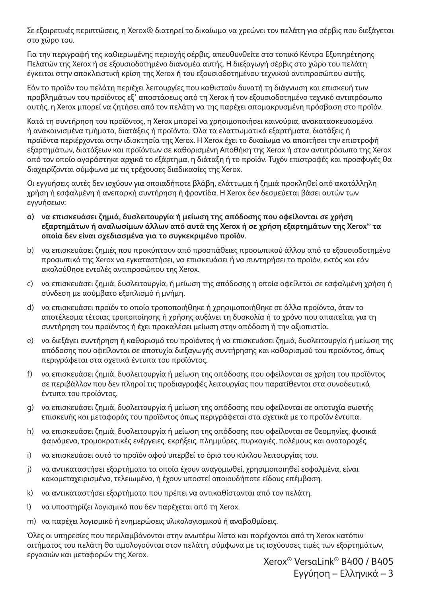Σε εξαιρετικές περιπτώσεις, η Xerox® διατηρεί το δικαίωμα να χρεώνει τον πελάτη για σέρβις που διεξάγεται στο χώρο του.

Για την περιγραφή της καθιερωμένης περιοχής σέρβις, απευθυνθείτε στο τοπικό Κέντρο Εξυπηρέτησης Πελατών της Xerox ή σε εξουσιοδοτημένο διανομέα αυτής. Η διεξαγωγή σέρβις στο χώρο του πελάτη έγκειται στην αποκλειστική κρίση της Xerox ή του εξουσιοδοτημένου τεχνικού αντιπροσώπου αυτής.

Εάν το προϊόν του πελάτη περιέχει λειτουργίες που καθιστούν δυνατή τη διάγνωση και επισκευή των προβλημάτων του προϊόντος εξ' αποστάσεως από τη Xerox ή τον εξουσιοδοτημένο τεχνικό αντιπρόσωπο αυτής, η Xerox μπορεί να ζητήσει από τον πελάτη να της παρέχει απομακρυσμένη πρόσβαση στο προϊόν.

Κατά τη συντήρηση του προϊόντος, η Xerox μπορεί να χρησιμοποιήσει καινούρια, ανακατασκευασμένα ή ανακαινισμένα τμήματα, διατάξεις ή προϊόντα. Όλα τα ελαττωματικά εξαρτήματα, διατάξεις ή προϊόντα περιέρχονται στην ιδιοκτησία της Xerox. Η Xerox έχει το δικαίωμα να απαιτήσει την επιστροφή εξαρτημάτων, διατάξεων και προϊόντων σε καθορισμένη Αποθήκη της Xerox ή στον αντιπρόσωπο της Xerox από τον οποίο αγοράστηκε αρχικά το εξάρτημα, η διάταξη ή το προϊόν. Τυχόν επιστροφές και προσφυγές θα διαχειρίζονται σύμφωνα με τις τρέχουσες διαδικασίες της Xerox.

Οι εγγυήσεις αυτές δεν ισχύουν για οποιαδήποτε βλάβη, ελάττωμα ή ζημιά προκληθεί από ακατάλληλη χρήση ή εσφαλμένη ή ανεπαρκή συντήρηση ή φροντίδα. Η Xerox δεν δεσμεύεται βάσει αυτών των εγγυήσεων:

- **a) να επισκευάσει ζημιά, δυσλειτουργία ή μείωση της απόδοσης που οφείλονται σε χρήση εξαρτημάτων ή αναλωσίμων άλλων από αυτά της Xerox ή σε χρήση εξαρτημάτων της Xerox® τα οποία δεν είναι σχεδιασμένα για το συγκεκριμένο προϊόν.**
- b) να επισκευάσει ζημιές που προκύπτουν από προσπάθειες προσωπικού άλλου από το εξουσιοδοτημένο προσωπικό της Xerox να εγκαταστήσει, να επισκευάσει ή να συντηρήσει το προϊόν, εκτός και εάν ακολούθησε εντολές αντιπροσώπου της Xerox.
- c) να επισκευάσει ζημιά, δυσλειτουργία, ή μείωση της απόδοσης η οποία οφείλεται σε εσφαλμένη χρήση ή σύνδεση με ασύμβατο εξοπλισμό ή μνήμη.
- d) να επισκευάσει προϊόν το οποίο τροποποιήθηκε ή χρησιμοποιήθηκε σε άλλα προϊόντα, όταν το αποτέλεσμα τέτοιας τροποποίησης ή χρήσης αυξάνει τη δυσκολία ή το χρόνο που απαιτείται για τη συντήρηση του προϊόντος ή έχει προκαλέσει μείωση στην απόδοση ή την αξιοπιστία.
- e) να διεξάγει συντήρηση ή καθαρισμό του προϊόντος ή να επισκευάσει ζημιά, δυσλειτουργία ή μείωση της απόδοσης που οφείλονται σε αποτυχία διεξαγωγής συντήρησης και καθαρισμού του προϊόντος, όπως περιγράφεται στα σχετικά έντυπα του προϊόντος.
- f) να επισκευάσει ζημιά, δυσλειτουργία ή μείωση της απόδοσης που οφείλονται σε χρήση του προϊόντος σε περιβάλλον που δεν πληροί τις προδιαγραφές λειτουργίας που παρατίθενται στα συνοδευτικά έντυπα του προϊόντος.
- g) να επισκευάσει ζημιά, δυσλειτουργία ή μείωση της απόδοσης που οφείλονται σε αποτυχία σωστής επισκευής και μεταφοράς του προϊόντος όπως περιγράφεται στα σχετικά με το προϊόν έντυπα.
- h) να επισκευάσει ζημιά, δυσλειτουργία ή μείωση της απόδοσης που οφείλονται σε θεομηνίες, φυσικά φαινόμενα, τρομοκρατικές ενέργειες, εκρήξεις, πλημμύρες, πυρκαγιές, πολέμους και αναταραχές.
- i) να επισκευάσει αυτό το προϊόν αφού υπερβεί το όριο του κύκλου λειτουργίας του.
- j) να αντικαταστήσει εξαρτήματα τα οποία έχουν αναγομωθεί, χρησιμοποιηθεί εσφαλμένα, είναι κακομεταχειρισμένα, τελειωμένα, ή έχουν υποστεί οποιουδήποτε είδους επέμβαση.
- k) να αντικαταστήσει εξαρτήματα που πρέπει να αντικαθίστανται από τον πελάτη.
- l) να υποστηρίζει λογισμικό που δεν παρέχεται από τη Xerox.
- m) να παρέχει λογισμικό ή ενημερώσεις υλικολογισμικού ή αναβαθμίσεις.

Όλες οι υπηρεσίες που περιλαμβάνονται στην ανωτέρω λίστα και παρέχονται από τη Xerox κατόπιν αιτήματος του πελάτη θα τιμολογούνται στον πελάτη, σύμφωνα με τις ισχύουσες τιμές των εξαρτημάτων, εργασιών και μεταφορών της Xerox. Xerox® VersaLink® B400 / B405

Εγγύηση – Ελληνικά – 3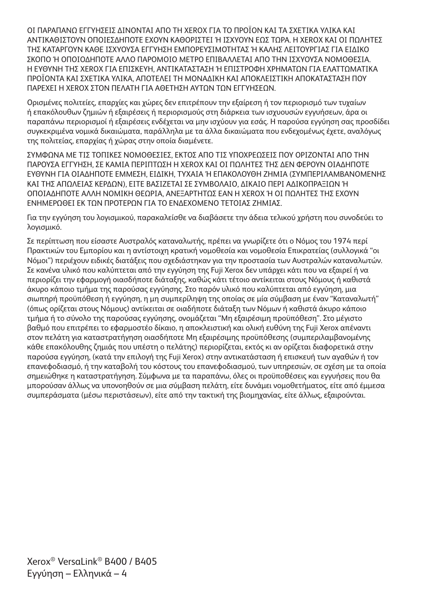ΟΙ ΠΑΡΑΠΑΝΩ ΕΓΓΥΗΣΕΙΣ ΔΙΝΟΝΤΑΙ ΑΠΟ ΤΗ XEROX ΓΙΑ ΤΟ ΠΡΟΪΟΝ ΚΑΙ ΤΑ ΣΧΕΤΙΚΑ ΥΛΙΚΑ ΚΑΙ ΑΝΤΙΚΑΘΙΣΤΟΥΝ ΟΠΟΙΕΣΔΗΠΟΤΕ ΕΧΟΥΝ ΚΑΘΟΡΙΣΤΕΙ Ή ΙΣΧΥΟΥΝ ΕΩΣ ΤΩΡΑ. Η XEROX ΚΑΙ ΟΙ ΠΩΛΗΤΕΣ ΤΗΣ ΚΑΤΑΡΓΟΥΝ ΚΑΘΕ ΙΣΧΥΟΥΣΑ ΕΓΓΥΗΣΗ ΕΜΠΟΡΕΥΣΙΜΟΤΗΤΑΣ Ή ΚΑΛΗΣ ΛΕΙΤΟΥΡΓΙΑΣ ΓΙΑ ΕΙΔΙΚΟ ΣΚΟΠΟ Ή ΟΠΟΙΟΔΗΠΟΤΕ ΑΛΛΟ ΠΑΡΟΜΟΙΟ ΜΕΤΡΟ ΕΠΙΒΑΛΛΕΤΑΙ ΑΠΟ ΤΗΝ ΙΣΧΥΟΥΣΑ ΝΟΜΟΘΕΣΙΑ. Η ΕΥΘΥΝΗ ΤΗΣ XEROX ΓΙΑ ΕΠΙΣΚΕΥΗ, ΑΝΤΙΚΑΤΑΣΤΑΣΗ Ή ΕΠΙΣΤΡΟΦΗ ΧΡΗΜΑΤΩΝ ΓΙΑ ΕΛΑΤΤΩΜΑΤΙΚΑ ΠΡΟΪΟΝΤΑ ΚΑΙ ΣΧΕΤΙΚΑ ΥΛΙΚΑ, ΑΠΟΤΕΛΕΙ ΤΗ ΜΟΝΑΔΙΚΗ ΚΑΙ ΑΠΟΚΛΕΙΣΤΙΚΗ ΑΠΟΚΑΤΑΣΤΑΣΗ ΠΟΥ ΠΑΡΕΧΕΙ Η XEROX ΣΤΟΝ ΠΕΛΑΤΗ ΓΙΑ ΑΘΕΤΗΣΗ ΑΥΤΩΝ ΤΩΝ ΕΓΓΥΗΣΕΩΝ.

Ορισμένες πολιτείες, επαρχίες και χώρες δεν επιτρέπουν την εξαίρεση ή τον περιορισμό των τυχαίων ή επακόλουθων ζημιών ή εξαιρέσεις ή περιορισμούς στη διάρκεια των ισχυουσών εγγυήσεων, άρα οι παραπάνω περιορισμοί ή εξαιρέσεις ενδέχεται να μην ισχύουν για εσάς. Η παρούσα εγγύηση σας προσδίδει συγκεκριμένα νομικά δικαιώματα, παράλληλα με τα άλλα δικαιώματα που ενδεχομένως έχετε, αναλόγως της πολιτείας, επαρχίας ή χώρας στην οποία διαμένετε.

ΣΥΜΦΩΝΑ ΜΕ ΤΙΣ ΤΟΠΙΚΕΣ ΝΟΜΟΘΕΣΙΕΣ, ΕΚΤΟΣ ΑΠΟ ΤΙΣ ΥΠΟΧΡΕΩΣΕΙΣ ΠΟΥ ΟΡΙΖΟΝΤΑΙ ΑΠΟ ΤΗΝ ΠΑΡΟΥΣΑ ΕΓΓΥΗΣΗ, ΣΕ ΚΑΜΙΑ ΠΕΡΙΠΤΩΣΗ Η XEROX ΚΑΙ ΟΙ ΠΩΛΗΤΕΣ ΤΗΣ ΔΕΝ ΦΕΡΟΥΝ ΟΙΑΔΗΠΟΤΕ ΕΥΘΥΝΗ ΓΙΑ ΟΙΑΔΗΠΟΤΕ ΕΜΜΕΣΗ, ΕΙΔΙΚΗ, ΤΥΧΑΙΑ Ή ΕΠΑΚΟΛΟΥΘΗ ΖΗΜΙΑ (ΣΥΜΠΕΡΙΛΑΜΒΑΝΟΜΕΝΗΣ ΚΑΙ ΤΗΣ ΑΠΩΛΕΙΑΣ ΚΕΡΔΩΝ), ΕΙΤΕ ΒΑΣΙΖΕΤΑΙ ΣΕ ΣΥΜΒΟΛΑΙΟ, ΔΙΚΑΙΟ ΠΕΡΙ ΑΔΙΚΟΠΡΑΞΙΩΝ Ή ΟΠΟΙΑΔΗΠΟΤΕ ΑΛΛΗ ΝΟΜΙΚΗ ΘΕΩΡΙΑ, ΑΝΕΞΑΡΤΗΤΩΣ ΕΑΝ Η XEROX Ή ΟΙ ΠΩΛΗΤΕΣ ΤΗΣ ΕΧΟΥΝ ΕΝΗΜΕΡΩΘΕΙ ΕΚ ΤΩΝ ΠΡΟΤΕΡΩΝ ΓΙΑ ΤΟ ΕΝΔΕΧΟΜΕΝΟ ΤΕΤΟΙΑΣ ΖΗΜΙΑΣ.

Για την εγγύηση του λογισμικού, παρακαλείσθε να διαβάσετε την άδεια τελικού χρήστη που συνοδεύει το λογισμικό.

Σε περίπτωση που είσαστε Αυστραλός καταναλωτής, πρέπει να γνωρίζετε ότι ο Νόμος του 1974 περί Πρακτικών του Εμπορίου και η αντίστοιχη κρατική νομοθεσία και νομοθεσία Επικρατείας (συλλογικά "οι Νόμοι") περιέχουν ειδικές διατάξεις που σχεδιάστηκαν για την προστασία των Αυστραλών καταναλωτών. Σε κανένα υλικό που καλύπτεται από την εγγύηση της Fuji Xerox δεν υπάρχει κάτι που να εξαιρεί ή να περιορίζει την εφαρμογή οιασδήποτε διάταξης, καθώς κάτι τέτοιο αντίκειται στους Νόμους ή καθιστά άκυρο κάποιο τμήμα της παρούσας εγγύησης. Στο παρόν υλικό που καλύπτεται από εγγύηση, μια σιωπηρή προϋπόθεση ή εγγύηση, η μη συμπερίληψη της οποίας σε μία σύμβαση με έναν "Καταναλωτή" (όπως ορίζεται στους Νόμους) αντίκειται σε οιαδήποτε διάταξη των Νόμων ή καθιστά άκυρο κάποιο τμήμα ή το σύνολο της παρούσας εγγύησης, ονομάζεται "Μη εξαιρέσιμη προϋπόθεση". Στο μέγιστο βαθμό που επιτρέπει το εφαρμοστέο δίκαιο, η αποκλειστική και ολική ευθύνη της Fuji Xerox απέναντι στον πελάτη για καταστρατήγηση οιασδήποτε Μη εξαιρέσιμης προϋπόθεσης (συμπεριλαμβανομένης κάθε επακόλουθης ζημιάς που υπέστη ο πελάτης) περιορίζεται, εκτός κι αν ορίζεται διαφορετικά στην παρούσα εγγύηση, (κατά την επιλογή της Fuji Xerox) στην αντικατάσταση ή επισκευή των αγαθών ή τον επανεφοδιασμό, ή την καταβολή του κόστους του επανεφοδιασμού, των υπηρεσιών, σε σχέση με τα οποία σημειώθηκε η καταστρατήγηση. Σύμφωνα με τα παραπάνω, όλες οι προϋποθέσεις και εγγυήσεις που θα μπορούσαν άλλως να υπονοηθούν σε μια σύμβαση πελάτη, είτε δυνάμει νομοθετήματος, είτε από έμμεσα συμπεράσματα (μέσω περιστάσεων), είτε από την τακτική της βιομηχανίας, είτε άλλως, εξαιρούνται.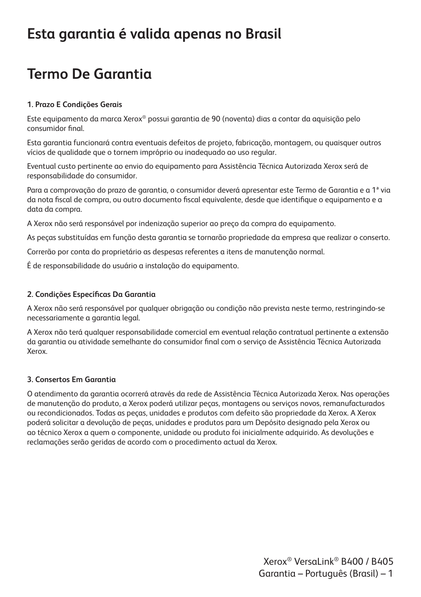#### **Esta garantia é valida apenas no Brasil**

## **Termo De Garantia**

#### **1. Prazo E Condições Gerais**

Este equipamento da marca Xerox® possui garantia de 90 (noventa) dias a contar da aquisição pelo consumidor final.

Esta garantia funcionará contra eventuais defeitos de projeto, fabricação, montagem, ou quaisquer outros vícios de qualidade que o tornem impróprio ou inadequado ao uso regular.

Eventual custo pertinente ao envio do equipamento para Assistência Técnica Autorizada Xerox será de responsabilidade do consumidor.

Para a comprovação do prazo de garantia, o consumidor deverá apresentar este Termo de Garantia e a 1ª via da nota fiscal de compra, ou outro documento fiscal equivalente, desde que identifique o equipamento e a data da compra.

A Xerox não será responsável por indenização superior ao preço da compra do equipamento.

As peças substituídas em função desta garantia se tornarão propriedade da empresa que realizar o conserto.

Correrão por conta do proprietário as despesas referentes a itens de manutenção normal.

É de responsabilidade do usuário a instalação do equipamento.

#### **2. Condições Específicas Da Garantia**

A Xerox não será responsável por qualquer obrigação ou condição não prevista neste termo, restringindo-se necessariamente a garantia legal.

A Xerox não terá qualquer responsabilidade comercial em eventual relação contratual pertinente a extensão da garantia ou atividade semelhante do consumidor final com o serviço de Assistência Técnica Autorizada Xerox.

#### **3. Consertos Em Garantia**

O atendimento da garantia ocorrerá através da rede de Assistência Técnica Autorizada Xerox. Nas operações de manutenção do produto, a Xerox poderá utilizar peças, montagens ou serviços novos, remanufacturados ou recondicionados. Todas as peças, unidades e produtos com defeito são propriedade da Xerox. A Xerox poderá solicitar a devolução de peças, unidades e produtos para um Depósito designado pela Xerox ou ao técnico Xerox a quem o componente, unidade ou produto foi inicialmente adquirido. As devoluções e reclamações serão geridas de acordo com o procedimento actual da Xerox.

> Xerox® VersaLink® B400 / B405 Garantia – Português (Brasil) – 1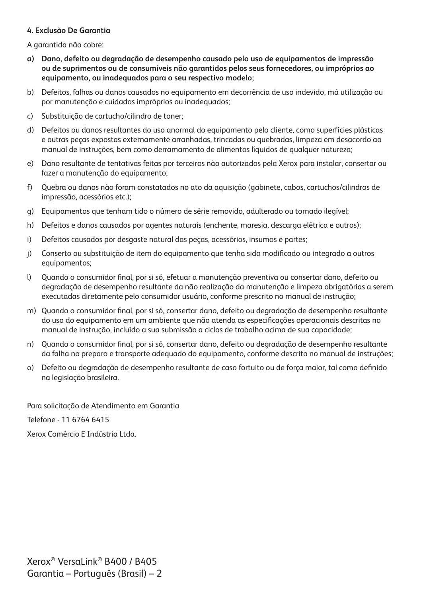#### **4. Exclusão De Garantia**

A garantida não cobre:

- **a) Dano, defeito ou degradação de desempenho causado pelo uso de equipamentos de impressão ou de suprimentos ou de consumíveis não garantidos pelos seus fornecedores, ou impróprios ao equipamento, ou inadequados para o seu respectivo modelo;**
- b) Defeitos, falhas ou danos causados no equipamento em decorrência de uso indevido, má utilização ou por manutenção e cuidados impróprios ou inadequados;
- c) Substituição de cartucho/cilindro de toner;
- d) Defeitos ou danos resultantes do uso anormal do equipamento pelo cliente, como superfícies plásticas e outras peças expostas externamente arranhadas, trincadas ou quebradas, limpeza em desacordo ao manual de instruções, bem como derramamento de alimentos líquidos de qualquer natureza;
- e) Dano resultante de tentativas feitas por terceiros não autorizados pela Xerox para instalar, consertar ou fazer a manutenção do equipamento;
- f) Quebra ou danos não foram constatados no ato da aquisição (gabinete, cabos, cartuchos/cilindros de impressão, acessórios etc.);
- g) Equipamentos que tenham tido o número de série removido, adulterado ou tornado ilegível;
- h) Defeitos e danos causados por agentes naturais (enchente, maresia, descarga elétrica e outros);
- i) Defeitos causados por desgaste natural das peças, acessórios, insumos e partes;
- j) Conserto ou substituição de item do equipamento que tenha sido modificado ou integrado a outros equipamentos;
- l) Quando o consumidor final, por si só, efetuar a manutenção preventiva ou consertar dano, defeito ou degradação de desempenho resultante da não realização da manutenção e limpeza obrigatórias a serem executadas diretamente pelo consumidor usuário, conforme prescrito no manual de instrução;
- m) Quando o consumidor final, por si só, consertar dano, defeito ou degradação de desempenho resultante do uso do equipamento em um ambiente que não atenda as especificações operacionais descritas no manual de instrução, incluído a sua submissão a ciclos de trabalho acima de sua capacidade;
- n) Quando o consumidor final, por si só, consertar dano, defeito ou degradação de desempenho resultante da falha no preparo e transporte adequado do equipamento, conforme descrito no manual de instruções;
- o) Defeito ou degradação de desempenho resultante de caso fortuito ou de força maior, tal como definido na legislação brasileira.

Para solicitação de Atendimento em Garantia

Telefone - 11 6764 6415

Xerox Comércio E Indústria Ltda.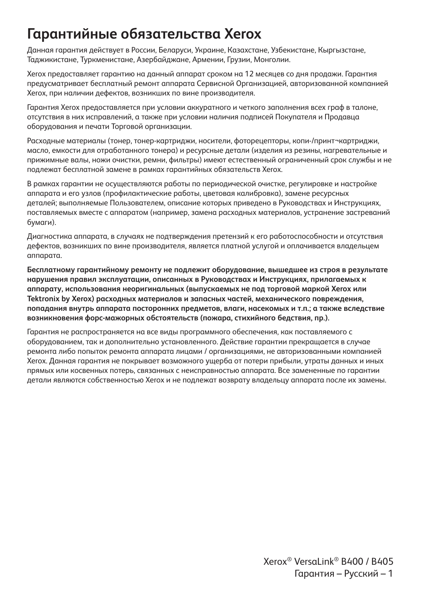### **Гарантийные обязательства Xerox**

Данная гарантия действует в России, Беларуси, Украине, Казахстане, Узбекистане, Кыргызстане, Таджикистане, Туркменистане, Азербайджане, Армении, Грузии, Монголии.

Xerox предоставляет гарантию на данный аппарат сроком на 12 месяцев со дня продажи. Гарантия предусматривает бесплатный ремонт аппарата Сервисной Организацией, авторизованной компанией Xerox, при наличии дефектов, возникших по вине производителя.

Гарантия Xerox предоставляется при условии аккуратного и четкого заполнения всех граф в талоне, отсутствия в них исправлений, а также при условии наличия подписей Покупателя и Продавца оборудования и печати Торговой организации.

Расходные материалы (тонер, тонер-картриджи, носители, фоторецепторы, копи-/принт¬картриджи, масло, емкости для отработанного тонера) и ресурсные детали (изделия из резины, нагревательные и прижимные валы, ножи очистки, ремни, фильтры) имеют естественный ограниченный срок службы и не подлежат бесплатной замене в рамках гарантийных обязательств Xerox.

В рамках гарантии не осуществляются работы по периодической очистке, регулировке и настройке аппарата и его узлов (профилактические работы, цветовая калибровка), замене ресурсных деталей; выполняемые Пользователем, описание которых приведено в Руководствах и Инструкциях, поставляемых вместе с аппаратом (например, замена расходных материалов, устранение застреваний бумаги).

Диагностика аппарата, в случаях не подтверждения претензий к его работоспособности и отсутствия дефектов, возникших по вине производителя, является платной услугой и оплачивается владельцем аппарата.

**Бесплатному гарантийному ремонту не подлежит оборудование, вышедшее из строя в результате нарушения правил эксплуатации, описанных в Руководствах и Инструкциях, прилагаемых к аппарату, использования неоригинальных (выпускаемых не под торговой маркой Xerox или Tektronix by Xerox) расходных материалов и запасных частей, механического повреждения, попадания внутрь аппарата посторонних предметов, влаги, насекомых и т.п.; а также вследствие возникновения форс-мажорных обстоятельств (пожара, стихийного бедствия, пр.).**

Гарантия не распространяется на все виды программного обеспечения, как поставляемого с оборудованием, так и дополнительно установленного. Действие гарантии прекращается в случае ремонта либо попыток ремонта аппарата лицами / организациями, не авторизованными компанией Xerox. Данная гарантия не покрывает возможного ущерба от потери прибыли, утраты данных и иных прямых или косвенных потерь, связанных с неисправностью аппарата. Все замененные по гарантии детали являются собственностью Xerox и не подлежат возврату владельцу аппарата после их замены.

> Xerox® VersaLink® B400 / B405 Гарантия – Русский – 1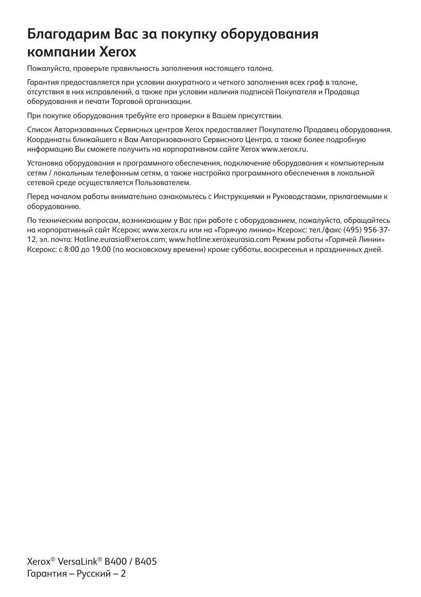## **Благодарим Вас за покупку оборудования компании Xerox**

Пожалуйста, проверьте правильность заполнения настоящего талона.

Гарантия предоставляется при условии аккуратного и четкого заполнения всех граф в талоне, отсутствия в них исправлений, а также при условии наличия подписей Покупателя и Продавца оборудования и печати Торговой организации.

При покупке оборудования требуйте его проверки в Вашем присутствии.

Список Авторизованных Сервисных центров Xerox предоставляет Покупателю Продавец оборудования. Координаты ближайшего к Вам Авторизованного Сервисного Центра, а также более подробную информацию Вы сможете получить на корпоративном сайте Xerox www.xerox.ru.

Установка оборудования и программного обеспечения, подключение оборудования к компьютерным сетям / локальным телефонным сетям, а также настройка программного обеспечения в локальной сетевой среде осуществляется Пользователем.

Перед началом работы внимательно ознакомьтесь с Инструкциями и Руководствами, прилагаемыми к оборудованию.

По техническим вопросам, возникающим у Вас при работе с оборудованием, пожалуйста, обращайтесь на корпоративный сайт Ксерокс www.xerox.ru или на «Горячую линию» Ксерокс: тел./факс (495) 956-37- 12, эл. почта: Hotline.eurasia@xerox.com; www.hotline.xeroxeurasia.com Режим работы «Горячей Линии» Ксерокс: с 8:00 до 19:00 (по московскому времени) кроме субботы, воскресенья и праздничных дней.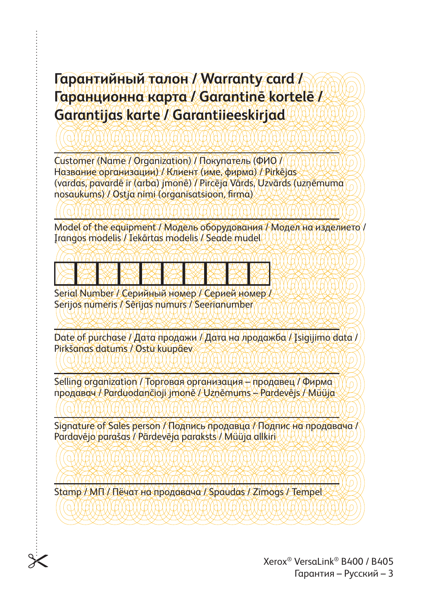### **Гарантийный талон / Warranty card / Гаранционна карта / Garantinē kortelē / Garantijas karte / Garantiieeskirjad**

Customer (Name / Organization) / Покупатель (ФИО / Название организации) / Клиент (име, фирма) / Pirkējas (vardas, pavardē ir (arba) jmonē) / Pircēja Vārds, Uzvārds (uzņēmuma nosaukums) / Ostja nimi (organisatsioon, firma)

Model of the equipment / Модель оборудования / Модел на изделието / Įrangos modelis / Iekārtas modelis / Seade mudel

Serial Number / Серийный номер / Серией номер Serijos numeris / Sērijas numurs / Seerianumber

 $D$ ate of purchase  $\ell$  Дата продажи / Дата на лродажба  $\ell$ Isigijimo data / Pirkšanas datums / Ostu kuupäev

Selling organization / Торговая организация – продавец / Фирма продавач / Parduodančioji jmonē / Uzņēmums – Pardevējs / Müüja

Signature of Sales person / Подпись продавца / Подпис на продавача / Pardavējo parašas / Pārdevēja paraksts / Müüja allkiri

Stamp / МП / Пёчат на продавача / Spaudas / Zīmogs / Tempel

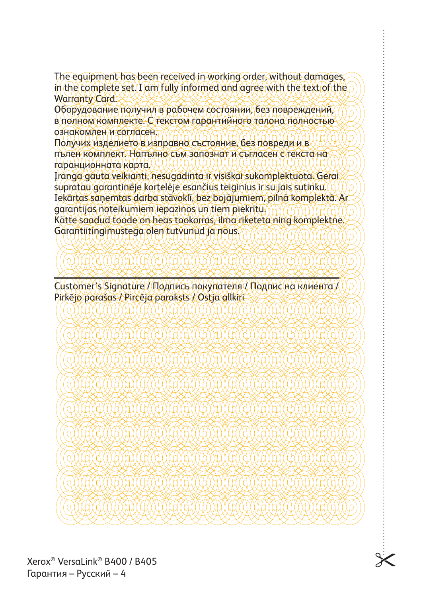The equipment has been received in working order, without damages, in the complete set. I am fully informed and agree with the text of the Warranty Card.

Оборудование получил в рабочем состоянии, без повреждений, в полном комплекте. С текстом гарантийного талона полностью ознакомлен и согласен.

Получих изделието в изправно състояние, без повреди и в пълен комплект. Напълно съм запознат и съгласен с текста на гаранционната карта.

Įranga gauta veikianti, nesugadinta ir visiškai sukomplektuota. Gerai supratau garantinēje kortelēje esančius teiginius ir su jais sutinku. Iekārtas saņemtas darba stāvoklī, bez bojājumiem, pilnā komplektā. Ar garantijas noteikumiem iepazinos un tiem piekrītu. Kätte saadud toode on heas tookorras, ilma riketeta ning komplektne.

Garantiitingimustega olen tutvunud ja nous.

Customer's Signature / Подпись покупателя / Подпис на клиента / Pirkējo parašas / Pircēja paraksts / Ostja allkiri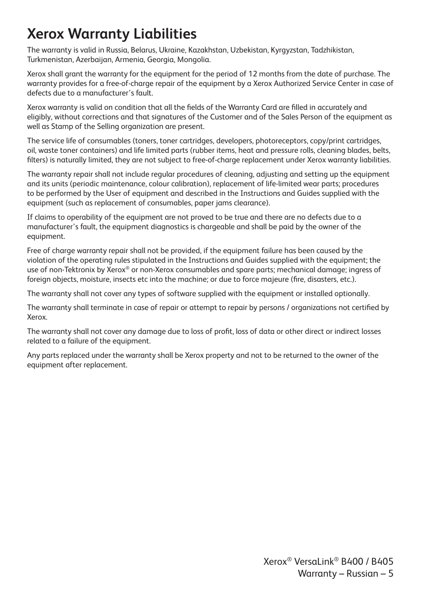# **Xerox Warranty Liabilities**

The warranty is valid in Russia, Belarus, Ukraine, Kazakhstan, Uzbekistan, Kyrgyzstan, Tadzhikistan, Turkmenistan, Azerbaijan, Armenia, Georgia, Mongolia.

Xerox shall grant the warranty for the equipment for the period of 12 months from the date of purchase. The warranty provides for a free-of-charge repair of the equipment by a Xerox Authorized Service Center in case of defects due to a manufacturer's fault.

Xerox warranty is valid on condition that all the fields of the Warranty Card are filled in accurately and eligibly, without corrections and that signatures of the Customer and of the Sales Person of the equipment as well as Stamp of the Selling organization are present.

The service life of consumables (toners, toner cartridges, developers, photoreceptors, copy/print cartridges, oil, waste toner containers) and life limited parts (rubber items, heat and pressure rolls, cleaning blades, belts, filters) is naturally limited, they are not subject to free-of-charge replacement under Xerox warranty liabilities.

The warranty repair shall not include regular procedures of cleaning, adjusting and setting up the equipment and its units (periodic maintenance, colour calibration), replacement of life-limited wear parts; procedures to be performed by the User of equipment and described in the Instructions and Guides supplied with the equipment (such as replacement of consumables, paper jams clearance).

If claims to operability of the equipment are not proved to be true and there are no defects due to a manufacturer's fault, the equipment diagnostics is chargeable and shall be paid by the owner of the equipment.

Free of charge warranty repair shall not be provided, if the equipment failure has been caused by the violation of the operating rules stipulated in the Instructions and Guides supplied with the equipment; the use of non-Tektronix by Xerox® or non-Xerox consumables and spare parts; mechanical damage; ingress of foreign objects, moisture, insects etc into the machine; or due to force majeure (fire, disasters, etc.).

The warranty shall not cover any types of software supplied with the equipment or installed optionally.

The warranty shall terminate in case of repair or attempt to repair by persons / organizations not certified by Xerox.

The warranty shall not cover any damage due to loss of profit, loss of data or other direct or indirect losses related to a failure of the equipment.

Any parts replaced under the warranty shall be Xerox property and not to be returned to the owner of the equipment after replacement.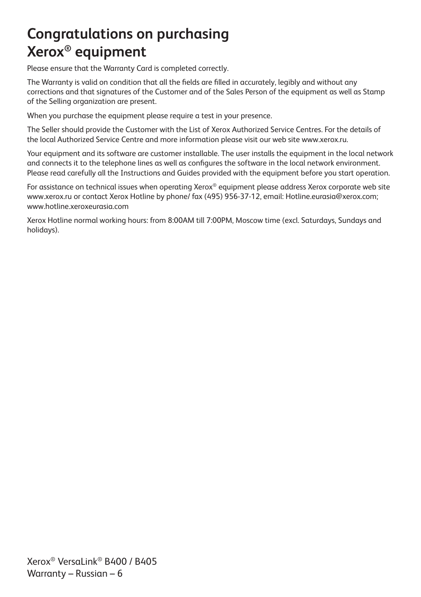# **Congratulations on purchasing Xerox® equipment**

Please ensure that the Warranty Card is completed correctly.

The Warranty is valid on condition that all the fields are filled in accurately, legibly and without any corrections and that signatures of the Customer and of the Sales Person of the equipment as well as Stamp of the Selling organization are present.

When you purchase the equipment please require a test in your presence.

The Seller should provide the Customer with the List of Xerox Authorized Service Centres. For the details of the local Authorized Service Centre and more information please visit our web site www.xerox.ru.

Your equipment and its software are customer installable. The user installs the equipment in the local network and connects it to the telephone lines as well as configures the software in the local network environment. Please read carefully all the Instructions and Guides provided with the equipment before you start operation.

For assistance on technical issues when operating Xerox® equipment please address Xerox corporate web site www.xerox.ru or contact Xerox Hotline by phone/ fax (495) 956-37-12, email: Hotline.eurasia@xerox.com; www.hotline.xeroxeurasia.com

Xerox Hotline normal working hours: from 8:00AM till 7:00PM, Moscow time (excl. Saturdays, Sundays and holidays).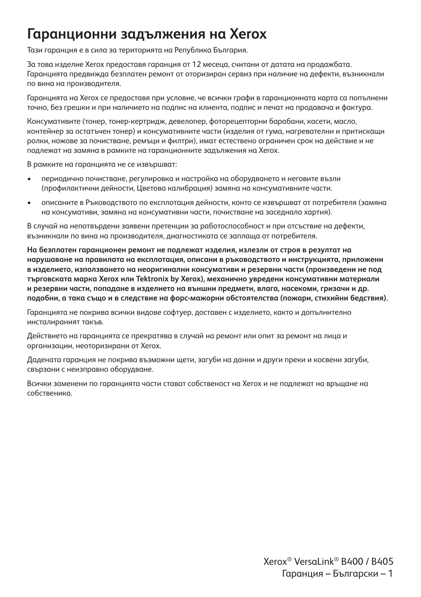#### **Гаранционни задължения на Xerox**

Тази гаранция е в сила за територията на Република България.

За това изделие Xerox предоставя гаранция от 12 месеца, считани от датата на продажбата. Гаранцията предвижда безплатен ремонт от оторизиран сервиз при наличие на дефекти, възникнали по вина на производителя.

Гаранцията на Xerox се предоставя при условие, че всички графи в гаранционната карта са попълнени точно, без грешки и при наличието на подпис на клиента, подпис и печат на продавача и фактура.

Консумативите (тонер, тонер-кертридж, девелопер, фоторецепторни барабани, касети, масло, контейнер за остатъчен тонер) и консумативните части (изделия от гума, нагревателни и притискащи ролки, ножове за почистване, ремъци и филтри), имат естествено ограничен срок на действие и не подлежат на замяна в рамките на гаранционните задължения на Xerox.

В рамките на гаранцията не се извършват:

- периодично почистване, регулировка и настройка на оборудването и неговите възли (профилактични дейности, Цветова калибрация) замяна на консумативните части.
- описаните в Ръководството по експлотация дейности, конто се извършват от потребителя (замяна на консумативи, замяна на консумативни части, почистване на заседнала хартия).

В случай на непотвърдени заявени претенции за работоспособност и при отсъствие на дефекти, възникнали по вина на производителя, диагностиката се заплаща от потребителя.

**На безплатен гаранционен ремонт не подлежат изделия, излезли от строя в резултат на нарушаване на правилата на експлотация, описани в ръководството и инструкцията, приложени в изделието, използването на неоригинални консумативи и резервни части (произведени не под търговската марка Xerox или Tektronix by Xerox), механично увредени консумативни материали и резервни части, попадане в изделието на външни предмети, влага, насекоми, гризачи и др. подобни, а така също и в следствие на форс-мажорни обстоятелства (пожари, стихийни бедствия).**

Гаранцията не покрива всички видове софтуер, доставен с изделието, както и допълнително инсталираният такъв.

Действието на гаранцията се прекратява в случай на ремонт или опит за ремонт на лица и организации, неоторизирани от Xerox.

Дадената гаранция не покрива възможни щети, загуби на данни и други преки и косвени загуби, свързани с неизправно оборудване.

Всички заменени по гаранцията части стават собственост на Хегох и не подлежат на връщане на собственика.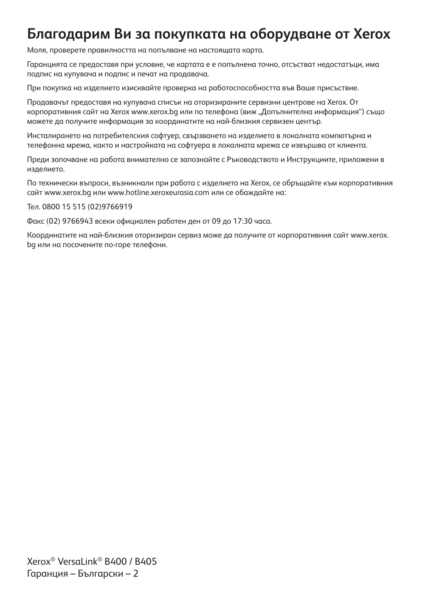### **Благодарим Ви за покупката на оборудване от Xerox**

Моля, проверете правилността на попълване на настоящата карта.

Гаранцията се предоставя при условие, че картата е е попълнена точно, отсъстват недостатъци, има подпис на купувача и подпис и печат на продавача.

При покупка на изделието изисквайте проверка на работоспособността във Ваше присъствие.

Продавачът предоставя на купувача списък на оторизираните сервизни центрове на Xerox. От корпоративния сайт на Xerox www.xerox.bg или по телефона (виж "Допълнителна информация") също можете да получите информация за координатите на най-близкия сервизен център.

Инсталирането на потребителския софтуер, свързването на изделието в локалната компютърна и телефонна мрежа, както и настройката на софтуера в локалната мрежа се извършва от клиента.

Преди започване на работа внимателно се запознайте с Ръководството и Инструкциите, приложени в изделието.

По технически въпроси, възникнали при работа с изделието на Xerox, се обръщайте към корпоративния сайт www.xerox.bg или www.hotline.xeroxeurasia.com или се обаждайте на:

Тел. 0800 15 515 (02)9766919

Факс (02) 9766943 всеки официален работен ден от 09 до 17:30 часа.

Координатите на най-близкия оторизиран сервиз може да получите от корпоративния сайт www.xerox. bg или на посочените по-горе телефони.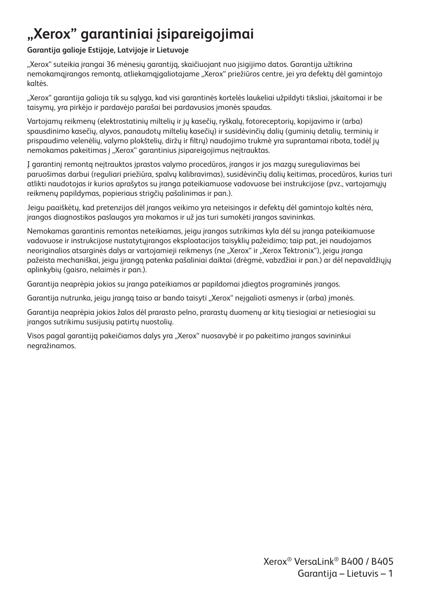# **"Xerox" garantiniai įsipareigojimai**

#### **Garantija galioje Estijoje, Latvijoje ir Lietuvoje**

"Xerox" suteikia įrangai 36 mėnesių garantiją, skaičiuojant nuo įsigijimo datos. Garantija užtikrina nemokamą irangos remontą, atliekamą jągliotajame "Xerox" priežiūros centre, jei yra defektų dėl gamintojo kaltės.

"Xerox" garantija galioja tik su sąlyga, kad visi garantinės kortelės laukeliai užpildyti tiksliai, įskaitomai ir be taisymų, yra pirkėjo ir pardavėjo parašai bei pardavusios įmonės spaudas.

Vartojamų reikmenų (elektrostatinių miltelių ir jų kasečių, ryškalų, fotoreceptorių, kopijavimo ir (arba) spausdinimo kasečių, alyvos, panaudotų miltelių kasečių) ir susidėvinčių dalių (guminių detalių, terminių ir prispaudimo velenėlių, valymo plokštelių, diržų ir filtrų) naudojimo trukmė yra suprantamai ribota, todėl jų nemokamas pakeitimas į "Xerox" garantinius įsipareigojimus neįtrauktas.

Į garantinį remontą neįtrauktos įprastos valymo procedūros, įrangos ir jos mazgų sureguliavimas bei paruošimas darbui (reguliari priežiūra, spalvų kalibravimas), susidėvinčių dalių keitimas, procedūros, kurias turi atlikti naudotojas ir kurios aprašytos su įranga pateikiamuose vadovuose bei instrukcijose (pvz., vartojamųjų reikmenų papildymas, popieriaus strigčių pašalinimas ir pan.).

Jeigu paaiškėtų, kad pretenzijos dėl įrangos veikimo yra neteisingos ir defektų dėl gamintojo kaltės nėra, įrangos diagnostikos paslaugos yra mokamos ir už jas turi sumokėti įrangos savininkas.

Nemokamas garantinis remontas neteikiamas, jeigu įrangos sutrikimas kyla dėl su įranga pateikiamuose vadovuose ir instrukcijose nustatytųįrangos eksploatacijos taisyklių pažeidimo; taip pat, jei naudojamos neoriginalios atsarginės dalys ar vartojamieji reikmenys (ne "Xerox" ir "Xerox Tektronix"), jeigu įranga pažeista mechaniškai, jeigu įįrangą patenka pašaliniai daiktai (drėgmė, vabzdžiai ir pan.) ar dėl nepavaldžiųjų aplinkybių (gaisro, nelaimės ir pan.).

Garantija neaprėpia jokios su įranga pateikiamos ar papildomai įdiegtos programinės įrangos.

Garantija nutrunka, jeigu įrangą taiso ar bando taisyti "Xerox" neįgalioti asmenys ir (arba) įmonės.

Garantija neaprėpia jokios žalos dėl prarasto pelno, prarastų duomenų ar kitų tiesiogiai ar netiesiogiai su įrangos sutrikimu susijusių patirtų nuostolių.

Visos pagal garantiją pakeičiamos dalys yra "Xerox" nuosavybė ir po pakeitimo įrangos savininkui negražinamos.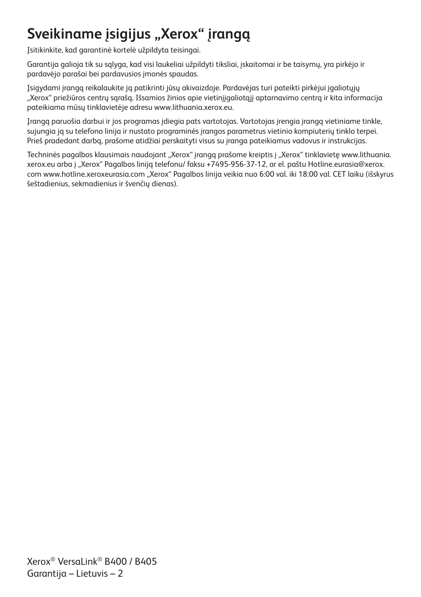# Sveikiname įsigijus "Xerox" įrangą

Įsitikinkite, kad garantinė kortelė užpildyta teisingai.

Garantija galioja tik su sąlyga, kad visi laukeliai užpildyti tiksliai, įskaitomai ir be taisymų, yra pirkėjo ir pardavėjo parašai bei pardavusios įmonės spaudas.

Įsigydami įrangą reikalaukite ją patikrinti jūsų akivaizdoje. Pardavėjas turi pateikti pirkėjui įgaliotųjų "Xerox" priežiūros centrų sarašą. Išsamios žinios apie vietinijaaliotaji aptarnavimo centrą ir kita informacija pateikiama mūsų tinklavietėje adresu www.lithuania.xerox.eu.

Įrangą paruošia darbui ir jos programas įdiegia pats vartotojas. Vartotojas įrengia įrangą vietiniame tinkle, sujungia ją su telefono linija ir nustato programinės įrangos parametrus vietinio kompiuterių tinklo terpei. Prieš pradedant darbą, prašome atidžiai perskaityti visus su įranga pateikiamus vadovus ir instrukcijas.

Techninės pagalbos klausimais naudojant "Xerox" įrangą prašome kreiptis į "Xerox" tinklavietę www.lithuania. xerox.eu arba į "Xerox" Pagalbos liniją telefonu/ faksu +7495-956-37-12, ar el. paštu Hotline.eurasia@xerox. com www.hotline.xeroxeurasia.com "Xerox" Pagalbos linija veikia nuo 6:00 val. iki 18:00 val. CET laiku (išskyrus šeštadienius, sekmadienius ir švenčių dienas).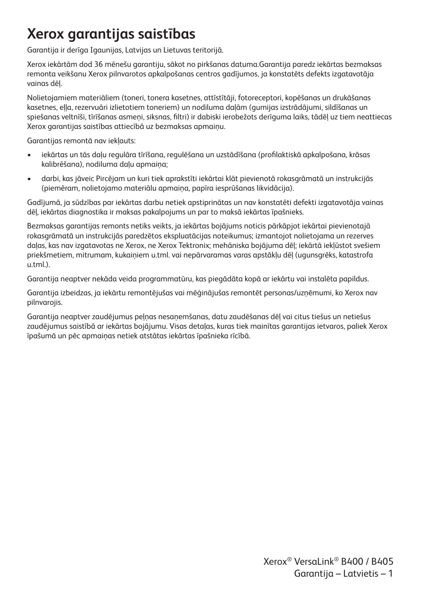# **Xerox garantijas saistības**

Garantija ir derīga Igaunijas, Latvijas un Lietuvas teritorijā.

Xerox iekārtām dod 36 mēnešu garantiju, sākot no pirkšanas datuma.Garantija paredz iekārtas bezmaksas remonta veikšanu Xerox pilnvarotos apkalpošanas centros gadījumos, ja konstatēts defekts izgatavotāja vainas dēļ.

Nolietojamiem materiāliem (toneri, tonera kasetnes, attīstītāji, fotoreceptori, kopēšanas un drukāšanas kasetnes, eļļa, rezervuāri izlietotiem toneriem) un nodiluma daļām (gumijas izstrādājumi, sildīšanas un spiešanas veltnīši, tīrīšanas asmeņi, siksnas, filtri) ir dabiski ierobežots derīguma laiks, tādēļ uz tiem neattiecas Xerox garantijas saistības attiecībā uz bezmaksas apmaiņu.

Garantijas remontā nav iekļauts:

- iekārtas un tās daļu regulāra tīrīšana, regulēšana un uzstādīšana (profilaktiskā apkalpošana, krāsas kalibrēšana), nodiluma daļu apmaiņa;
- darbi, kas jāveic Pircējam un kuri tiek aprakstīti iekārtai klāt pievienotā rokasgrāmatā un instrukcijās (piemēram, nolietojamo materiālu apmaiņa, papīra iesprūšanas likvidācija).

Gadījumā, ja sūdzības par iekārtas darbu netiek apstiprinātas un nav konstatēti defekti izgatavotāja vainas dēļ, iekārtas diagnostika ir maksas pakalpojums un par to maksā iekārtas īpašnieks.

Bezmaksas garantijas remonts netiks veikts, ja iekārtas bojājums noticis pārkāpjot iekārtai pievienotajā rokasgrāmatā un instrukcijās paredzētos ekspluatācijas noteikumus; izmantojot nolietojama un rezerves daļas, kas nav izgatavotas ne Xerox, ne Xerox Tektronix; mehāniska bojājuma dēļ; iekārtā iekļūstot svešiem priekšmetiem, mitrumam, kukaiņiem u.tml. vai nepārvaramas varas apstākļu dēļ (ugunsgrēks, katastrofa u.tml.).

Garantija neaptver nekāda veida programmatūru, kas piegādāta kopā ar iekārtu vai instalēta papildus.

Garantija izbeidzas, ja iekārtu remontējušas vai mēģinājušas remontēt personas/uzņēmumi, ko Xerox nav pilnvarojis.

Garantija neaptver zaudējumus peļņas nesaņemšanas, datu zaudēšanas dēļ vai citus tiešus un netiešus zaudējumus saistībā ar iekārtas bojājumu. Visas detaļas, kuras tiek mainītas garantijas ietvaros, paliek Xerox īpašumā un pēc apmaiņas netiek atstātas iekārtas īpašnieka rīcībā.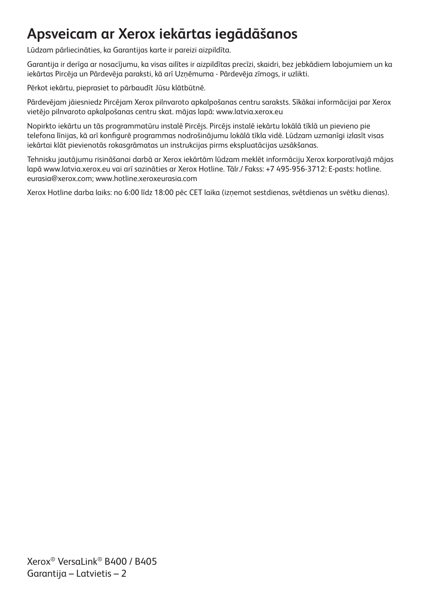# **Apsveicam ar Xerox iekārtas iegādāšanos**

Lūdzam pārliecināties, ka Garantijas karte ir pareizi aizpildīta.

Garantija ir derīga ar nosacījumu, ka visas ailītes ir aizpildītas precīzi, skaidri, bez jebkādiem labojumiem un ka iekārtas Pircēja un Pārdevēja paraksti, kā arī Uzņēmuma - Pārdevēja zīmogs, ir uzlikti.

Pērkot iekārtu, pieprasiet to pārbaudīt Jūsu klātbūtnē.

Pārdevējam jāiesniedz Pircējam Xerox pilnvaroto apkalpošanas centru saraksts. Sīkākai informācijai par Xerox vietējo pilnvaroto apkalpošanas centru skat. mājas lapā: www.latvia.xerox.eu

Nopirkto iekārtu un tās programmatūru instalē Pircējs. Pircējs instalē iekārtu lokālā tīklā un pievieno pie telefona līnijas, kā arī konfigurē programmas nodrošinājumu lokālā tīkla vidē. Lūdzam uzmanīgi izlasīt visas iekārtai klāt pievienotās rokasgrāmatas un instrukcijas pirms ekspluatācijas uzsākšanas.

Tehnisku jautājumu risināšanai darbā ar Xerox iekārtām lūdzam meklēt informāciju Xerox korporatīvajā mājas lapā www.latvia.xerox.eu vai arī sazināties ar Xerox Hotline. Tālr./ Fakss: +7 495-956-3712: E-pasts: hotline. eurasia@xerox.com; www.hotline.xeroxeurasia.com

Xerox Hotline darba laiks: no 6:00 līdz 18:00 pēc CET laika (izņemot sestdienas, svētdienas un svētku dienas).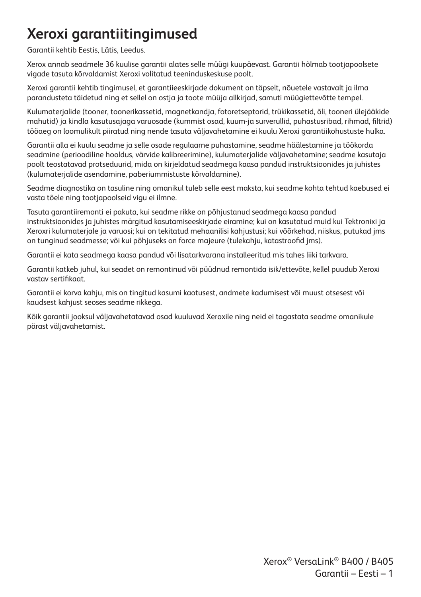# **Xeroxi garantiitingimused**

Garantii kehtib Eestis, Lätis, Leedus.

Xerox annab seadmele 36 kuulise garantii alates selle müügi kuupäevast. Garantii hõlmab tootjapoolsete vigade tasuta kõrvaldamist Xeroxi volitatud teeninduskeskuse poolt.

Xeroxi garantii kehtib tingimusel, et garantiieeskirjade dokument on täpselt, nõuetele vastavalt ja ilma parandusteta täidetud ning et sellel on ostja ja toote müüja allkirjad, samuti müügiettevõtte tempel.

Kulumaterjalide (tooner, toonerikassetid, magnetkandja, fotoretseptorid, trükikassetid, õli, tooneri ülejääkide mahutid) ja kindla kasutusajaga varuosade (kummist osad, kuum-ja surverullid, puhastusribad, rihmad, filtrid) tööaeg on loomulikult piiratud ning nende tasuta väljavahetamine ei kuulu Xeroxi garantiikohustuste hulka.

Garantii alla ei kuulu seadme ja selle osade regulaarne puhastamine, seadme häälestamine ja töökorda seadmine (perioodiline hooldus, värvide kalibreerimine), kulumaterjalide väljavahetamine; seadme kasutaja poolt teostatavad protseduurid, mida on kirjeldatud seadmega kaasa pandud instruktsioonides ja juhistes (kulumaterjalide asendamine, paberiummistuste kõrvaldamine).

Seadme diagnostika on tasuline ning omanikul tuleb selle eest maksta, kui seadme kohta tehtud kaebused ei vasta tõele ning tootjapoolseid vigu ei ilmne.

Tasuta garantiiremonti ei pakuta, kui seadme rikke on põhjustanud seadmega kaasa pandud instruktsioonides ja juhistes märgitud kasutamiseeskirjade eiramine; kui on kasutatud muid kui Tektronixi ja Xeroxri kulumaterjale ja varuosi; kui on tekitatud mehaanilisi kahjustusi; kui võõrkehad, niiskus, putukad jms on tunginud seadmesse; või kui põhjuseks on force majeure (tulekahju, katastroofid jms).

Garantii ei kata seadmega kaasa pandud või lisatarkvarana installeeritud mis tahes liiki tarkvara.

Garantii katkeb juhul, kui seadet on remontinud või püüdnud remontida isik/ettevõte, kellel puudub Xeroxi vastav sertifikaat.

Garantii ei korva kahju, mis on tingitud kasumi kaotusest, andmete kadumisest või muust otsesest või kaudsest kahjust seoses seadme rikkega.

Kõik garantii jooksul väljavahetatavad osad kuuluvad Xeroxile ning neid ei tagastata seadme omanikule pärast väljavahetamist.

> Xerox® VersaLink® B400 / B405 Garantii – Eesti – 1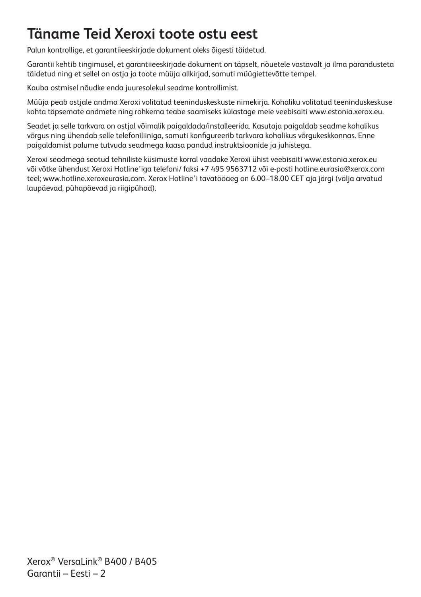# **Täname Teid Xeroxi toote ostu eest**

Palun kontrollige, et garantiieeskirjade dokument oleks õigesti täidetud.

Garantii kehtib tingimusel, et garantiieeskirjade dokument on täpselt, nõuetele vastavalt ja ilma parandusteta täidetud ning et sellel on ostja ja toote müüja allkirjad, samuti müügiettevõtte tempel.

Kauba ostmisel nõudke enda juuresolekul seadme kontrollimist.

Müüja peab ostjale andma Xeroxi volitatud teeninduskeskuste nimekirja. Kohaliku volitatud teeninduskeskuse kohta täpsemate andmete ning rohkema teabe saamiseks külastage meie veebisaiti www.estonia.xerox.eu.

Seadet ja selle tarkvara on ostjal võimalik paigaldada/installeerida. Kasutaja paigaldab seadme kohalikus võrgus ning ühendab selle telefoniliiniga, samuti konfigureerib tarkvara kohalikus võrgukeskkonnas. Enne paigaldamist palume tutvuda seadmega kaasa pandud instruktsioonide ja juhistega.

Xeroxi seadmega seotud tehniliste küsimuste korral vaadake Xeroxi ühist veebisaiti www.estonia.xerox.eu või võtke ühendust Xeroxi Hotline'iga telefoni/ faksi +7 495 9563712 või e-posti hotline.eurasia@xerox.com teel; www.hotline.xeroxeurasia.com. Xerox Hotline'i tavatööaeg on 6.00–18.00 CET aja järgi (välja arvatud laupäevad, pühapäevad ja riigipühad).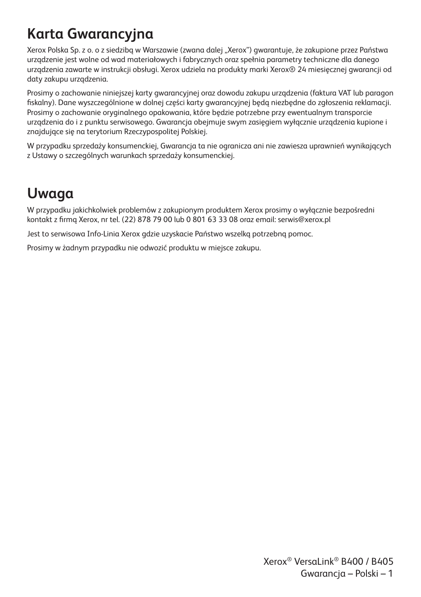# **Karta Gwarancyjna**

Xerox Polska Sp. z o. o z siedzibą w Warszawie (zwana dalej "Xerox") gwarantuje, że zakupione przez Państwa urządzenie jest wolne od wad materiałowych i fabrycznych oraz spełnia parametry techniczne dla danego urządzenia zawarte w instrukcji obsługi. Xerox udziela na produkty marki Xerox® 24 miesięcznej gwarancji od daty zakupu urządzenia.

Prosimy o zachowanie niniejszej karty gwarancyjnej oraz dowodu zakupu urządzenia (faktura VAT lub paragon fiskalny). Dane wyszczególnione w dolnej części karty gwarancyjnej będą niezbędne do zgłoszenia reklamacji. Prosimy o zachowanie oryginalnego opakowania, które będzie potrzebne przy ewentualnym transporcie urządzenia do i z punktu serwisowego. Gwarancja obejmuje swym zasięgiem wyłącznie urządzenia kupione i znajdujące się na terytorium Rzeczypospolitej Polskiej.

W przypadku sprzedaży konsumenckiej, Gwarancja ta nie ogranicza ani nie zawiesza uprawnień wynikających z Ustawy o szczególnych warunkach sprzedaży konsumenckiej.

## **Uwaga**

W przypadku jakichkolwiek problemów z zakupionym produktem Xerox prosimy o wyłącznie bezpośredni kontakt z firmą Xerox, nr tel. (22) 878 79 00 lub 0 801 63 33 08 oraz email: serwis@xerox.pl

Jest to serwisowa Info-Linia Xerox gdzie uzyskacie Państwo wszelką potrzebną pomoc.

Prosimy w żadnym przypadku nie odwozić produktu w miejsce zakupu.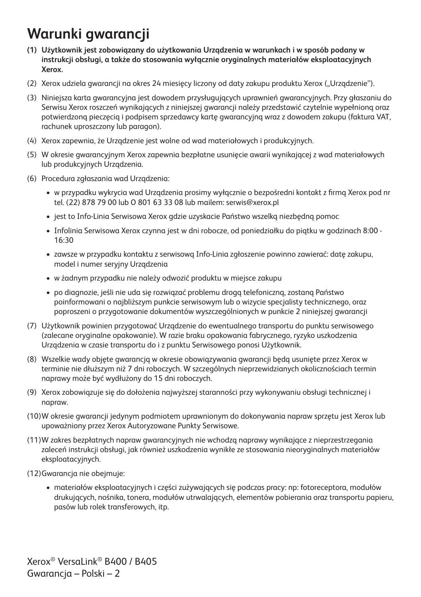# **Warunki gwarancji**

- **(1) Użytkownik jest zobowiązany do użytkowania Urządzenia w warunkach i w sposób podany w instrukcji obsługi, a także do stosowania wyłącznie oryginalnych materiałów eksploatacyjnych Xerox.**
- (2) Xerox udziela gwarancji na okres 24 miesięcy liczony od daty zakupu produktu Xerox ("Urządzenie").
- (3) Niniejsza karta gwarancyjna jest dowodem przysługujących uprawnień gwarancyjnych. Przy głaszaniu do Serwisu Xerox roszczeń wynikających z niniejszej gwarancji należy przedstawić czytelnie wypełnioną oraz potwierdzoną pieczęcią i podpisem sprzedawcy kartę gwarancyjną wraz z dowodem zakupu (faktura VAT, rachunek uproszczony lub paragon).
- (4) Xerox zapewnia, że Urządzenie jest wolne od wad materiałowych i produkcyjnych.
- (5) W okresie gwarancyjnym Xerox zapewnia bezpłatne usunięcie awarii wynikającej z wad materiałowych lub produkcyjnych Urządzenia.
- (6) Procedura zgłaszania wad Urządzenia:
	- w przypadku wykrycia wad Urządzenia prosimy wyłącznie o bezpośredni kontakt z firmą Xerox pod nr tel. (22) 878 79 00 lub O 801 63 33 08 lub mailem: serwis@xerox.pl
	- jest to Info-Linia Serwisowa Xerox gdzie uzyskacie Państwo wszelką niezbędną pomoc
	- Infolinia Serwisowa Xerox czynna jest w dni robocze, od poniedziałku do piątku w godzinach 8:00 16:30
	- zawsze w przypadku kontaktu z serwisową Info-Linia zgłoszenie powinno zawierać: datę zakupu, model i numer seryjny Urządzenia
	- w żadnym przypadku nie należy odwozić produktu w miejsce zakupu
	- po diagnozie, jeśli nie uda się rozwiązać problemu drogą telefoniczną, zostaną Państwo poinformowani o najbliższym punkcie serwisowym lub o wizycie specjalisty technicznego, oraz poproszeni o przygotowanie dokumentów wyszczególnionych w punkcie 2 niniejszej gwarancji
- (7) Użytkownik powinien przygotować Urządzenie do ewentualnego transportu do punktu serwisowego (zalecane oryginalne opakowanie). W razie braku opakowania fabrycznego, ryzyko uszkodzenia Urządzenia w czasie transportu do i z punktu Serwisowego ponosi Użytkownik.
- (8) Wszelkie wady objęte gwarancją w okresie obowiązywania gwarancji będą usunięte przez Xerox w terminie nie dłuższym niż 7 dni roboczych. W szczególnych nieprzewidzianych okolicznościach termin naprawy może być wydłużony do 15 dni roboczych.
- (9) Xerox zobowiązuje się do dołożenia najwyższej staranności przy wykonywaniu obsługi technicznej i napraw.
- (10)W okresie gwarancji jedynym podmiotem uprawnionym do dokonywania napraw sprzętu jest Xerox lub upoważniony przez Xerox Autoryzowane Punkty Serwisowe.
- (11)W zakres bezpłatnych napraw gwarancyjnych nie wchodzą naprawy wynikające z nieprzestrzegania zaleceń instrukcji obsługi, jak również uszkodzenia wynikłe ze stosowania nieoryginalnych materiałów eksploatacyjnych.
- (12)Gwarancja nie obejmuje:
	- materiałów eksploatacyjnych i części zużywających się podczas pracy: np: fotoreceptora, modułów drukujących, nośnika, tonera, modułów utrwalających, elementów pobierania oraz transportu papieru, pasów lub rolek transferowych, itp.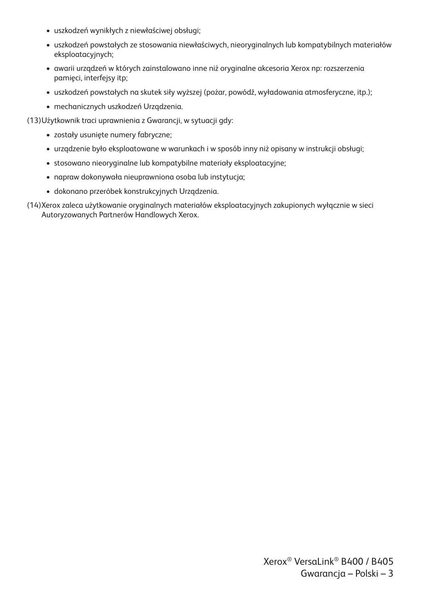- uszkodzeń wynikłych z niewłaściwej obsługi;
- uszkodzeń powstałych ze stosowania niewłaściwych, nieoryginalnych lub kompatybilnych materiałów eksploatacyjnych;
- awarii urządzeń w których zainstalowano inne niż oryginalne akcesoria Xerox np: rozszerzenia pamięci, interfejsy itp;
- uszkodzeń powstałych na skutek siły wyższej (pożar, powódź, wyładowania atmosferyczne, itp.);
- mechanicznych uszkodzeń Urządzenia.

(13)Użytkownik traci uprawnienia z Gwarancji, w sytuacji gdy:

- zostały usunięte numery fabryczne;
- urządzenie było eksploatowane w warunkach i w sposób inny niż opisany w instrukcji obsługi;
- stosowano nieoryginalne lub kompatybilne materiały eksploatacyjne;
- napraw dokonywała nieuprawniona osoba lub instytucja;
- dokonano przeróbek konstrukcyjnych Urządzenia.
- (14)Xerox zaleca użytkowanie oryginalnych materiałów eksploatacyjnych zakupionych wyłącznie w sieci Autoryzowanych Partnerów Handlowych Xerox.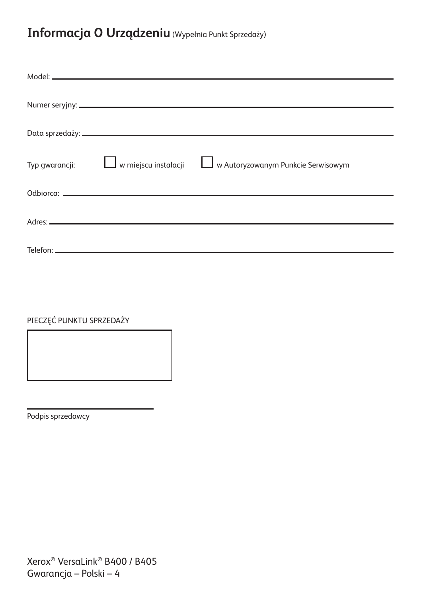#### **Informacja O Urządzeniu** (Wypełnia Punkt Sprzedaży)

| Typ gwarancji:<br><u>  w miejscu instalacji</u> | w Autoryzowanym Punkcie Serwisowym |
|-------------------------------------------------|------------------------------------|
|                                                 |                                    |
|                                                 |                                    |
|                                                 |                                    |
|                                                 |                                    |
|                                                 |                                    |
|                                                 |                                    |

PIECZĘĆ PUNKTU SPRZEDAŻY

Podpis sprzedawcy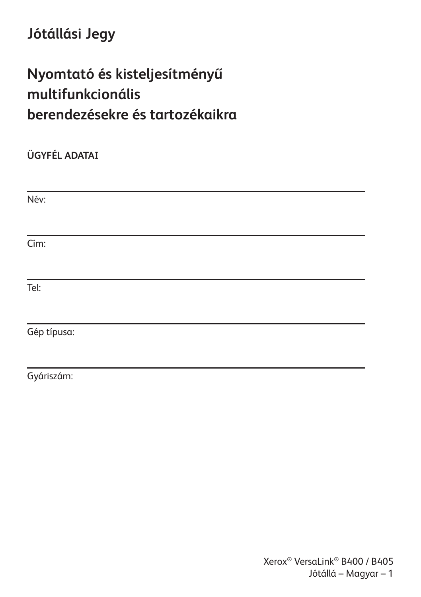# **Jótállási Jegy**

# **Nyomtató és kisteljesítményű multifunkcionális berendezésekre és tartozékaikra**

**ÜGYFÉL ADATAI** Név: Cím: Tel: Gép típusa:

Gyáriszám: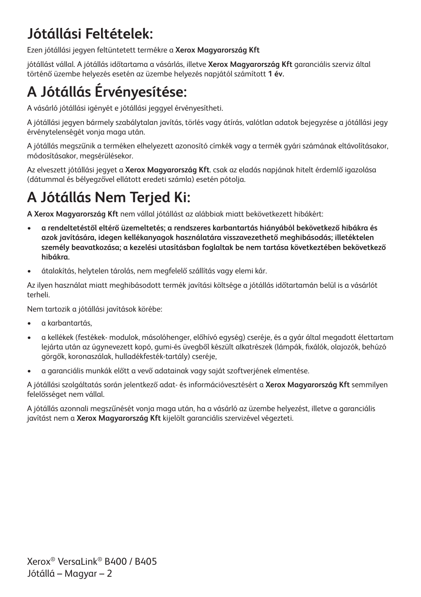# **Jótállási Feltételek:**

Ezen jótállási jegyen feltüntetett termékre a **Xerox Magyarország Kft**

jótállást vállal. A jótállás időtartama a vásárlás, illetve **Xerox Magyarország Kft** garanciális szerviz által történő üzembe helyezés esetén az üzembe helyezés napjától számított **1 év.**

# **A Jótállás Érvényesítése:**

A vásárló jótállási igényét e jótállási jeggyel érvényesítheti.

A jótállási jegyen bármely szabálytalan javítás, törlés vagy átírás, valótlan adatok bejegyzése a jótállási jegy érvénytelenségét vonja maga után.

A jótállás megszűnik a terméken elhelyezett azonosító címkék vagy a termék gyári számának eltávolításakor, módosításakor, megsérülésekor.

Az elveszett jótállási jegyet a **Xerox Magyarország Kft**. csak az eladás napjának hitelt érdemlő igazolása (dátummal és bélyegzővel ellátott eredeti számla) esetén pótolja.

# **A Jótállás Nem Terjed Ki:**

**A Xerox Magyarország Kft** nem vállal jótállást az alábbiak miatt bekövetkezett hibákért:

- **a rendeltetéstől eltérő üzemeltetés; a rendszeres karbantartás hiányából bekövetkező hibákra és azok javítására, idegen kellékanyagok használatára visszavezethető meghibásodás; illetéktelen személy beavatkozása; a kezelési utasításban foglaltak be nem tartása következtében bekövetkező hibákra.**
- átalakítás, helytelen tárolás, nem megfelelő szállítás vagy elemi kár.

Az ilyen használat miatt meghibásodott termék javítási költsége a jótállás időtartamán belül is a vásárlót terheli.

Nem tartozik a jótállási javítások körébe:

- a karbantartás,
- a kellékek (festékek- modulok, másolóhenger, előhívó egység) cseréje, és a gyár által megadott élettartam lejárta után az úgynevezett kopó, gumi-és üvegből készült alkatrészek (lámpák, fixálók, olajozók, behúzó görgők, koronaszálak, hulladékfesték-tartály) cseréje,
- a garanciális munkák előtt a vevő adatainak vagy saját szoftverjének elmentése.

A jótállási szolgáltatás során jelentkező adat- és információvesztésért a **Xerox Magyarország Kft** semmilyen felelősséget nem vállal.

A jótállás azonnali megszűnését vonja maga után, ha a vásárló az üzembe helyezést, illetve a garanciális javítást nem a **Xerox Magyarország Kft** kijelölt garanciális szervizével végezteti.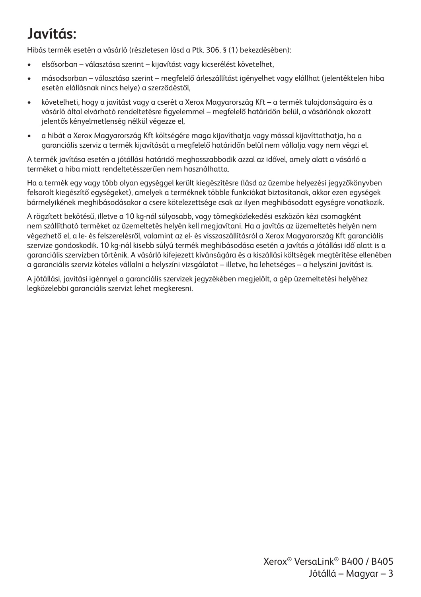## **Javítás:**

Hibás termék esetén a vásárló (részletesen lásd a Ptk. 306. § (1) bekezdésében):

- elsősorban választása szerint kijavítást vagy kicserélést követelhet,
- másodsorban választása szerint megfelelő árleszállítást igényelhet vagy elállhat (jelentéktelen hiba esetén elállásnak nincs helye) a szerződéstől,
- követelheti, hogy a javítást vagy a cserét a Xerox Magyarország Kft a termék tulajdonságaira és a vásárló által elvárható rendeltetésre figyelemmel – megfelelő határidőn belül, a vásárlónak okozott jelentős kényelmetlenség nélkül végezze el,
- a hibát a Xerox Magyarország Kft költségére maga kijavíthatja vagy mással kijavíttathatja, ha a garanciális szerviz a termék kijavítását a megfelelő határidőn belül nem vállalja vagy nem végzi el.

A termék javítása esetén a jótállási határidő meghosszabbodik azzal az idővel, amely alatt a vásárló a terméket a hiba miatt rendeltetésszerűen nem használhatta.

Ha a termék egy vagy több olyan egységgel került kiegészítésre (lásd az üzembe helyezési jegyzőkönyvben felsorolt kiegészítő egységeket), amelyek a terméknek többle funkciókat biztosítanak, akkor ezen egységek bármelyikének meghibásodásakor a csere kötelezettsége csak az ilyen meghibásodott egységre vonatkozik.

A rögzített bekötésű, illetve a 10 kg-nál súlyosabb, vagy tömegközlekedési eszközön kézi csomagként nem szállítható terméket az üzemeltetés helyén kell megjavítani. Ha a javítás az üzemeltetés helyén nem végezhető el, a le- és felszerelésről, valamint az el- és visszaszállításról a Xerox Magyarország Kft garanciális szervize gondoskodik. 10 kg-nál kisebb súlyú termék meghibásodása esetén a javítás a jótállási idő alatt is a garanciális szervizben történik. A vásárló kifejezett kívánságára és a kiszállási költségek megtérítése ellenében a garanciális szerviz köteles vállalni a helyszíni vizsgálatot – illetve, ha lehetséges – a helyszíni javítást is.

A jótállási, javítási igénnyel a garanciális szervizek jegyzékében megjelölt, a gép üzemeltetési helyéhez legközelebbi garanciális szervizt lehet megkeresni.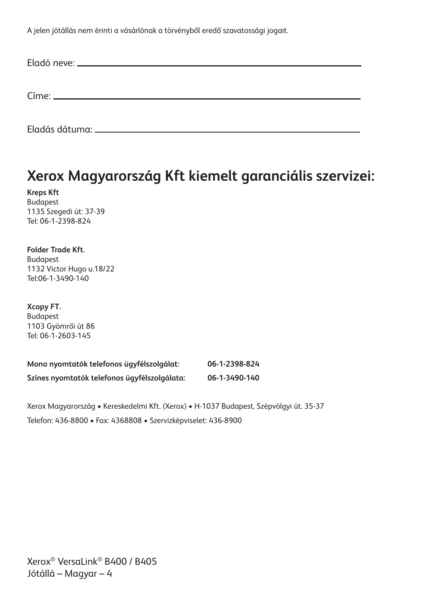A jelen jótállás nem érinti a vásárlónak a törvényből eredő szavatossági jogait.

## **Xerox Magyarország Kft kiemelt garanciális szervizei:**

**Kreps Kft** Budapest 1135 Szegedi út: 37-39 Tel: 06-1-2398-824

**Folder Trade Kft.** Budapest 1132 Victor Hugo u.18/22 Tel:06-1-3490-140

**Xcopy FT.** Budapest 1103 Gyömrői út 86 Tel: 06-1-2603-145

| Mono nyomtatók telefonos ügyfélszolgálat:    | 06-1-2398-824 |
|----------------------------------------------|---------------|
| Színes nyomtatók telefonos ügyfélszolgálata: | 06-1-3490-140 |

Xerox Magyarország • Kereskedelmi Kft. (Xerox) • H-1037 Budapest, Szépvölgyi út. 35-37 Telefon: 436-8800 • Fax: 4368808 • Szervizképviselet: 436-8900